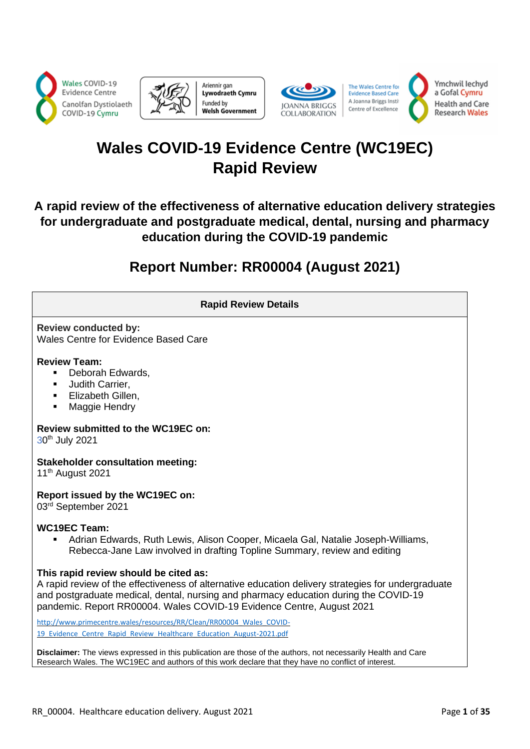





The Wales Centre for **Evidence Based Care** A Joanna Briggs Insti Centre of Excellence



# **Wales COVID-19 Evidence Centre (WC19EC) Rapid Review**

# **A rapid review of the effectiveness of alternative education delivery strategies for undergraduate and postgraduate medical, dental, nursing and pharmacy education during the COVID-19 pandemic**

# **Report Number: RR00004 (August 2021)**

| <b>Rapid Review Details</b>                                                                                                                                                                                                                                                                                  |
|--------------------------------------------------------------------------------------------------------------------------------------------------------------------------------------------------------------------------------------------------------------------------------------------------------------|
| <b>Review conducted by:</b><br><b>Wales Centre for Evidence Based Care</b>                                                                                                                                                                                                                                   |
| <b>Review Team:</b><br>Deborah Edwards,<br>٠<br>Judith Carrier,<br>$\blacksquare$<br>Elizabeth Gillen,<br>٠<br>Maggie Hendry<br>$\blacksquare$                                                                                                                                                               |
| Review submitted to the WC19EC on:<br>30 <sup>th</sup> July 2021                                                                                                                                                                                                                                             |
| <b>Stakeholder consultation meeting:</b><br>11 <sup>th</sup> August 2021                                                                                                                                                                                                                                     |
| Report issued by the WC19EC on:<br>03rd September 2021                                                                                                                                                                                                                                                       |
| <b>WC19EC Team:</b><br>Adrian Edwards, Ruth Lewis, Alison Cooper, Micaela Gal, Natalie Joseph-Williams,<br>Rebecca-Jane Law involved in drafting Topline Summary, review and editing                                                                                                                         |
| This rapid review should be cited as:<br>A rapid review of the effectiveness of alternative education delivery strategies for undergraduate<br>and postgraduate medical, dental, nursing and pharmacy education during the COVID-19<br>pandemic. Report RR00004. Wales COVID-19 Evidence Centre, August 2021 |
| http://www.primecentre.wales/resources/RR/Clean/RR00004 Wales COVID-<br>19 Evidence Centre Rapid Review Healthcare Education August-2021.pdf                                                                                                                                                                 |
| Disclaimer: The views expressed in this publication are those of the authors, not necessarily Health and Care<br>Research Wales. The WC19EC and authors of this work declare that they have no conflict of interest.                                                                                         |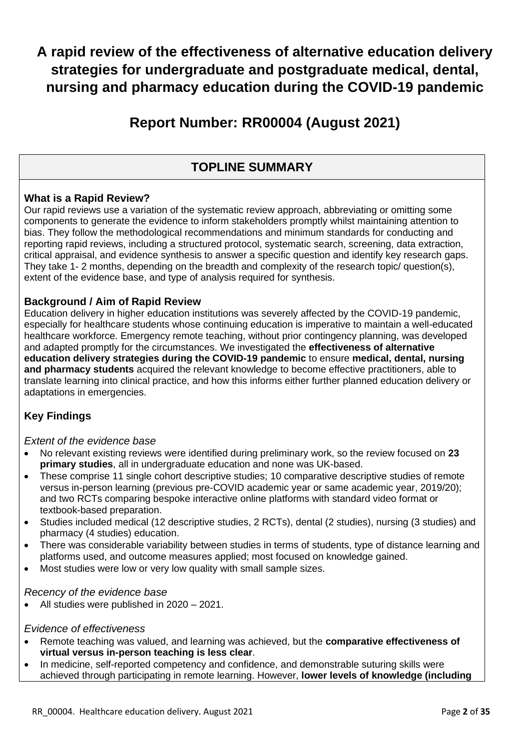# **A rapid review of the effectiveness of alternative education delivery strategies for undergraduate and postgraduate medical, dental, nursing and pharmacy education during the COVID-19 pandemic**

# **Report Number: RR00004 (August 2021)**

# **TOPLINE SUMMARY**

# **What is a Rapid Review?**

Our rapid reviews use a variation of the systematic review approach, abbreviating or omitting some components to generate the evidence to inform stakeholders promptly whilst maintaining attention to bias. They follow the methodological recommendations and minimum standards for conducting and reporting rapid reviews, including a structured protocol, systematic search, screening, data extraction, critical appraisal, and evidence synthesis to answer a specific question and identify key research gaps. They take 1- 2 months, depending on the breadth and complexity of the research topic/ question(s), extent of the evidence base, and type of analysis required for synthesis.

# **Background / Aim of Rapid Review**

Education delivery in higher education institutions was severely affected by the COVID-19 pandemic, especially for healthcare students whose continuing education is imperative to maintain a well-educated healthcare workforce. Emergency remote teaching, without prior contingency planning, was developed and adapted promptly for the circumstances. We investigated the **effectiveness of alternative education delivery strategies during the COVID-19 pandemic** to ensure **medical, dental, nursing and pharmacy students** acquired the relevant knowledge to become effective practitioners, able to translate learning into clinical practice, and how this informs either further planned education delivery or adaptations in emergencies.

# **Key Findings**

### *Extent of the evidence base*

- No relevant existing reviews were identified during preliminary work, so the review focused on **23 primary studies**, all in undergraduate education and none was UK-based.
- These comprise 11 single cohort descriptive studies: 10 comparative descriptive studies of remote versus in-person learning (previous pre-COVID academic year or same academic year, 2019/20); and two RCTs comparing bespoke interactive online platforms with standard video format or textbook-based preparation.
- Studies included medical (12 descriptive studies, 2 RCTs), dental (2 studies), nursing (3 studies) and pharmacy (4 studies) education.
- There was considerable variability between studies in terms of students, type of distance learning and platforms used, and outcome measures applied; most focused on knowledge gained.
- Most studies were low or very low quality with small sample sizes.

### *Recency of the evidence base*

• All studies were published in 2020 – 2021.

### *Evidence of effectiveness*

- Remote teaching was valued, and learning was achieved, but the **comparative effectiveness of virtual versus in-person teaching is less clear**.
- In medicine, self-reported competency and confidence, and demonstrable suturing skills were achieved through participating in remote learning. However, **lower levels of knowledge (including**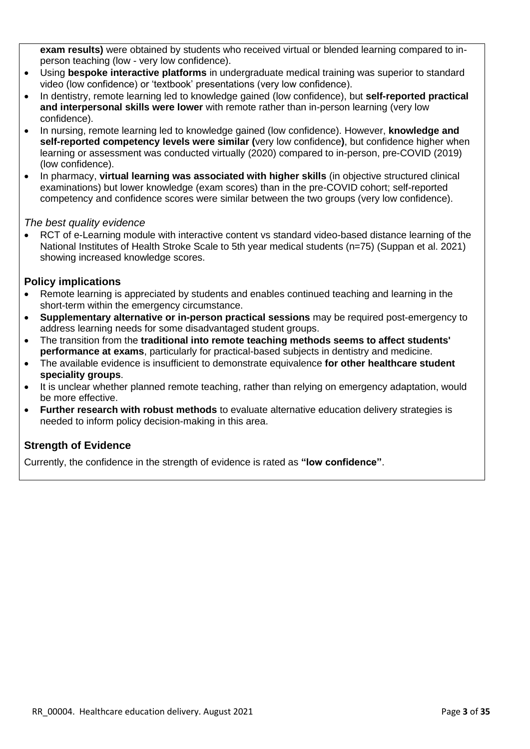**exam results)** were obtained by students who received virtual or blended learning compared to inperson teaching (low - very low confidence).

- Using **bespoke interactive platforms** in undergraduate medical training was superior to standard video (low confidence) or 'textbook' presentations (very low confidence).
- In dentistry, remote learning led to knowledge gained (low confidence), but **self-reported practical and interpersonal skills were lower** with remote rather than in-person learning (very low confidence).
- In nursing, remote learning led to knowledge gained (low confidence). However, **knowledge and self-reported competency levels were similar (**very low confidence**)**, but confidence higher when learning or assessment was conducted virtually (2020) compared to in-person, pre-COVID (2019) (low confidence).
- In pharmacy, **virtual learning was associated with higher skills** (in objective structured clinical examinations) but lower knowledge (exam scores) than in the pre-COVID cohort; self-reported competency and confidence scores were similar between the two groups (very low confidence).

### *The best quality evidence*

• RCT of e-Learning module with interactive content vs standard video-based distance learning of the National Institutes of Health Stroke Scale to 5th year medical students (n=75) (Suppan et al. 2021) showing increased knowledge scores.

### **Policy implications**

- Remote learning is appreciated by students and enables continued teaching and learning in the short-term within the emergency circumstance.
- **Supplementary alternative or in-person practical sessions** may be required post-emergency to address learning needs for some disadvantaged student groups.
- The transition from the **traditional into remote teaching methods seems to affect students' performance at exams**, particularly for practical-based subjects in dentistry and medicine.
- The available evidence is insufficient to demonstrate equivalence **for other healthcare student speciality groups**.
- It is unclear whether planned remote teaching, rather than relying on emergency adaptation, would be more effective.
- **Further research with robust methods** to evaluate alternative education delivery strategies is needed to inform policy decision-making in this area.

# **Strength of Evidence**

Currently, the confidence in the strength of evidence is rated as **"low confidence"**.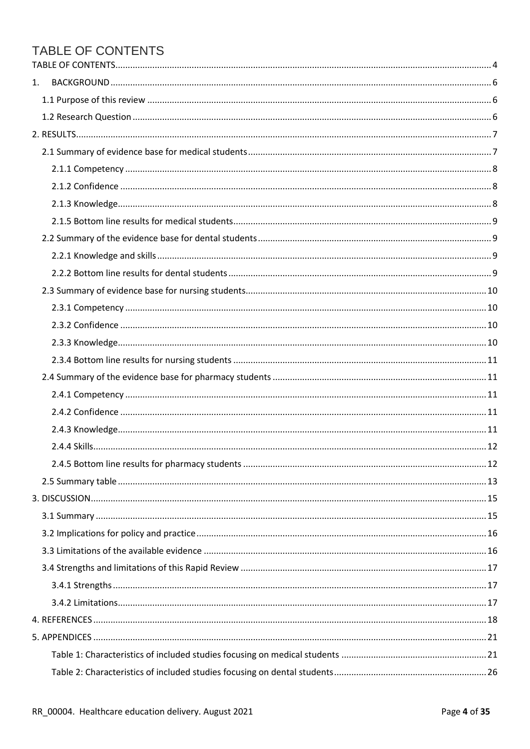# <span id="page-3-0"></span>TABLE OF CONTENTS

| 1. |  |
|----|--|
|    |  |
|    |  |
|    |  |
|    |  |
|    |  |
|    |  |
|    |  |
|    |  |
|    |  |
|    |  |
|    |  |
|    |  |
|    |  |
|    |  |
|    |  |
|    |  |
|    |  |
|    |  |
|    |  |
|    |  |
|    |  |
|    |  |
|    |  |
|    |  |
|    |  |
|    |  |
|    |  |
|    |  |
|    |  |
|    |  |
|    |  |
|    |  |
|    |  |
|    |  |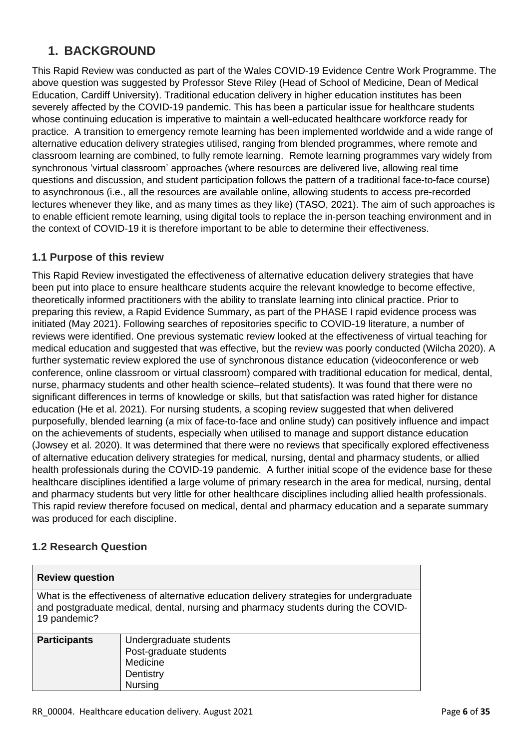# <span id="page-5-0"></span>**1. BACKGROUND**

This Rapid Review was conducted as part of the Wales COVID-19 Evidence Centre Work Programme. The above question was suggested by Professor Steve Riley (Head of School of Medicine, Dean of Medical Education, Cardiff University). Traditional education delivery in higher education institutes has been severely affected by the COVID-19 pandemic. This has been a particular issue for healthcare students whose continuing education is imperative to maintain a well-educated healthcare workforce ready for practice. A transition to emergency remote learning has been implemented worldwide and a wide range of alternative education delivery strategies utilised, ranging from blended programmes, where remote and classroom learning are combined, to fully remote learning. Remote learning programmes vary widely from synchronous 'virtual classroom' approaches (where resources are delivered live, allowing real time questions and discussion, and student participation follows the pattern of a traditional face-to-face course) to asynchronous (i.e., all the resources are available online, allowing students to access pre-recorded lectures whenever they like, and as many times as they like) (TASO, 2021). The aim of such approaches is to enable efficient remote learning, using digital tools to replace the in-person teaching environment and in the context of COVID-19 it is therefore important to be able to determine their effectiveness.

# <span id="page-5-1"></span>**1.1 Purpose of this review**

This Rapid Review investigated the effectiveness of alternative education delivery strategies that have been put into place to ensure healthcare students acquire the relevant knowledge to become effective, theoretically informed practitioners with the ability to translate learning into clinical practice. Prior to preparing this review, a Rapid Evidence Summary, as part of the PHASE I rapid evidence process was initiated (May 2021). Following searches of repositories specific to COVID-19 literature, a number of reviews were identified. One previous systematic review looked at the effectiveness of virtual teaching for medical education and suggested that was effective, but the review was poorly conducted (Wilcha 2020). A further systematic review explored the use of synchronous distance education (videoconference or web conference, online classroom or virtual classroom) compared with traditional education for medical, dental, nurse, pharmacy students and other health science–related students). It was found that there were no significant differences in terms of knowledge or skills, but that satisfaction was rated higher for distance education (He et al. 2021). For nursing students, a scoping review suggested that when delivered purposefully, blended learning (a mix of face-to-face and online study) can positively influence and impact on the achievements of students, especially when utilised to manage and support distance education (Jowsey et al. 2020). It was determined that there were no reviews that specifically explored effectiveness of alternative education delivery strategies for medical, nursing, dental and pharmacy students, or allied health professionals during the COVID-19 pandemic. A further initial scope of the evidence base for these healthcare disciplines identified a large volume of primary research in the area for medical, nursing, dental and pharmacy students but very little for other healthcare disciplines including allied health professionals. This rapid review therefore focused on medical, dental and pharmacy education and a separate summary was produced for each discipline.

# <span id="page-5-2"></span>**1.2 Research Question**

| <b>Review question</b>                                                                                                                                                                        |                                                                           |  |  |  |  |
|-----------------------------------------------------------------------------------------------------------------------------------------------------------------------------------------------|---------------------------------------------------------------------------|--|--|--|--|
| What is the effectiveness of alternative education delivery strategies for undergraduate<br>and postgraduate medical, dental, nursing and pharmacy students during the COVID-<br>19 pandemic? |                                                                           |  |  |  |  |
| <b>Participants</b>                                                                                                                                                                           | Undergraduate students<br>Post-graduate students<br>Medicine<br>Dentistry |  |  |  |  |

Nursing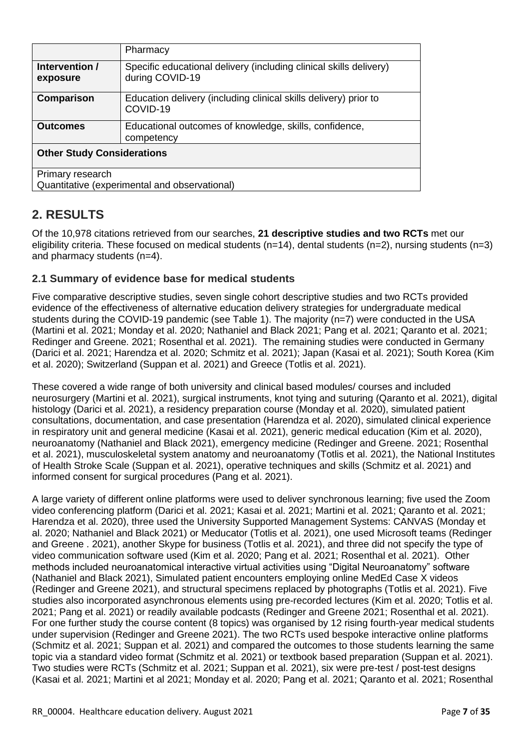|                                   | Pharmacy                                                                              |  |  |  |
|-----------------------------------|---------------------------------------------------------------------------------------|--|--|--|
| Intervention /<br>exposure        | Specific educational delivery (including clinical skills delivery)<br>during COVID-19 |  |  |  |
| Comparison                        | Education delivery (including clinical skills delivery) prior to<br>COVID-19          |  |  |  |
| <b>Outcomes</b>                   | Educational outcomes of knowledge, skills, confidence,<br>competency                  |  |  |  |
| <b>Other Study Considerations</b> |                                                                                       |  |  |  |
| Primary research                  |                                                                                       |  |  |  |
|                                   | Quantitative (experimental and observational)                                         |  |  |  |

# <span id="page-6-0"></span>**2. RESULTS**

Of the 10,978 citations retrieved from our searches, **21 descriptive studies and two RCTs** met our eligibility criteria. These focused on medical students (n=14), dental students (n=2), nursing students (n=3) and pharmacy students (n=4).

# <span id="page-6-1"></span>**2.1 Summary of evidence base for medical students**

Five comparative descriptive studies, seven single cohort descriptive studies and two RCTs provided evidence of the effectiveness of alternative education delivery strategies for undergraduate medical students during the COVID-19 pandemic (see Table 1). The majority (n=7) were conducted in the USA (Martini et al. 2021; Monday et al. 2020; Nathaniel and Black 2021; Pang et al. 2021; Qaranto et al. 2021; Redinger and Greene. 2021; Rosenthal et al. 2021). The remaining studies were conducted in Germany (Darici et al. 2021; Harendza et al. 2020; Schmitz et al. 2021); Japan (Kasai et al. 2021); South Korea (Kim et al. 2020); Switzerland (Suppan et al. 2021) and Greece (Totlis et al. 2021).

These covered a wide range of both university and clinical based modules/ courses and included neurosurgery (Martini et al. 2021), surgical instruments, knot tying and suturing (Qaranto et al. 2021), digital histology (Darici et al. 2021), a residency preparation course (Monday et al. 2020), simulated patient consultations, documentation, and case presentation (Harendza et al. 2020), simulated clinical experience in respiratory unit and general medicine (Kasai et al. 2021), generic medical education (Kim et al. 2020), neuroanatomy (Nathaniel and Black 2021), emergency medicine (Redinger and Greene. 2021; Rosenthal et al. 2021), musculoskeletal system anatomy and neuroanatomy (Totlis et al. 2021), the National Institutes of Health Stroke Scale (Suppan et al. 2021), operative techniques and skills (Schmitz et al. 2021) and informed consent for surgical procedures (Pang et al. 2021).

A large variety of different online platforms were used to deliver synchronous learning; five used the Zoom video conferencing platform (Darici et al. 2021; Kasai et al. 2021; Martini et al. 2021; Qaranto et al. 2021; Harendza et al. 2020), three used the University Supported Management Systems: CANVAS (Monday et al. 2020; Nathaniel and Black 2021) or Meducator (Totlis et al. 2021), one used Microsoft teams (Redinger and Greene . 2021), another Skype for business (Totlis et al. 2021), and three did not specify the type of video communication software used (Kim et al. 2020; Pang et al. 2021; Rosenthal et al. 2021). Other methods included neuroanatomical interactive virtual activities using "Digital Neuroanatomy" software (Nathaniel and Black 2021), Simulated patient encounters employing online MedEd Case X videos (Redinger and Greene 2021), and structural specimens replaced by photographs (Totlis et al. 2021). Five studies also incorporated asynchronous elements using pre-recorded lectures (Kim et al. 2020; Totlis et al. 2021; Pang et al. 2021) or readily available podcasts (Redinger and Greene 2021; Rosenthal et al. 2021). For one further study the course content (8 topics) was organised by 12 rising fourth-year medical students under supervision (Redinger and Greene 2021). The two RCTs used bespoke interactive online platforms (Schmitz et al. 2021; Suppan et al. 2021) and compared the outcomes to those students learning the same topic via a standard video format (Schmitz et al. 2021) or textbook based preparation (Suppan et al. 2021). Two studies were RCTs (Schmitz et al. 2021; Suppan et al. 2021), six were pre-test / post-test designs (Kasai et al. 2021; Martini et al 2021; Monday et al. 2020; Pang et al. 2021; Qaranto et al. 2021; Rosenthal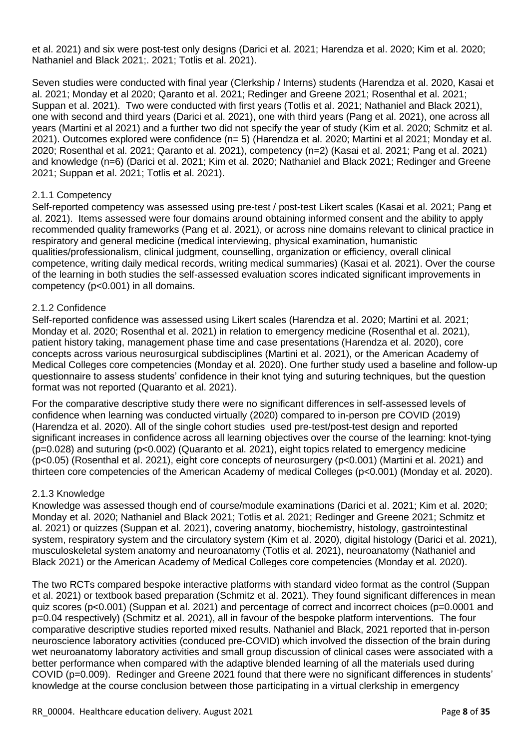et al. 2021) and six were post-test only designs (Darici et al. 2021; Harendza et al. 2020; Kim et al. 2020; Nathaniel and Black 2021;. 2021; Totlis et al. 2021).

Seven studies were conducted with final year (Clerkship / Interns) students (Harendza et al. 2020, Kasai et al. 2021; Monday et al 2020; Qaranto et al. 2021; Redinger and Greene 2021; Rosenthal et al. 2021; Suppan et al. 2021). Two were conducted with first years (Totlis et al. 2021; Nathaniel and Black 2021), one with second and third years (Darici et al. 2021), one with third years (Pang et al. 2021), one across all years (Martini et al 2021) and a further two did not specify the year of study (Kim et al. 2020; Schmitz et al. 2021). Outcomes explored were confidence (n= 5) (Harendza et al. 2020; Martini et al 2021; Monday et al. 2020; Rosenthal et al. 2021; Qaranto et al. 2021), competency (n=2) (Kasai et al. 2021; Pang et al. 2021) and knowledge (n=6) (Darici et al. 2021; Kim et al. 2020; Nathaniel and Black 2021; Redinger and Greene 2021; Suppan et al. 2021; Totlis et al. 2021).

### <span id="page-7-0"></span>2.1.1 Competency

Self-reported competency was assessed using pre-test / post-test Likert scales (Kasai et al. 2021; Pang et al. 2021). Items assessed were four domains around obtaining informed consent and the ability to apply recommended quality frameworks (Pang et al. 2021), or across nine domains relevant to clinical practice in respiratory and general medicine (medical interviewing, physical examination, humanistic qualities/professionalism, clinical judgment, counselling, organization or efficiency, overall clinical competence, writing daily medical records, writing medical summaries) (Kasai et al. 2021). Over the course of the learning in both studies the self-assessed evaluation scores indicated significant improvements in competency (p<0.001) in all domains.

#### <span id="page-7-1"></span>2.1.2 Confidence

Self-reported confidence was assessed using Likert scales (Harendza et al. 2020; Martini et al. 2021; Monday et al. 2020; Rosenthal et al. 2021) in relation to emergency medicine (Rosenthal et al. 2021), patient history taking, management phase time and case presentations (Harendza et al. 2020), core concepts across various neurosurgical subdisciplines (Martini et al. 2021), or the American Academy of Medical Colleges core competencies (Monday et al. 2020). One further study used a baseline and follow-up questionnaire to assess students' confidence in their knot tying and suturing techniques, but the question format was not reported (Quaranto et al. 2021).

For the comparative descriptive study there were no significant differences in self-assessed levels of confidence when learning was conducted virtually (2020) compared to in-person pre COVID (2019) (Harendza et al. 2020). All of the single cohort studies used pre-test/post-test design and reported significant increases in confidence across all learning objectives over the course of the learning: knot-tying (p=0.028) and suturing (p<0.002) (Quaranto et al. 2021), eight topics related to emergency medicine (p<0.05) (Rosenthal et al. 2021), eight core concepts of neurosurgery (p<0.001) (Martini et al. 2021) and thirteen core competencies of the American Academy of medical Colleges (p<0.001) (Monday et al. 2020).

#### <span id="page-7-2"></span>2.1.3 Knowledge

Knowledge was assessed though end of course/module examinations (Darici et al. 2021; Kim et al. 2020; Monday et al. 2020; Nathaniel and Black 2021; Totlis et al. 2021; Redinger and Greene 2021; Schmitz et al. 2021) or quizzes (Suppan et al. 2021), covering anatomy, biochemistry, histology, gastrointestinal system, respiratory system and the circulatory system (Kim et al. 2020), digital histology (Darici et al. 2021), musculoskeletal system anatomy and neuroanatomy (Totlis et al. 2021), neuroanatomy (Nathaniel and Black 2021) or the American Academy of Medical Colleges core competencies (Monday et al. 2020).

The two RCTs compared bespoke interactive platforms with standard video format as the control (Suppan et al. 2021) or textbook based preparation (Schmitz et al. 2021). They found significant differences in mean quiz scores (p<0.001) (Suppan et al. 2021) and percentage of correct and incorrect choices (p=0.0001 and p=0.04 respectively) (Schmitz et al. 2021), all in favour of the bespoke platform interventions. The four comparative descriptive studies reported mixed results. Nathaniel and Black, 2021 reported that in-person neuroscience laboratory activities (conduced pre-COVID) which involved the dissection of the brain during wet neuroanatomy laboratory activities and small group discussion of clinical cases were associated with a better performance when compared with the adaptive blended learning of all the materials used during COVID (p=0.009). Redinger and Greene 2021 found that there were no significant differences in students' knowledge at the course conclusion between those participating in a virtual clerkship in emergency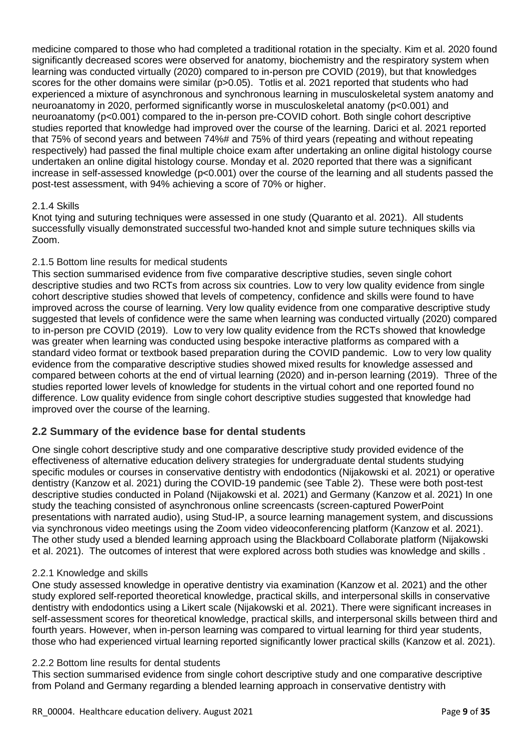medicine compared to those who had completed a traditional rotation in the specialty. Kim et al. 2020 found significantly decreased scores were observed for anatomy, biochemistry and the respiratory system when learning was conducted virtually (2020) compared to in-person pre COVID (2019), but that knowledges scores for the other domains were similar (p>0.05). Totlis et al. 2021 reported that students who had experienced a mixture of asynchronous and synchronous learning in musculoskeletal system anatomy and neuroanatomy in 2020, performed significantly worse in musculoskeletal anatomy (p<0.001) and neuroanatomy (p<0.001) compared to the in-person pre-COVID cohort. Both single cohort descriptive studies reported that knowledge had improved over the course of the learning. Darici et al. 2021 reported that 75% of second years and between 74%# and 75% of third years (repeating and without repeating respectively) had passed the final multiple choice exam after undertaking an online digital histology course undertaken an online digital histology course. Monday et al. 2020 reported that there was a significant increase in self-assessed knowledge (p<0.001) over the course of the learning and all students passed the post-test assessment, with 94% achieving a score of 70% or higher.

### 2.1.4 Skills

Knot tying and suturing techniques were assessed in one study (Quaranto et al. 2021). All students successfully visually demonstrated successful two-handed knot and simple suture techniques skills via Zoom.

### <span id="page-8-0"></span>2.1.5 Bottom line results for medical students

This section summarised evidence from five comparative descriptive studies, seven single cohort descriptive studies and two RCTs from across six countries. Low to very low quality evidence from single cohort descriptive studies showed that levels of competency, confidence and skills were found to have improved across the course of learning. Very low quality evidence from one comparative descriptive study suggested that levels of confidence were the same when learning was conducted virtually (2020) compared to in-person pre COVID (2019). Low to very low quality evidence from the RCTs showed that knowledge was greater when learning was conducted using bespoke interactive platforms as compared with a standard video format or textbook based preparation during the COVID pandemic. Low to very low quality evidence from the comparative descriptive studies showed mixed results for knowledge assessed and compared between cohorts at the end of virtual learning (2020) and in-person learning (2019). Three of the studies reported lower levels of knowledge for students in the virtual cohort and one reported found no difference. Low quality evidence from single cohort descriptive studies suggested that knowledge had improved over the course of the learning.

### <span id="page-8-1"></span>**2.2 Summary of the evidence base for dental students**

One single cohort descriptive study and one comparative descriptive study provided evidence of the effectiveness of alternative education delivery strategies for undergraduate dental students studying specific modules or courses in conservative dentistry with endodontics (Nijakowski et al. 2021) or operative dentistry (Kanzow et al. 2021) during the COVID-19 pandemic (see Table 2). These were both post-test descriptive studies conducted in Poland (Nijakowski et al. 2021) and Germany (Kanzow et al. 2021) In one study the teaching consisted of asynchronous online screencasts (screen-captured PowerPoint presentations with narrated audio), using Stud-IP, a source learning management system, and discussions via synchronous video meetings using the Zoom video videoconferencing platform (Kanzow et al. 2021). The other study used a blended learning approach using the Blackboard Collaborate platform (Nijakowski et al. 2021). The outcomes of interest that were explored across both studies was knowledge and skills .

### <span id="page-8-2"></span>2.2.1 Knowledge and skills

One study assessed knowledge in operative dentistry via examination (Kanzow et al. 2021) and the other study explored self-reported theoretical knowledge, practical skills, and interpersonal skills in conservative dentistry with endodontics using a Likert scale (Nijakowski et al. 2021). There were significant increases in self-assessment scores for theoretical knowledge, practical skills, and interpersonal skills between third and fourth years. However, when in-person learning was compared to virtual learning for third year students, those who had experienced virtual learning reported significantly lower practical skills (Kanzow et al. 2021).

### <span id="page-8-3"></span>2.2.2 Bottom line results for dental students

This section summarised evidence from single cohort descriptive study and one comparative descriptive from Poland and Germany regarding a blended learning approach in conservative dentistry with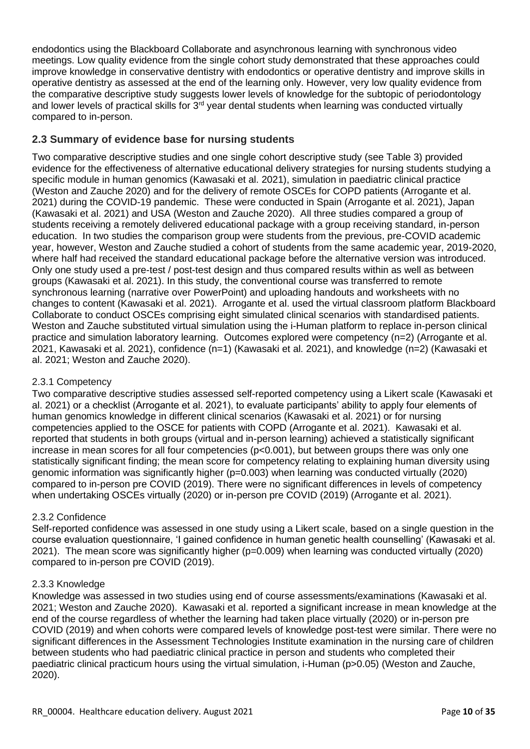endodontics using the Blackboard Collaborate and asynchronous learning with synchronous video meetings. Low quality evidence from the single cohort study demonstrated that these approaches could improve knowledge in conservative dentistry with endodontics or operative dentistry and improve skills in operative dentistry as assessed at the end of the learning only. However, very low quality evidence from the comparative descriptive study suggests lower levels of knowledge for the subtopic of periodontology and lower levels of practical skills for  $3^{rd}$  year dental students when learning was conducted virtually compared to in-person.

# <span id="page-9-0"></span>**2.3 Summary of evidence base for nursing students**

Two comparative descriptive studies and one single cohort descriptive study (see Table 3) provided evidence for the effectiveness of alternative educational delivery strategies for nursing students studying a specific module in human genomics (Kawasaki et al. 2021), simulation in paediatric clinical practice (Weston and Zauche 2020) and for the delivery of remote OSCEs for COPD patients (Arrogante et al. 2021) during the COVID-19 pandemic. These were conducted in Spain (Arrogante et al. 2021), Japan (Kawasaki et al. 2021) and USA (Weston and Zauche 2020). All three studies compared a group of students receiving a remotely delivered educational package with a group receiving standard, in-person education. In two studies the comparison group were students from the previous, pre-COVID academic year, however, Weston and Zauche studied a cohort of students from the same academic year, 2019-2020, where half had received the standard educational package before the alternative version was introduced. Only one study used a pre-test / post-test design and thus compared results within as well as between groups (Kawasaki et al. 2021). In this study, the conventional course was transferred to remote synchronous learning (narrative over PowerPoint) and uploading handouts and worksheets with no changes to content (Kawasaki et al. 2021). Arrogante et al. used the virtual classroom platform Blackboard Collaborate to conduct OSCEs comprising eight simulated clinical scenarios with standardised patients. Weston and Zauche substituted virtual simulation using the i-Human platform to replace in-person clinical practice and simulation laboratory learning. Outcomes explored were competency (n=2) (Arrogante et al. 2021, Kawasaki et al. 2021), confidence (n=1) (Kawasaki et al. 2021), and knowledge (n=2) (Kawasaki et al. 2021; Weston and Zauche 2020).

### <span id="page-9-1"></span>2.3.1 Competency

Two comparative descriptive studies assessed self-reported competency using a Likert scale (Kawasaki et al. 2021) or a checklist (Arrogante et al. 2021), to evaluate participants' ability to apply four elements of human genomics knowledge in different clinical scenarios (Kawasaki et al. 2021) or for nursing competencies applied to the OSCE for patients with COPD (Arrogante et al. 2021). Kawasaki et al. reported that students in both groups (virtual and in-person learning) achieved a statistically significant increase in mean scores for all four competencies (p<0.001), but between groups there was only one statistically significant finding; the mean score for competency relating to explaining human diversity using genomic information was significantly higher (p=0.003) when learning was conducted virtually (2020) compared to in-person pre COVID (2019). There were no significant differences in levels of competency when undertaking OSCEs virtually (2020) or in-person pre COVID (2019) (Arrogante et al. 2021).

### <span id="page-9-2"></span>2.3.2 Confidence

Self-reported confidence was assessed in one study using a Likert scale, based on a single question in the course evaluation questionnaire, 'I gained confidence in human genetic health counselling' (Kawasaki et al. 2021). The mean score was significantly higher (p=0.009) when learning was conducted virtually (2020) compared to in-person pre COVID (2019).

### <span id="page-9-3"></span>2.3.3 Knowledge

Knowledge was assessed in two studies using end of course assessments/examinations (Kawasaki et al. 2021; Weston and Zauche 2020). Kawasaki et al. reported a significant increase in mean knowledge at the end of the course regardless of whether the learning had taken place virtually (2020) or in-person pre COVID (2019) and when cohorts were compared levels of knowledge post-test were similar. There were no significant differences in the Assessment Technologies Institute examination in the nursing care of children between students who had paediatric clinical practice in person and students who completed their paediatric clinical practicum hours using the virtual simulation, i-Human (p>0.05) (Weston and Zauche, 2020).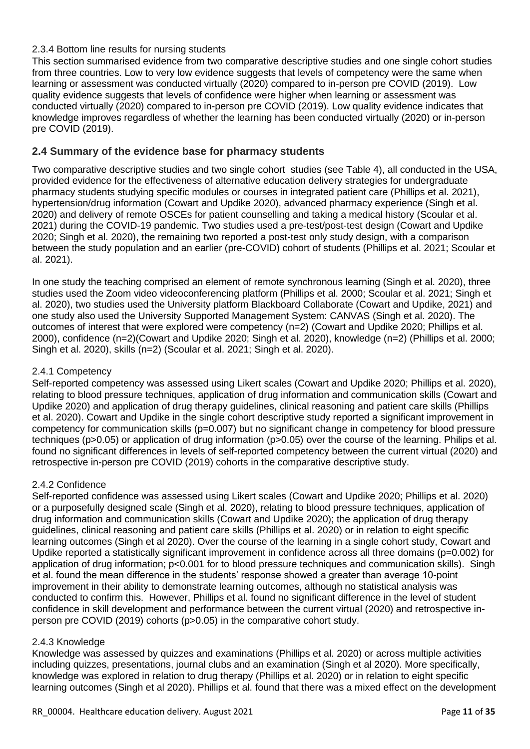### <span id="page-10-0"></span>2.3.4 Bottom line results for nursing students

This section summarised evidence from two comparative descriptive studies and one single cohort studies from three countries. Low to very low evidence suggests that levels of competency were the same when learning or assessment was conducted virtually (2020) compared to in-person pre COVID (2019). Low quality evidence suggests that levels of confidence were higher when learning or assessment was conducted virtually (2020) compared to in-person pre COVID (2019). Low quality evidence indicates that knowledge improves regardless of whether the learning has been conducted virtually (2020) or in-person pre COVID (2019).

### <span id="page-10-1"></span>**2.4 Summary of the evidence base for pharmacy students**

Two comparative descriptive studies and two single cohort studies (see Table 4), all conducted in the USA, provided evidence for the effectiveness of alternative education delivery strategies for undergraduate pharmacy students studying specific modules or courses in integrated patient care (Phillips et al. 2021), hypertension/drug information (Cowart and Updike 2020), advanced pharmacy experience (Singh et al. 2020) and delivery of remote OSCEs for patient counselling and taking a medical history (Scoular et al. 2021) during the COVID-19 pandemic. Two studies used a pre-test/post-test design (Cowart and Updike 2020; Singh et al. 2020), the remaining two reported a post-test only study design, with a comparison between the study population and an earlier (pre-COVID) cohort of students (Phillips et al. 2021; Scoular et al. 2021).

In one study the teaching comprised an element of remote synchronous learning (Singh et al. 2020), three studies used the Zoom video videoconferencing platform (Phillips et al. 2000; Scoular et al. 2021; Singh et al. 2020), two studies used the University platform Blackboard Collaborate (Cowart and Updike, 2021) and one study also used the University Supported Management System: CANVAS (Singh et al. 2020). The outcomes of interest that were explored were competency (n=2) (Cowart and Updike 2020; Phillips et al. 2000), confidence (n=2)(Cowart and Updike 2020; Singh et al. 2020), knowledge (n=2) (Phillips et al. 2000; Singh et al. 2020), skills (n=2) (Scoular et al. 2021; Singh et al. 2020).

### <span id="page-10-2"></span>2.4.1 Competency

Self-reported competency was assessed using Likert scales (Cowart and Updike 2020; Phillips et al. 2020), relating to blood pressure techniques, application of drug information and communication skills (Cowart and Updike 2020) and application of drug therapy guidelines, clinical reasoning and patient care skills (Phillips et al. 2020). Cowart and Updike in the single cohort descriptive study reported a significant improvement in competency for communication skills (p=0.007) but no significant change in competency for blood pressure techniques (p>0.05) or application of drug information (p>0.05) over the course of the learning. Philips et al. found no significant differences in levels of self-reported competency between the current virtual (2020) and retrospective in-person pre COVID (2019) cohorts in the comparative descriptive study.

### <span id="page-10-3"></span>2.4.2 Confidence

Self-reported confidence was assessed using Likert scales (Cowart and Updike 2020; Phillips et al. 2020) or a purposefully designed scale (Singh et al. 2020), relating to blood pressure techniques, application of drug information and communication skills (Cowart and Updike 2020); the application of drug therapy guidelines, clinical reasoning and patient care skills (Phillips et al. 2020) or in relation to eight specific learning outcomes (Singh et al 2020). Over the course of the learning in a single cohort study, Cowart and Updike reported a statistically significant improvement in confidence across all three domains (p=0.002) for application of drug information; p<0.001 for to blood pressure techniques and communication skills). Singh et al. found the mean difference in the students' response showed a greater than average 10-point improvement in their ability to demonstrate learning outcomes, although no statistical analysis was conducted to confirm this. However, Phillips et al. found no significant difference in the level of student confidence in skill development and performance between the current virtual (2020) and retrospective inperson pre COVID (2019) cohorts (p>0.05) in the comparative cohort study.

### <span id="page-10-4"></span>2.4.3 Knowledge

Knowledge was assessed by quizzes and examinations (Phillips et al. 2020) or across multiple activities including quizzes, presentations, journal clubs and an examination (Singh et al 2020). More specifically, knowledge was explored in relation to drug therapy (Phillips et al. 2020) or in relation to eight specific learning outcomes (Singh et al 2020). Phillips et al. found that there was a mixed effect on the development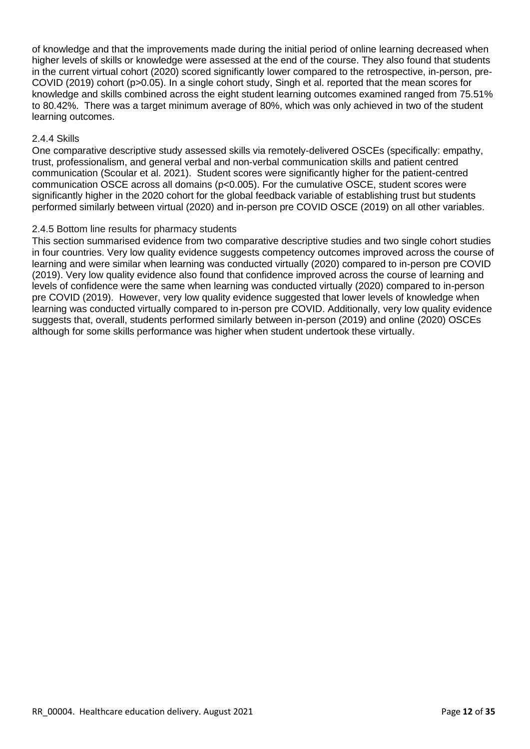of knowledge and that the improvements made during the initial period of online learning decreased when higher levels of skills or knowledge were assessed at the end of the course. They also found that students in the current virtual cohort (2020) scored significantly lower compared to the retrospective, in-person, pre-COVID (2019) cohort (p>0.05). In a single cohort study, Singh et al. reported that the mean scores for knowledge and skills combined across the eight student learning outcomes examined ranged from 75.51% to 80.42%. There was a target minimum average of 80%, which was only achieved in two of the student learning outcomes.

#### <span id="page-11-0"></span>2.4.4 Skills

One comparative descriptive study assessed skills via remotely-delivered OSCEs (specifically: empathy, trust, professionalism, and general verbal and non-verbal communication skills and patient centred communication (Scoular et al. 2021). Student scores were significantly higher for the patient-centred communication OSCE across all domains (p<0.005). For the cumulative OSCE, student scores were significantly higher in the 2020 cohort for the global feedback variable of establishing trust but students performed similarly between virtual (2020) and in-person pre COVID OSCE (2019) on all other variables.

#### <span id="page-11-1"></span>2.4.5 Bottom line results for pharmacy students

This section summarised evidence from two comparative descriptive studies and two single cohort studies in four countries. Very low quality evidence suggests competency outcomes improved across the course of learning and were similar when learning was conducted virtually (2020) compared to in-person pre COVID (2019). Very low quality evidence also found that confidence improved across the course of learning and levels of confidence were the same when learning was conducted virtually (2020) compared to in-person pre COVID (2019). However, very low quality evidence suggested that lower levels of knowledge when learning was conducted virtually compared to in-person pre COVID. Additionally, very low quality evidence suggests that, overall, students performed similarly between in-person (2019) and online (2020) OSCEs although for some skills performance was higher when student undertook these virtually.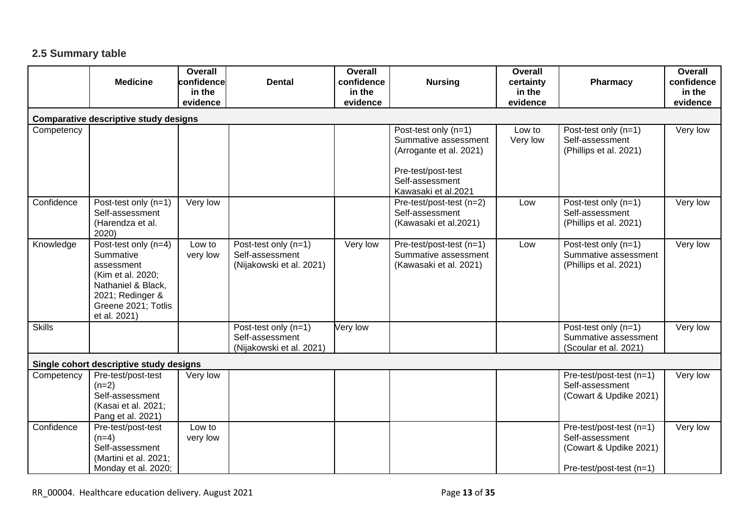# **2.5 Summary table**

<span id="page-12-0"></span>

|               | <b>Medicine</b>                                                                                                                                       | Overall<br>confidence<br>in the | <b>Dental</b>                                                       | Overall<br>confidence<br>in the | <b>Nursing</b>                                                                                                   | Overall<br>certainty<br>in the | Pharmacy                                                                                          | <b>Overall</b><br>confidence<br>in the |
|---------------|-------------------------------------------------------------------------------------------------------------------------------------------------------|---------------------------------|---------------------------------------------------------------------|---------------------------------|------------------------------------------------------------------------------------------------------------------|--------------------------------|---------------------------------------------------------------------------------------------------|----------------------------------------|
|               |                                                                                                                                                       | evidence                        |                                                                     | evidence                        |                                                                                                                  | evidence                       |                                                                                                   | evidence                               |
|               | <b>Comparative descriptive study designs</b>                                                                                                          |                                 |                                                                     |                                 |                                                                                                                  |                                |                                                                                                   |                                        |
| Competency    |                                                                                                                                                       |                                 |                                                                     |                                 | Post-test only (n=1)<br>Summative assessment<br>(Arrogante et al. 2021)<br>Pre-test/post-test<br>Self-assessment | Low to<br>Very low             | Post-test only (n=1)<br>Self-assessment<br>(Phillips et al. 2021)                                 | Very low                               |
|               |                                                                                                                                                       |                                 |                                                                     |                                 | Kawasaki et al.2021                                                                                              |                                |                                                                                                   |                                        |
| Confidence    | Post-test only (n=1)<br>Self-assessment<br>(Harendza et al.<br>2020)                                                                                  | Very low                        |                                                                     |                                 | Pre-test/post-test (n=2)<br>Self-assessment<br>(Kawasaki et al.2021)                                             | Low                            | Post-test only (n=1)<br>Self-assessment<br>(Phillips et al. 2021)                                 | Very low                               |
| Knowledge     | Post-test only (n=4)<br>Summative<br>assessment<br>(Kim et al. 2020;<br>Nathaniel & Black,<br>2021; Redinger &<br>Greene 2021; Totlis<br>et al. 2021) | Low to<br>very low              | Post-test only (n=1)<br>Self-assessment<br>(Nijakowski et al. 2021) | Very low                        | Pre-test/post-test (n=1)<br>Summative assessment<br>(Kawasaki et al. 2021)                                       | Low                            | Post-test only (n=1)<br>Summative assessment<br>(Phillips et al. 2021)                            | Very low                               |
| <b>Skills</b> |                                                                                                                                                       |                                 | Post-test only (n=1)<br>Self-assessment<br>(Nijakowski et al. 2021) | Very low                        |                                                                                                                  |                                | Post-test only (n=1)<br>Summative assessment<br>(Scoular et al. 2021)                             | Very low                               |
|               | Single cohort descriptive study designs                                                                                                               |                                 |                                                                     |                                 |                                                                                                                  |                                |                                                                                                   |                                        |
| Competency    | Pre-test/post-test<br>$(n=2)$<br>Self-assessment<br>(Kasai et al. 2021;<br>Pang et al. 2021)                                                          | Very low                        |                                                                     |                                 |                                                                                                                  |                                | Pre-test/post-test (n=1)<br>Self-assessment<br>(Cowart & Updike 2021)                             | Very low                               |
| Confidence    | Pre-test/post-test<br>$(n=4)$<br>Self-assessment<br>(Martini et al. 2021;<br>Monday et al. 2020;                                                      | Low to<br>very low              |                                                                     |                                 |                                                                                                                  |                                | Pre-test/post-test (n=1)<br>Self-assessment<br>(Cowart & Updike 2021)<br>Pre-test/post-test (n=1) | Very low                               |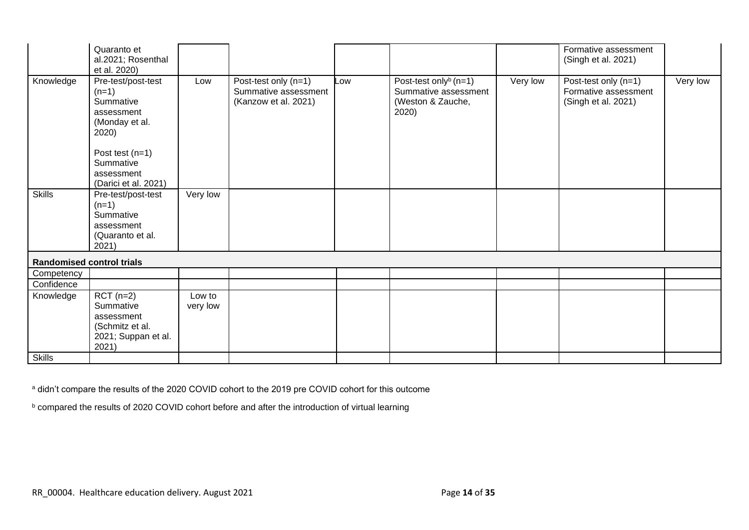|                                  | Quaranto et<br>al.2021; Rosenthal                                                   |          |                                                                      |     |                                                                                         |          | Formative assessment<br>(Singh et al. 2021)                         |          |
|----------------------------------|-------------------------------------------------------------------------------------|----------|----------------------------------------------------------------------|-----|-----------------------------------------------------------------------------------------|----------|---------------------------------------------------------------------|----------|
|                                  | et al. 2020)                                                                        |          |                                                                      |     |                                                                                         |          |                                                                     |          |
| Knowledge                        | Pre-test/post-test<br>$(n=1)$<br>Summative<br>assessment<br>(Monday et al.<br>2020) | Low      | Post-test only (n=1)<br>Summative assessment<br>(Kanzow et al. 2021) | Low | Post-test only <sup>b</sup> (n=1)<br>Summative assessment<br>(Weston & Zauche,<br>2020) | Very low | Post-test only (n=1)<br>Formative assessment<br>(Singh et al. 2021) | Very low |
|                                  | Post test $(n=1)$                                                                   |          |                                                                      |     |                                                                                         |          |                                                                     |          |
|                                  | Summative                                                                           |          |                                                                      |     |                                                                                         |          |                                                                     |          |
|                                  | assessment                                                                          |          |                                                                      |     |                                                                                         |          |                                                                     |          |
|                                  | (Darici et al. 2021)                                                                |          |                                                                      |     |                                                                                         |          |                                                                     |          |
| <b>Skills</b>                    | Pre-test/post-test                                                                  | Very low |                                                                      |     |                                                                                         |          |                                                                     |          |
|                                  | $(n=1)$<br>Summative                                                                |          |                                                                      |     |                                                                                         |          |                                                                     |          |
|                                  | assessment                                                                          |          |                                                                      |     |                                                                                         |          |                                                                     |          |
|                                  | (Quaranto et al.                                                                    |          |                                                                      |     |                                                                                         |          |                                                                     |          |
|                                  | 2021)                                                                               |          |                                                                      |     |                                                                                         |          |                                                                     |          |
| <b>Randomised control trials</b> |                                                                                     |          |                                                                      |     |                                                                                         |          |                                                                     |          |
| Competency                       |                                                                                     |          |                                                                      |     |                                                                                         |          |                                                                     |          |
| Confidence                       |                                                                                     |          |                                                                      |     |                                                                                         |          |                                                                     |          |
| Knowledge                        | $RCT(n=2)$                                                                          | Low to   |                                                                      |     |                                                                                         |          |                                                                     |          |
|                                  | Summative                                                                           | very low |                                                                      |     |                                                                                         |          |                                                                     |          |
|                                  | assessment                                                                          |          |                                                                      |     |                                                                                         |          |                                                                     |          |
|                                  | (Schmitz et al.<br>2021; Suppan et al.                                              |          |                                                                      |     |                                                                                         |          |                                                                     |          |
|                                  | 2021)                                                                               |          |                                                                      |     |                                                                                         |          |                                                                     |          |
| Skills                           |                                                                                     |          |                                                                      |     |                                                                                         |          |                                                                     |          |

a didn't compare the results of the 2020 COVID cohort to the 2019 pre COVID cohort for this outcome

b compared the results of 2020 COVID cohort before and after the introduction of virtual learning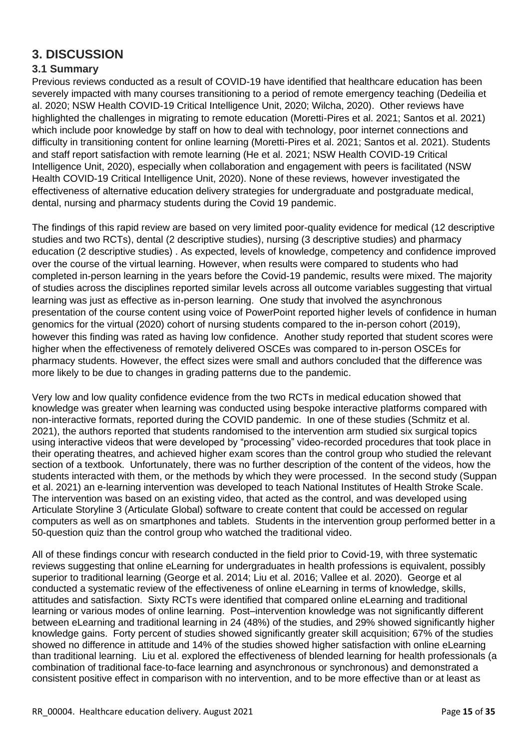# <span id="page-14-0"></span>**3. DISCUSSION**

### <span id="page-14-1"></span>**3.1 Summary**

Previous reviews conducted as a result of COVID-19 have identified that healthcare education has been severely impacted with many courses transitioning to a period of remote emergency teaching (Dedeilia et al. 2020; NSW Health COVID-19 Critical Intelligence Unit, 2020; Wilcha, 2020). Other reviews have highlighted the challenges in migrating to remote education (Moretti-Pires et al. 2021; Santos et al. 2021) which include poor knowledge by staff on how to deal with technology, poor internet connections and difficulty in transitioning content for online learning (Moretti-Pires et al. 2021; Santos et al. 2021). Students and staff report satisfaction with remote learning (He et al. 2021; NSW Health COVID-19 Critical Intelligence Unit, 2020), especially when collaboration and engagement with peers is facilitated (NSW Health COVID-19 Critical Intelligence Unit, 2020). None of these reviews, however investigated the effectiveness of alternative education delivery strategies for undergraduate and postgraduate medical, dental, nursing and pharmacy students during the Covid 19 pandemic.

The findings of this rapid review are based on very limited poor-quality evidence for medical (12 descriptive studies and two RCTs), dental (2 descriptive studies), nursing (3 descriptive studies) and pharmacy education (2 descriptive studies) . As expected, levels of knowledge, competency and confidence improved over the course of the virtual learning. However, when results were compared to students who had completed in-person learning in the years before the Covid-19 pandemic, results were mixed. The majority of studies across the disciplines reported similar levels across all outcome variables suggesting that virtual learning was just as effective as in-person learning. One study that involved the asynchronous presentation of the course content using voice of PowerPoint reported higher levels of confidence in human genomics for the virtual (2020) cohort of nursing students compared to the in-person cohort (2019), however this finding was rated as having low confidence. Another study reported that student scores were higher when the effectiveness of remotely delivered OSCEs was compared to in-person OSCEs for pharmacy students. However, the effect sizes were small and authors concluded that the difference was more likely to be due to changes in grading patterns due to the pandemic.

Very low and low quality confidence evidence from the two RCTs in medical education showed that knowledge was greater when learning was conducted using bespoke interactive platforms compared with non-interactive formats, reported during the COVID pandemic. In one of these studies (Schmitz et al. 2021), the authors reported that students randomised to the intervention arm studied six surgical topics using interactive videos that were developed by "processing" video-recorded procedures that took place in their operating theatres, and achieved higher exam scores than the control group who studied the relevant section of a textbook. Unfortunately, there was no further description of the content of the videos, how the students interacted with them, or the methods by which they were processed. In the second study (Suppan et al. 2021) an e-learning intervention was developed to teach National Institutes of Health Stroke Scale. The intervention was based on an existing video, that acted as the control, and was developed using Articulate Storyline 3 (Articulate Global) software to create content that could be accessed on regular computers as well as on smartphones and tablets. Students in the intervention group performed better in a 50-question quiz than the control group who watched the traditional video.

All of these findings concur with research conducted in the field prior to Covid-19, with three systematic reviews suggesting that online eLearning for undergraduates in health professions is equivalent, possibly superior to traditional learning (George et al. 2014; Liu et al. 2016; Vallee et al. 2020). George et al conducted a systematic review of the effectiveness of online eLearning in terms of knowledge, skills, attitudes and satisfaction. Sixty RCTs were identified that compared online eLearning and traditional learning or various modes of online learning. Post–intervention knowledge was not significantly different between eLearning and traditional learning in 24 (48%) of the studies, and 29% showed significantly higher knowledge gains. Forty percent of studies showed significantly greater skill acquisition; 67% of the studies showed no difference in attitude and 14% of the studies showed higher satisfaction with online eLearning than traditional learning. Liu et al. explored the effectiveness of blended learning for health professionals (a combination of traditional face-to-face learning and asynchronous or synchronous) and demonstrated a consistent positive effect in comparison with no intervention, and to be more effective than or at least as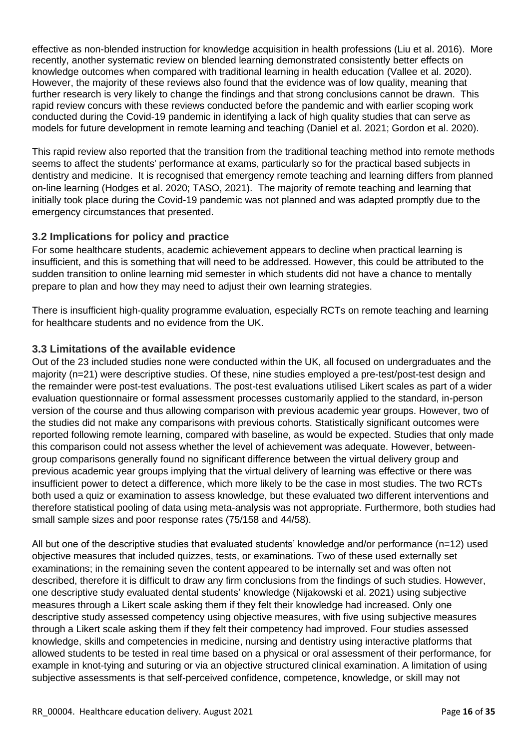effective as non-blended instruction for knowledge acquisition in health professions (Liu et al. 2016). More recently, another systematic review on blended learning demonstrated consistently better effects on knowledge outcomes when compared with traditional learning in health education (Vallee et al. 2020). However, the majority of these reviews also found that the evidence was of low quality, meaning that further research is very likely to change the findings and that strong conclusions cannot be drawn. This rapid review concurs with these reviews conducted before the pandemic and with earlier scoping work conducted during the Covid-19 pandemic in identifying a lack of high quality studies that can serve as models for future development in remote learning and teaching (Daniel et al. 2021; Gordon et al. 2020).

This rapid review also reported that the transition from the traditional teaching method into remote methods seems to affect the students' performance at exams, particularly so for the practical based subjects in dentistry and medicine. It is recognised that emergency remote teaching and learning differs from planned on-line learning (Hodges et al. 2020; TASO, 2021). The majority of remote teaching and learning that initially took place during the Covid-19 pandemic was not planned and was adapted promptly due to the emergency circumstances that presented.

# <span id="page-15-0"></span>**3.2 Implications for policy and practice**

For some healthcare students, academic achievement appears to decline when practical learning is insufficient, and this is something that will need to be addressed. However, this could be attributed to the sudden transition to online learning mid semester in which students did not have a chance to mentally prepare to plan and how they may need to adjust their own learning strategies.

There is insufficient high-quality programme evaluation, especially RCTs on remote teaching and learning for healthcare students and no evidence from the UK.

# <span id="page-15-1"></span>**3.3 Limitations of the available evidence**

Out of the 23 included studies none were conducted within the UK, all focused on undergraduates and the majority (n=21) were descriptive studies. Of these, nine studies employed a pre-test/post-test design and the remainder were post-test evaluations. The post-test evaluations utilised Likert scales as part of a wider evaluation questionnaire or formal assessment processes customarily applied to the standard, in-person version of the course and thus allowing comparison with previous academic year groups. However, two of the studies did not make any comparisons with previous cohorts. Statistically significant outcomes were reported following remote learning, compared with baseline, as would be expected. Studies that only made this comparison could not assess whether the level of achievement was adequate. However, betweengroup comparisons generally found no significant difference between the virtual delivery group and previous academic year groups implying that the virtual delivery of learning was effective or there was insufficient power to detect a difference, which more likely to be the case in most studies. The two RCTs both used a quiz or examination to assess knowledge, but these evaluated two different interventions and therefore statistical pooling of data using meta-analysis was not appropriate. Furthermore, both studies had small sample sizes and poor response rates (75/158 and 44/58).

All but one of the descriptive studies that evaluated students' knowledge and/or performance (n=12) used objective measures that included quizzes, tests, or examinations. Two of these used externally set examinations; in the remaining seven the content appeared to be internally set and was often not described, therefore it is difficult to draw any firm conclusions from the findings of such studies. However, one descriptive study evaluated dental students' knowledge (Nijakowski et al. 2021) using subjective measures through a Likert scale asking them if they felt their knowledge had increased. Only one descriptive study assessed competency using objective measures, with five using subjective measures through a Likert scale asking them if they felt their competency had improved. Four studies assessed knowledge, skills and competencies in medicine, nursing and dentistry using interactive platforms that allowed students to be tested in real time based on a physical or oral assessment of their performance, for example in knot-tying and suturing or via an objective structured clinical examination. A limitation of using subjective assessments is that self-perceived confidence, competence, knowledge, or skill may not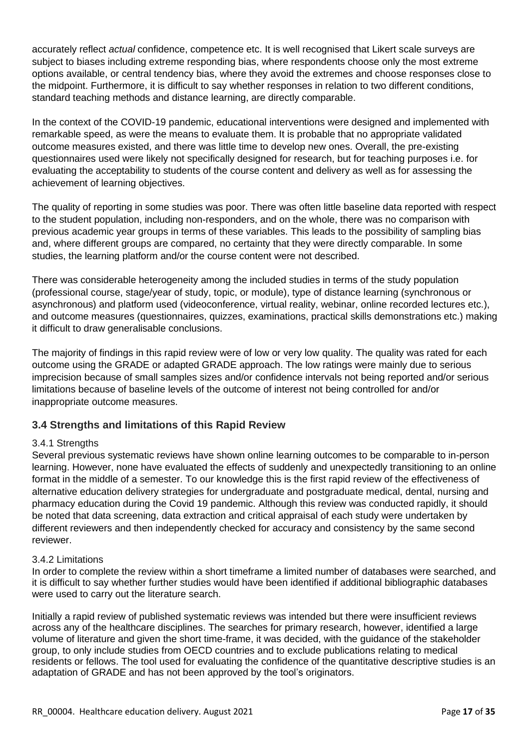accurately reflect *actual* confidence, competence etc. It is well recognised that Likert scale surveys are subject to biases including extreme responding bias, where respondents choose only the most extreme options available, or central tendency bias, where they avoid the extremes and choose responses close to the midpoint. Furthermore, it is difficult to say whether responses in relation to two different conditions, standard teaching methods and distance learning, are directly comparable.

In the context of the COVID-19 pandemic, educational interventions were designed and implemented with remarkable speed, as were the means to evaluate them. It is probable that no appropriate validated outcome measures existed, and there was little time to develop new ones. Overall, the pre-existing questionnaires used were likely not specifically designed for research, but for teaching purposes i.e. for evaluating the acceptability to students of the course content and delivery as well as for assessing the achievement of learning objectives.

The quality of reporting in some studies was poor. There was often little baseline data reported with respect to the student population, including non-responders, and on the whole, there was no comparison with previous academic year groups in terms of these variables. This leads to the possibility of sampling bias and, where different groups are compared, no certainty that they were directly comparable. In some studies, the learning platform and/or the course content were not described.

There was considerable heterogeneity among the included studies in terms of the study population (professional course, stage/year of study, topic, or module), type of distance learning (synchronous or asynchronous) and platform used (videoconference, virtual reality, webinar, online recorded lectures etc.), and outcome measures (questionnaires, quizzes, examinations, practical skills demonstrations etc.) making it difficult to draw generalisable conclusions.

The majority of findings in this rapid review were of low or very low quality. The quality was rated for each outcome using the GRADE or adapted GRADE approach. The low ratings were mainly due to serious imprecision because of small samples sizes and/or confidence intervals not being reported and/or serious limitations because of baseline levels of the outcome of interest not being controlled for and/or inappropriate outcome measures.

### <span id="page-16-0"></span>**3.4 Strengths and limitations of this Rapid Review**

### <span id="page-16-1"></span>3.4.1 Strengths

Several previous systematic reviews have shown online learning outcomes to be comparable to in-person learning. However, none have evaluated the effects of suddenly and unexpectedly transitioning to an online format in the middle of a semester. To our knowledge this is the first rapid review of the effectiveness of alternative education delivery strategies for undergraduate and postgraduate medical, dental, nursing and pharmacy education during the Covid 19 pandemic. Although this review was conducted rapidly, it should be noted that data screening, data extraction and critical appraisal of each study were undertaken by different reviewers and then independently checked for accuracy and consistency by the same second reviewer.

### <span id="page-16-2"></span>3.4.2 Limitations

In order to complete the review within a short timeframe a limited number of databases were searched, and it is difficult to say whether further studies would have been identified if additional bibliographic databases were used to carry out the literature search.

Initially a rapid review of published systematic reviews was intended but there were insufficient reviews across any of the healthcare disciplines. The searches for primary research, however, identified a large volume of literature and given the short time-frame, it was decided, with the guidance of the stakeholder group, to only include studies from OECD countries and to exclude publications relating to medical residents or fellows. The tool used for evaluating the confidence of the quantitative descriptive studies is an adaptation of GRADE and has not been approved by the tool's originators.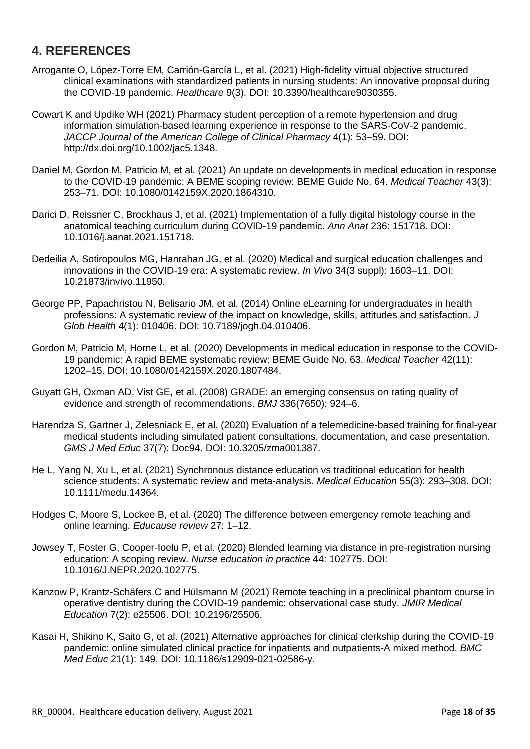# <span id="page-17-0"></span>**4. REFERENCES**

- Arrogante O, López-Torre EM, Carrión-García L, et al. (2021) High-fidelity virtual objective structured clinical examinations with standardized patients in nursing students: An innovative proposal during the COVID-19 pandemic. *Healthcare* 9(3). DOI: 10.3390/healthcare9030355.
- Cowart K and Updike WH (2021) Pharmacy student perception of a remote hypertension and drug information simulation-based learning experience in response to the SARS-CoV-2 pandemic. *JACCP Journal of the American College of Clinical Pharmacy* 4(1): 53–59. DOI: http://dx.doi.org/10.1002/jac5.1348.
- Daniel M, Gordon M, Patricio M, et al. (2021) An update on developments in medical education in response to the COVID-19 pandemic: A BEME scoping review: BEME Guide No. 64. *Medical Teacher* 43(3): 253–71. DOI: 10.1080/0142159X.2020.1864310.
- Darici D, Reissner C, Brockhaus J, et al. (2021) Implementation of a fully digital histology course in the anatomical teaching curriculum during COVID-19 pandemic. *Ann Anat* 236: 151718. DOI: 10.1016/j.aanat.2021.151718.
- Dedeilia A, Sotiropoulos MG, Hanrahan JG, et al. (2020) Medical and surgical education challenges and innovations in the COVID-19 era: A systematic review. *In Vivo* 34(3 suppl): 1603–11. DOI: 10.21873/invivo.11950.
- George PP, Papachristou N, Belisario JM, et al. (2014) Online eLearning for undergraduates in health professions: A systematic review of the impact on knowledge, skills, attitudes and satisfaction. *J Glob Health* 4(1): 010406. DOI: 10.7189/jogh.04.010406.
- Gordon M, Patricio M, Horne L, et al. (2020) Developments in medical education in response to the COVID-19 pandemic: A rapid BEME systematic review: BEME Guide No. 63. *Medical Teacher* 42(11): 1202–15. DOI: 10.1080/0142159X.2020.1807484.
- Guyatt GH, Oxman AD, Vist GE, et al. (2008) GRADE: an emerging consensus on rating quality of evidence and strength of recommendations. *BMJ* 336(7650): 924–6.
- Harendza S, Gartner J, Zelesniack E, et al. (2020) Evaluation of a telemedicine-based training for final-year medical students including simulated patient consultations, documentation, and case presentation. *GMS J Med Educ* 37(7): Doc94. DOI: 10.3205/zma001387.
- He L, Yang N, Xu L, et al. (2021) Synchronous distance education vs traditional education for health science students: A systematic review and meta-analysis. *Medical Education* 55(3): 293–308. DOI: 10.1111/medu.14364.
- Hodges C, Moore S, Lockee B, et al. (2020) The difference between emergency remote teaching and online learning. *Educause review* 27: 1–12.
- Jowsey T, Foster G, Cooper-Ioelu P, et al. (2020) Blended learning via distance in pre-registration nursing education: A scoping review. *Nurse education in practice* 44: 102775. DOI: 10.1016/J.NEPR.2020.102775.
- Kanzow P, Krantz-Schäfers C and Hülsmann M (2021) Remote teaching in a preclinical phantom course in operative dentistry during the COVID-19 pandemic: observational case study. *JMIR Medical Education* 7(2): e25506. DOI: 10.2196/25506.
- Kasai H, Shikino K, Saito G, et al. (2021) Alternative approaches for clinical clerkship during the COVID-19 pandemic: online simulated clinical practice for inpatients and outpatients-A mixed method. *BMC Med Educ* 21(1): 149. DOI: 10.1186/s12909-021-02586-y.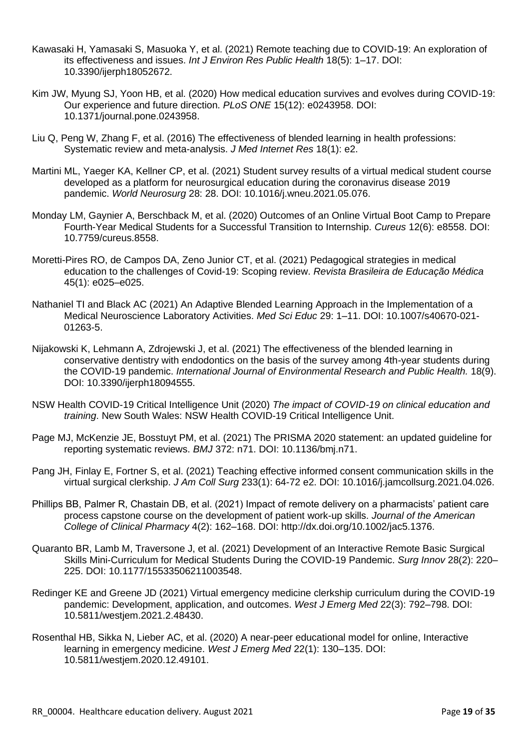- Kawasaki H, Yamasaki S, Masuoka Y, et al. (2021) Remote teaching due to COVID-19: An exploration of its effectiveness and issues. *Int J Environ Res Public Health* 18(5): 1–17. DOI: 10.3390/ijerph18052672.
- Kim JW, Myung SJ, Yoon HB, et al. (2020) How medical education survives and evolves during COVID-19: Our experience and future direction. *PLoS ONE* 15(12): e0243958. DOI: 10.1371/journal.pone.0243958.
- Liu Q, Peng W, Zhang F, et al. (2016) The effectiveness of blended learning in health professions: Systematic review and meta-analysis. *J Med Internet Res* 18(1): e2.
- Martini ML, Yaeger KA, Kellner CP, et al. (2021) Student survey results of a virtual medical student course developed as a platform for neurosurgical education during the coronavirus disease 2019 pandemic. *World Neurosurg* 28: 28. DOI: 10.1016/j.wneu.2021.05.076.
- Monday LM, Gaynier A, Berschback M, et al. (2020) Outcomes of an Online Virtual Boot Camp to Prepare Fourth-Year Medical Students for a Successful Transition to Internship. *Cureus* 12(6): e8558. DOI: 10.7759/cureus.8558.
- Moretti-Pires RO, de Campos DA, Zeno Junior CT, et al. (2021) Pedagogical strategies in medical education to the challenges of Covid-19: Scoping review. *Revista Brasileira de Educação Médica* 45(1): e025–e025.
- Nathaniel TI and Black AC (2021) An Adaptive Blended Learning Approach in the Implementation of a Medical Neuroscience Laboratory Activities. *Med Sci Educ* 29: 1–11. DOI: 10.1007/s40670-021- 01263-5.
- Nijakowski K, Lehmann A, Zdrojewski J, et al. (2021) The effectiveness of the blended learning in conservative dentistry with endodontics on the basis of the survey among 4th-year students during the COVID-19 pandemic. *International Journal of Environmental Research and Public Health.* 18(9). DOI: 10.3390/ijerph18094555.
- NSW Health COVID-19 Critical Intelligence Unit (2020) *The impact of COVID-19 on clinical education and training*. New South Wales: NSW Health COVID-19 Critical Intelligence Unit.
- Page MJ, McKenzie JE, Bosstuyt PM, et al. (2021) The PRISMA 2020 statement: an updated guideline for reporting systematic reviews. *BMJ* 372: n71. DOI: 10.1136/bmj.n71.
- Pang JH, Finlay E, Fortner S, et al. (2021) Teaching effective informed consent communication skills in the virtual surgical clerkship. *J Am Coll Surg* 233(1): 64-72 e2. DOI: 10.1016/j.jamcollsurg.2021.04.026.
- Phillips BB, Palmer R, Chastain DB, et al. (2021) Impact of remote delivery on a pharmacists' patient care process capstone course on the development of patient work-up skills. *Journal of the American College of Clinical Pharmacy* 4(2): 162–168. DOI: http://dx.doi.org/10.1002/jac5.1376.
- Quaranto BR, Lamb M, Traversone J, et al. (2021) Development of an Interactive Remote Basic Surgical Skills Mini-Curriculum for Medical Students During the COVID-19 Pandemic. *Surg Innov* 28(2): 220– 225. DOI: 10.1177/15533506211003548.
- Redinger KE and Greene JD (2021) Virtual emergency medicine clerkship curriculum during the COVID-19 pandemic: Development, application, and outcomes. *West J Emerg Med* 22(3): 792–798. DOI: 10.5811/westjem.2021.2.48430.
- Rosenthal HB, Sikka N, Lieber AC, et al. (2020) A near-peer educational model for online, Interactive learning in emergency medicine. *West J Emerg Med* 22(1): 130–135. DOI: 10.5811/westjem.2020.12.49101.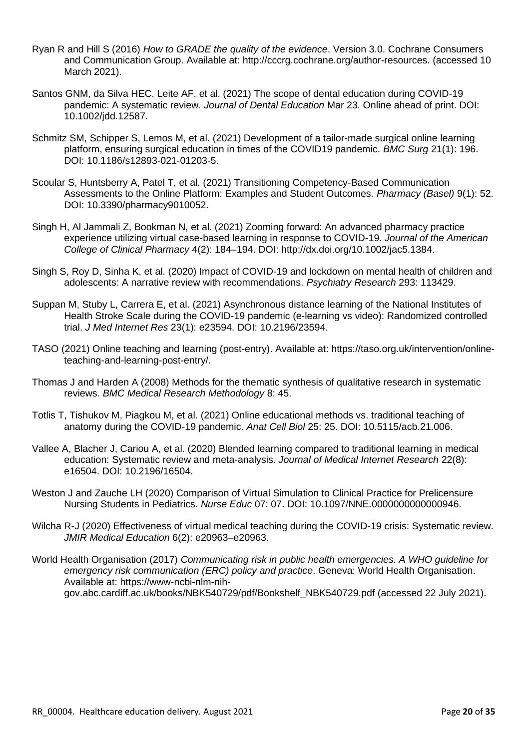- Ryan R and Hill S (2016) *How to GRADE the quality of the evidence*. Version 3.0. Cochrane Consumers and Communication Group. Available at: http://cccrg.cochrane.org/author-resources. (accessed 10 March 2021).
- Santos GNM, da Silva HEC, Leite AF, et al. (2021) The scope of dental education during COVID-19 pandemic: A systematic review. *Journal of Dental Education* Mar 23. Online ahead of print. DOI: 10.1002/jdd.12587.
- Schmitz SM, Schipper S, Lemos M, et al. (2021) Development of a tailor-made surgical online learning platform, ensuring surgical education in times of the COVID19 pandemic. *BMC Surg* 21(1): 196. DOI: 10.1186/s12893-021-01203-5.
- Scoular S, Huntsberry A, Patel T, et al. (2021) Transitioning Competency-Based Communication Assessments to the Online Platform: Examples and Student Outcomes. *Pharmacy (Basel)* 9(1): 52. DOI: 10.3390/pharmacy9010052.
- Singh H, Al Jammali Z, Bookman N, et al. (2021) Zooming forward: An advanced pharmacy practice experience utilizing virtual case-based learning in response to COVID-19. *Journal of the American College of Clinical Pharmacy* 4(2): 184–194. DOI: http://dx.doi.org/10.1002/jac5.1384.
- Singh S, Roy D, Sinha K, et al. (2020) Impact of COVID-19 and lockdown on mental health of children and adolescents: A narrative review with recommendations. *Psychiatry Research* 293: 113429.
- Suppan M, Stuby L, Carrera E, et al. (2021) Asynchronous distance learning of the National Institutes of Health Stroke Scale during the COVID-19 pandemic (e-learning vs video): Randomized controlled trial. *J Med Internet Res* 23(1): e23594. DOI: 10.2196/23594.
- TASO (2021) Online teaching and learning (post-entry). Available at: https://taso.org.uk/intervention/onlineteaching-and-learning-post-entry/.
- Thomas J and Harden A (2008) Methods for the thematic synthesis of qualitative research in systematic reviews. *BMC Medical Research Methodology* 8: 45.
- Totlis T, Tishukov M, Piagkou M, et al. (2021) Online educational methods vs. traditional teaching of anatomy during the COVID-19 pandemic. *Anat Cell Biol* 25: 25. DOI: 10.5115/acb.21.006.
- Vallee A, Blacher J, Cariou A, et al. (2020) Blended learning compared to traditional learning in medical education: Systematic review and meta-analysis. *Journal of Medical Internet Research* 22(8): e16504. DOI: 10.2196/16504.
- Weston J and Zauche LH (2020) Comparison of Virtual Simulation to Clinical Practice for Prelicensure Nursing Students in Pediatrics. *Nurse Educ* 07: 07. DOI: 10.1097/NNE.0000000000000946.
- Wilcha R-J (2020) Effectiveness of virtual medical teaching during the COVID-19 crisis: Systematic review. *JMIR Medical Education* 6(2): e20963–e20963.
- World Health Organisation (2017) *Communicating risk in public health emergencies. A WHO guideline for emergency risk communication (ERC) policy and practice*. Geneva: World Health Organisation. Available at: https://www-ncbi-nlm-nihgov.abc.cardiff.ac.uk/books/NBK540729/pdf/Bookshelf\_NBK540729.pdf (accessed 22 July 2021).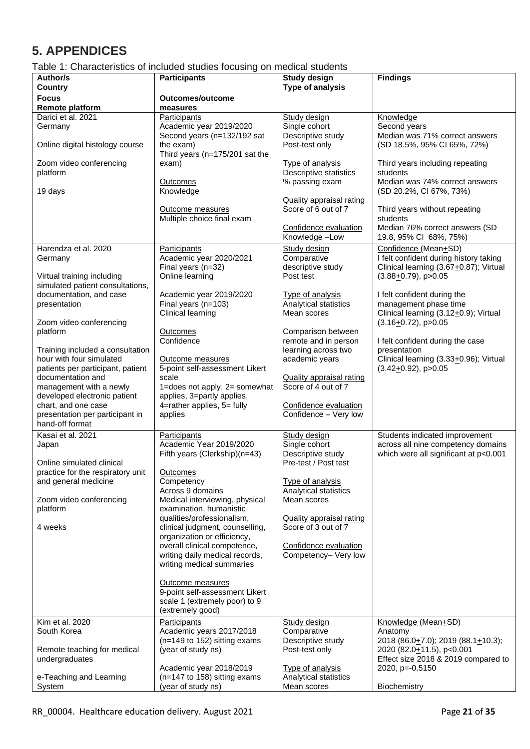# <span id="page-20-0"></span>**5. APPENDICES**

# <span id="page-20-1"></span>Table 1: Characteristics of included studies focusing on medical students

| Author/s                                                  | <b>Participants</b>                                                | <b>Study design</b>                                    | <b>Findings</b>                                                             |
|-----------------------------------------------------------|--------------------------------------------------------------------|--------------------------------------------------------|-----------------------------------------------------------------------------|
| Country                                                   |                                                                    | <b>Type of analysis</b>                                |                                                                             |
| <b>Focus</b><br><b>Remote platform</b>                    | Outcomes/outcome<br>measures                                       |                                                        |                                                                             |
| Darici et al. 2021                                        | Participants                                                       | Study design                                           | Knowledge                                                                   |
| Germany                                                   | Academic year 2019/2020<br>Second years (n=132/192 sat             | Single cohort<br>Descriptive study                     | Second years<br>Median was 71% correct answers                              |
| Online digital histology course                           | the exam)                                                          | Post-test only                                         | (SD 18.5%, 95% CI 65%, 72%)                                                 |
|                                                           | Third years (n=175/201 sat the                                     |                                                        |                                                                             |
| Zoom video conferencing<br>platform                       | exam)                                                              | Type of analysis<br><b>Descriptive statistics</b>      | Third years including repeating<br>students                                 |
|                                                           | <b>Outcomes</b>                                                    | % passing exam                                         | Median was 74% correct answers                                              |
| 19 days                                                   | Knowledge                                                          |                                                        | (SD 20.2%, CI 67%, 73%)                                                     |
|                                                           | Outcome measures                                                   | <b>Quality appraisal rating</b><br>Score of 6 out of 7 | Third years without repeating                                               |
|                                                           | Multiple choice final exam                                         |                                                        | students                                                                    |
|                                                           |                                                                    | Confidence evaluation<br>Knowledge-Low                 | Median 76% correct answers (SD<br>19.8, 95% CI 68%, 75%)                    |
| Harendza et al. 2020                                      | Participants                                                       | Study design                                           | Confidence (Mean+SD)                                                        |
| Germany                                                   | Academic year 2020/2021                                            | Comparative                                            | I felt confident during history taking                                      |
| Virtual training including                                | Final years (n=32)<br>Online learning                              | descriptive study<br>Post test                         | Clinical learning (3.67+0.87); Virtual<br>$(3.88 + 0.79)$ , p > 0.05        |
| simulated patient consultations,                          |                                                                    |                                                        |                                                                             |
| documentation, and case                                   | Academic year 2019/2020                                            | Type of analysis                                       | I felt confident during the                                                 |
| presentation                                              | Final years (n=103)<br>Clinical learning                           | Analytical statistics<br>Mean scores                   | management phase time<br>Clinical learning (3.12+0.9); Virtual              |
| Zoom video conferencing                                   |                                                                    |                                                        | $(3.16+0.72)$ , p>0.05                                                      |
| platform                                                  | <b>Outcomes</b><br>Confidence                                      | Comparison between                                     |                                                                             |
| Training included a consultation                          |                                                                    | remote and in person<br>learning across two            | I felt confident during the case<br>presentation                            |
| hour with four simulated                                  | Outcome measures                                                   | academic years                                         | Clinical learning (3.33+0.96); Virtual                                      |
| patients per participant, patient<br>documentation and    | 5-point self-assessment Likert<br>scale                            | <b>Quality appraisal rating</b>                        | $(3.42+0.92)$ , p>0.05                                                      |
| management with a newly                                   | 1=does not apply, 2= somewhat                                      | Score of 4 out of 7                                    |                                                                             |
| developed electronic patient                              | applies, 3=partly applies,                                         |                                                        |                                                                             |
| chart, and one case<br>presentation per participant in    | 4=rather applies, 5= fully<br>applies                              | Confidence evaluation<br>Confidence - Very low         |                                                                             |
| hand-off format                                           |                                                                    |                                                        |                                                                             |
| Kasai et al. 2021                                         | Participants                                                       | Study design                                           | Students indicated improvement                                              |
| Japan                                                     | Academic Year 2019/2020<br>Fifth years (Clerkship)(n=43)           | Single cohort<br>Descriptive study                     | across all nine competency domains<br>which were all significant at p<0.001 |
| Online simulated clinical                                 |                                                                    | Pre-test / Post test                                   |                                                                             |
| practice for the respiratory unit<br>and general medicine | <b>Outcomes</b><br>Competency                                      | Type of analysis                                       |                                                                             |
|                                                           | Across 9 domains                                                   | Analytical statistics                                  |                                                                             |
| Zoom video conferencing                                   | Medical interviewing, physical                                     | Mean scores                                            |                                                                             |
| platform                                                  | examination, humanistic<br>qualities/professionalism,              | <b>Quality appraisal rating</b>                        |                                                                             |
| 4 weeks                                                   | clinical judgment, counselling,                                    | Score of 3 out of 7                                    |                                                                             |
|                                                           | organization or efficiency,<br>overall clinical competence,        | Confidence evaluation                                  |                                                                             |
|                                                           | writing daily medical records,                                     | Competency- Very low                                   |                                                                             |
|                                                           | writing medical summaries                                          |                                                        |                                                                             |
|                                                           | Outcome measures                                                   |                                                        |                                                                             |
|                                                           | 9-point self-assessment Likert                                     |                                                        |                                                                             |
|                                                           | scale 1 (extremely poor) to 9<br>(extremely good)                  |                                                        |                                                                             |
| Kim et al. 2020                                           | Participants                                                       | Study design                                           | Knowledge (Mean+SD)                                                         |
| South Korea                                               | Academic years 2017/2018<br>(n=149 to 152) sitting exams           | Comparative                                            | Anatomy                                                                     |
| Remote teaching for medical                               | (year of study ns)                                                 | Descriptive study<br>Post-test only                    | 2018 (86.0+7.0); 2019 (88.1+10.3);<br>2020 (82.0+11.5), p<0.001             |
| undergraduates                                            |                                                                    |                                                        | Effect size 2018 & 2019 compared to                                         |
| e-Teaching and Learning                                   | Academic year 2018/2019<br>$(n=147 \text{ to } 158)$ sitting exams | Type of analysis<br>Analytical statistics              | 2020, p=-0.5150                                                             |
| System                                                    | (year of study ns)                                                 | Mean scores                                            | Biochemistry                                                                |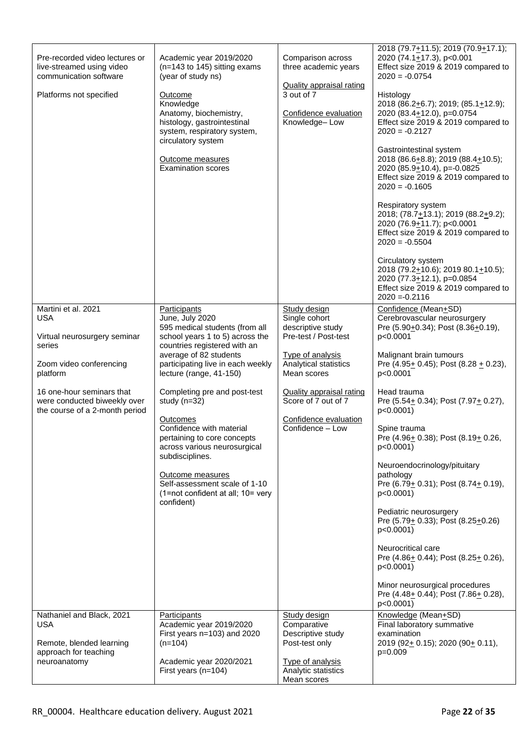|                                                                                       |                                                                                 |                                           | 2018 (79.7 <sup>+</sup> 11.5); 2019 (70.9 <sup>+</sup> 17.1);                        |
|---------------------------------------------------------------------------------------|---------------------------------------------------------------------------------|-------------------------------------------|--------------------------------------------------------------------------------------|
| Pre-recorded video lectures or<br>live-streamed using video<br>communication software | Academic year 2019/2020<br>$(n=143$ to 145) sitting exams<br>(year of study ns) | Comparison across<br>three academic years | 2020 (74.1+17.3), p<0.001<br>Effect size 2019 & 2019 compared to<br>$2020 = -0.0754$ |
|                                                                                       |                                                                                 | <b>Quality appraisal rating</b>           |                                                                                      |
| Platforms not specified                                                               | Outcome<br>Knowledge                                                            | 3 out of 7                                | Histology<br>2018 (86.2+6.7); 2019; (85.1+12.9);                                     |
|                                                                                       | Anatomy, biochemistry,                                                          | Confidence evaluation                     | 2020 (83.4+12.0), p=0.0754                                                           |
|                                                                                       | histology, gastrointestinal<br>system, respiratory system,                      | Knowledge-Low                             | Effect size 2019 & 2019 compared to<br>$2020 = -0.2127$                              |
|                                                                                       | circulatory system                                                              |                                           |                                                                                      |
|                                                                                       | Outcome measures                                                                |                                           | Gastrointestinal system<br>2018 (86.6+8.8); 2019 (88.4+10.5);                        |
|                                                                                       | <b>Examination scores</b>                                                       |                                           | 2020 (85.9+10.4), p=-0.0825<br>Effect size 2019 & 2019 compared to                   |
|                                                                                       |                                                                                 |                                           | $2020 = -0.1605$                                                                     |
|                                                                                       |                                                                                 |                                           | Respiratory system                                                                   |
|                                                                                       |                                                                                 |                                           | 2018; (78.7+13.1); 2019 (88.2+9.2);                                                  |
|                                                                                       |                                                                                 |                                           | 2020 (76.9+11.7); p<0.0001<br>Effect size 2019 & 2019 compared to                    |
|                                                                                       |                                                                                 |                                           | $2020 = -0.5504$                                                                     |
|                                                                                       |                                                                                 |                                           | Circulatory system                                                                   |
|                                                                                       |                                                                                 |                                           | 2018 (79.2+10.6); 2019 80.1+10.5);<br>2020 (77.3+12.1), p=0.0854                     |
|                                                                                       |                                                                                 |                                           | Effect size 2019 & 2019 compared to<br>$2020 = -0.2116$                              |
| Martini et al. 2021                                                                   | Participants                                                                    | Study design                              | Confidence (Mean+SD)                                                                 |
| <b>USA</b>                                                                            | June, July 2020<br>595 medical students (from all                               | Single cohort<br>descriptive study        | Cerebrovascular neurosurgery<br>Pre (5.90+0.34); Post (8.36+0.19),                   |
| Virtual neurosurgery seminar                                                          | school years 1 to 5) across the                                                 | Pre-test / Post-test                      | p<0.0001                                                                             |
| series                                                                                | countries registered with an<br>average of 82 students                          | <b>Type of analysis</b>                   | Malignant brain tumours                                                              |
| Zoom video conferencing                                                               | participating live in each weekly                                               | Analytical statistics                     | Pre $(4.95 \pm 0.45)$ ; Post $(8.28 \pm 0.23)$ ,                                     |
| platform                                                                              | lecture (range, 41-150)                                                         | Mean scores                               | p<0.0001                                                                             |
| 16 one-hour seminars that                                                             | Completing pre and post-test                                                    | <b>Quality appraisal rating</b>           | Head trauma                                                                          |
| were conducted biweekly over<br>the course of a 2-month period                        | study $(n=32)$                                                                  | Score of 7 out of 7                       | Pre (5.54+ 0.34); Post (7.97+ 0.27),<br>p<0.0001)                                    |
|                                                                                       | <b>Outcomes</b><br>Confidence with material                                     | Confidence evaluation<br>Confidence - Low | Spine trauma                                                                         |
|                                                                                       | pertaining to core concepts                                                     |                                           | Pre (4.96+ 0.38); Post (8.19+ 0.26,                                                  |
|                                                                                       | across various neurosurgical<br>subdisciplines.                                 |                                           | $p<0.0001$ )                                                                         |
|                                                                                       |                                                                                 |                                           | Neuroendocrinology/pituitary                                                         |
|                                                                                       | Outcome measures<br>Self-assessment scale of 1-10                               |                                           | pathology<br>Pre (6.79+ 0.31); Post (8.74+ 0.19),                                    |
|                                                                                       | (1=not confident at all; 10= very<br>confident)                                 |                                           | p<0.0001)                                                                            |
|                                                                                       |                                                                                 |                                           | Pediatric neurosurgery                                                               |
|                                                                                       |                                                                                 |                                           | Pre (5.79+ 0.33); Post (8.25+0.26)<br>p<0.0001)                                      |
|                                                                                       |                                                                                 |                                           | Neurocritical care                                                                   |
|                                                                                       |                                                                                 |                                           | Pre (4.86+ 0.44); Post (8.25+ 0.26),<br>$p<0.0001$ )                                 |
|                                                                                       |                                                                                 |                                           |                                                                                      |
|                                                                                       |                                                                                 |                                           | Minor neurosurgical procedures<br>Pre (4.48+ 0.44); Post (7.86+ 0.28),               |
| Nathaniel and Black, 2021                                                             |                                                                                 |                                           | p<0.0001)<br>Knowledge (Mean+SD)                                                     |
| <b>USA</b>                                                                            | Participants<br>Academic year 2019/2020                                         | Study design<br>Comparative               | Final laboratory summative                                                           |
| Remote, blended learning                                                              | First years n=103) and 2020<br>$(n=104)$                                        | Descriptive study<br>Post-test only       | examination<br>2019 (92+ 0.15); 2020 (90+ 0.11),                                     |
| approach for teaching                                                                 |                                                                                 |                                           | $p=0.009$                                                                            |
| neuroanatomy                                                                          | Academic year 2020/2021<br>First years (n=104)                                  | Type of analysis<br>Analytic statistics   |                                                                                      |
|                                                                                       |                                                                                 | Mean scores                               |                                                                                      |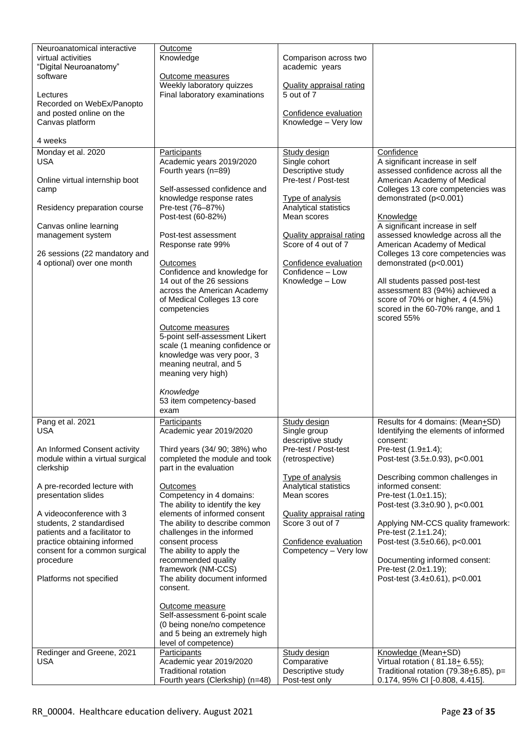| Knowledge<br>virtual activities<br>Comparison across two<br>"Digital Neuroanatomy"<br>academic years<br>software<br>Outcome measures<br>Weekly laboratory quizzes<br><b>Quality appraisal rating</b><br>5 out of 7<br>Final laboratory examinations<br>Lectures<br>Recorded on WebEx/Panopto<br>and posted online on the<br>Confidence evaluation<br>Knowledge - Very low<br>Canvas platform<br>4 weeks<br>Monday et al. 2020<br>Confidence<br>Participants<br>Study design<br>Single cohort<br>A significant increase in self<br><b>USA</b><br>Academic years 2019/2020<br>Fourth years (n=89)<br>Descriptive study<br>assessed confidence across all the<br>Pre-test / Post-test<br>Online virtual internship boot<br>American Academy of Medical<br>Self-assessed confidence and<br>Colleges 13 core competencies was<br>camp<br>demonstrated (p<0.001)<br>knowledge response rates<br>Type of analysis<br>Pre-test (76-87%)<br>Analytical statistics<br>Residency preparation course<br>Post-test (60-82%)<br>Mean scores<br>Knowledge<br>A significant increase in self<br>Canvas online learning<br>assessed knowledge across all the<br>management system<br>Post-test assessment<br><b>Quality appraisal rating</b><br>Score of 4 out of 7<br>American Academy of Medical<br>Response rate 99%<br>Colleges 13 core competencies was<br>26 sessions (22 mandatory and<br>4 optional) over one month<br>demonstrated (p<0.001)<br>Confidence evaluation<br>Outcomes<br>Confidence - Low<br>Confidence and knowledge for<br>14 out of the 26 sessions<br>Knowledge - Low<br>All students passed post-test<br>assessment 83 (94%) achieved a<br>across the American Academy<br>of Medical Colleges 13 core<br>score of 70% or higher, 4 (4.5%)<br>competencies<br>scored in the 60-70% range, and 1<br>scored 55%<br>Outcome measures<br>5-point self-assessment Likert<br>scale (1 meaning confidence or<br>knowledge was very poor, 3<br>meaning neutral, and 5<br>meaning very high)<br>Knowledge<br>53 item competency-based<br>exam<br>Pang et al. 2021<br>Results for 4 domains: (Mean+SD)<br>Study design<br>Participants<br><b>USA</b><br>Single group<br>Identifying the elements of informed<br>Academic year 2019/2020<br>descriptive study<br>consent:<br>Pre-test / Post-test<br>An Informed Consent activity<br>Third years (34/ 90; 38%) who<br>Pre-test $(1.9 \pm 1.4)$ ;<br>module within a virtual surgical<br>completed the module and took<br>Post-test (3.5±.0.93), p<0.001<br>(retrospective)<br>clerkship<br>part in the evaluation<br>Type of analysis<br>Describing common challenges in<br>Analytical statistics<br>A pre-recorded lecture with<br>informed consent:<br>Outcomes<br>Competency in 4 domains:<br>presentation slides<br>Mean scores<br>Pre-test (1.0±1.15);<br>The ability to identify the key<br>Post-test (3.3±0.90), p<0.001<br>elements of informed consent<br>A videoconference with 3<br><b>Quality appraisal rating</b><br>Score 3 out of 7<br>Applying NM-CCS quality framework:<br>students, 2 standardised<br>The ability to describe common<br>Pre-test (2.1±1.24);<br>patients and a facilitator to<br>challenges in the informed<br>Post-test (3.5±0.66), p<0.001<br>practice obtaining informed<br>consent process<br>Confidence evaluation<br>Competency - Very low<br>The ability to apply the<br>consent for a common surgical<br>recommended quality<br>Documenting informed consent:<br>procedure<br>framework (NM-CCS)<br>Pre-test (2.0±1.19);<br>Platforms not specified<br>The ability document informed<br>Post-test $(3.4 \pm 0.61)$ , p<0.001<br>consent.<br>Outcome measure<br>Self-assessment 6-point scale<br>(0 being none/no competence<br>and 5 being an extremely high<br>level of competence)<br>Redinger and Greene, 2021<br>Knowledge (Mean+SD)<br>Participants<br>Study design<br><b>USA</b><br>Academic year 2019/2020<br>Comparative<br>Virtual rotation (81.18+ 6.55);<br><b>Traditional rotation</b><br>Descriptive study<br>Traditional rotation (79.38 $\pm$ 6.85), p= | Neuroanatomical interactive | Outcome                         |                |                               |
|---------------------------------------------------------------------------------------------------------------------------------------------------------------------------------------------------------------------------------------------------------------------------------------------------------------------------------------------------------------------------------------------------------------------------------------------------------------------------------------------------------------------------------------------------------------------------------------------------------------------------------------------------------------------------------------------------------------------------------------------------------------------------------------------------------------------------------------------------------------------------------------------------------------------------------------------------------------------------------------------------------------------------------------------------------------------------------------------------------------------------------------------------------------------------------------------------------------------------------------------------------------------------------------------------------------------------------------------------------------------------------------------------------------------------------------------------------------------------------------------------------------------------------------------------------------------------------------------------------------------------------------------------------------------------------------------------------------------------------------------------------------------------------------------------------------------------------------------------------------------------------------------------------------------------------------------------------------------------------------------------------------------------------------------------------------------------------------------------------------------------------------------------------------------------------------------------------------------------------------------------------------------------------------------------------------------------------------------------------------------------------------------------------------------------------------------------------------------------------------------------------------------------------------------------------------------------------------------------------------------------------------------------------------------------------------------------------------------------------------------------------------------------------------------------------------------------------------------------------------------------------------------------------------------------------------------------------------------------------------------------------------------------------------------------------------------------------------------------------------------------------------------------------------------------------------------------------------------------------------------------------------------------------------------------------------------------------------------------------------------------------------------------------------------------------------------------------------------------------------------------------------------------------------------------------------------------------------------------------------------------------------------------------------------------------------------------------------------------------------------------------------------------------------------------------------------------------------------------------------------------------------------------------------------------------------------------------------------------------------------------------------------------------------------------------------|-----------------------------|---------------------------------|----------------|-------------------------------|
|                                                                                                                                                                                                                                                                                                                                                                                                                                                                                                                                                                                                                                                                                                                                                                                                                                                                                                                                                                                                                                                                                                                                                                                                                                                                                                                                                                                                                                                                                                                                                                                                                                                                                                                                                                                                                                                                                                                                                                                                                                                                                                                                                                                                                                                                                                                                                                                                                                                                                                                                                                                                                                                                                                                                                                                                                                                                                                                                                                                                                                                                                                                                                                                                                                                                                                                                                                                                                                                                                                                                                                                                                                                                                                                                                                                                                                                                                                                                                                                                                                                               |                             |                                 |                |                               |
|                                                                                                                                                                                                                                                                                                                                                                                                                                                                                                                                                                                                                                                                                                                                                                                                                                                                                                                                                                                                                                                                                                                                                                                                                                                                                                                                                                                                                                                                                                                                                                                                                                                                                                                                                                                                                                                                                                                                                                                                                                                                                                                                                                                                                                                                                                                                                                                                                                                                                                                                                                                                                                                                                                                                                                                                                                                                                                                                                                                                                                                                                                                                                                                                                                                                                                                                                                                                                                                                                                                                                                                                                                                                                                                                                                                                                                                                                                                                                                                                                                                               |                             |                                 |                |                               |
|                                                                                                                                                                                                                                                                                                                                                                                                                                                                                                                                                                                                                                                                                                                                                                                                                                                                                                                                                                                                                                                                                                                                                                                                                                                                                                                                                                                                                                                                                                                                                                                                                                                                                                                                                                                                                                                                                                                                                                                                                                                                                                                                                                                                                                                                                                                                                                                                                                                                                                                                                                                                                                                                                                                                                                                                                                                                                                                                                                                                                                                                                                                                                                                                                                                                                                                                                                                                                                                                                                                                                                                                                                                                                                                                                                                                                                                                                                                                                                                                                                                               |                             |                                 |                |                               |
|                                                                                                                                                                                                                                                                                                                                                                                                                                                                                                                                                                                                                                                                                                                                                                                                                                                                                                                                                                                                                                                                                                                                                                                                                                                                                                                                                                                                                                                                                                                                                                                                                                                                                                                                                                                                                                                                                                                                                                                                                                                                                                                                                                                                                                                                                                                                                                                                                                                                                                                                                                                                                                                                                                                                                                                                                                                                                                                                                                                                                                                                                                                                                                                                                                                                                                                                                                                                                                                                                                                                                                                                                                                                                                                                                                                                                                                                                                                                                                                                                                                               |                             |                                 |                |                               |
|                                                                                                                                                                                                                                                                                                                                                                                                                                                                                                                                                                                                                                                                                                                                                                                                                                                                                                                                                                                                                                                                                                                                                                                                                                                                                                                                                                                                                                                                                                                                                                                                                                                                                                                                                                                                                                                                                                                                                                                                                                                                                                                                                                                                                                                                                                                                                                                                                                                                                                                                                                                                                                                                                                                                                                                                                                                                                                                                                                                                                                                                                                                                                                                                                                                                                                                                                                                                                                                                                                                                                                                                                                                                                                                                                                                                                                                                                                                                                                                                                                                               |                             |                                 |                |                               |
|                                                                                                                                                                                                                                                                                                                                                                                                                                                                                                                                                                                                                                                                                                                                                                                                                                                                                                                                                                                                                                                                                                                                                                                                                                                                                                                                                                                                                                                                                                                                                                                                                                                                                                                                                                                                                                                                                                                                                                                                                                                                                                                                                                                                                                                                                                                                                                                                                                                                                                                                                                                                                                                                                                                                                                                                                                                                                                                                                                                                                                                                                                                                                                                                                                                                                                                                                                                                                                                                                                                                                                                                                                                                                                                                                                                                                                                                                                                                                                                                                                                               |                             |                                 |                |                               |
|                                                                                                                                                                                                                                                                                                                                                                                                                                                                                                                                                                                                                                                                                                                                                                                                                                                                                                                                                                                                                                                                                                                                                                                                                                                                                                                                                                                                                                                                                                                                                                                                                                                                                                                                                                                                                                                                                                                                                                                                                                                                                                                                                                                                                                                                                                                                                                                                                                                                                                                                                                                                                                                                                                                                                                                                                                                                                                                                                                                                                                                                                                                                                                                                                                                                                                                                                                                                                                                                                                                                                                                                                                                                                                                                                                                                                                                                                                                                                                                                                                                               |                             |                                 |                |                               |
|                                                                                                                                                                                                                                                                                                                                                                                                                                                                                                                                                                                                                                                                                                                                                                                                                                                                                                                                                                                                                                                                                                                                                                                                                                                                                                                                                                                                                                                                                                                                                                                                                                                                                                                                                                                                                                                                                                                                                                                                                                                                                                                                                                                                                                                                                                                                                                                                                                                                                                                                                                                                                                                                                                                                                                                                                                                                                                                                                                                                                                                                                                                                                                                                                                                                                                                                                                                                                                                                                                                                                                                                                                                                                                                                                                                                                                                                                                                                                                                                                                                               |                             |                                 |                |                               |
|                                                                                                                                                                                                                                                                                                                                                                                                                                                                                                                                                                                                                                                                                                                                                                                                                                                                                                                                                                                                                                                                                                                                                                                                                                                                                                                                                                                                                                                                                                                                                                                                                                                                                                                                                                                                                                                                                                                                                                                                                                                                                                                                                                                                                                                                                                                                                                                                                                                                                                                                                                                                                                                                                                                                                                                                                                                                                                                                                                                                                                                                                                                                                                                                                                                                                                                                                                                                                                                                                                                                                                                                                                                                                                                                                                                                                                                                                                                                                                                                                                                               |                             |                                 |                |                               |
|                                                                                                                                                                                                                                                                                                                                                                                                                                                                                                                                                                                                                                                                                                                                                                                                                                                                                                                                                                                                                                                                                                                                                                                                                                                                                                                                                                                                                                                                                                                                                                                                                                                                                                                                                                                                                                                                                                                                                                                                                                                                                                                                                                                                                                                                                                                                                                                                                                                                                                                                                                                                                                                                                                                                                                                                                                                                                                                                                                                                                                                                                                                                                                                                                                                                                                                                                                                                                                                                                                                                                                                                                                                                                                                                                                                                                                                                                                                                                                                                                                                               |                             |                                 |                |                               |
|                                                                                                                                                                                                                                                                                                                                                                                                                                                                                                                                                                                                                                                                                                                                                                                                                                                                                                                                                                                                                                                                                                                                                                                                                                                                                                                                                                                                                                                                                                                                                                                                                                                                                                                                                                                                                                                                                                                                                                                                                                                                                                                                                                                                                                                                                                                                                                                                                                                                                                                                                                                                                                                                                                                                                                                                                                                                                                                                                                                                                                                                                                                                                                                                                                                                                                                                                                                                                                                                                                                                                                                                                                                                                                                                                                                                                                                                                                                                                                                                                                                               |                             |                                 |                |                               |
|                                                                                                                                                                                                                                                                                                                                                                                                                                                                                                                                                                                                                                                                                                                                                                                                                                                                                                                                                                                                                                                                                                                                                                                                                                                                                                                                                                                                                                                                                                                                                                                                                                                                                                                                                                                                                                                                                                                                                                                                                                                                                                                                                                                                                                                                                                                                                                                                                                                                                                                                                                                                                                                                                                                                                                                                                                                                                                                                                                                                                                                                                                                                                                                                                                                                                                                                                                                                                                                                                                                                                                                                                                                                                                                                                                                                                                                                                                                                                                                                                                                               |                             |                                 |                |                               |
|                                                                                                                                                                                                                                                                                                                                                                                                                                                                                                                                                                                                                                                                                                                                                                                                                                                                                                                                                                                                                                                                                                                                                                                                                                                                                                                                                                                                                                                                                                                                                                                                                                                                                                                                                                                                                                                                                                                                                                                                                                                                                                                                                                                                                                                                                                                                                                                                                                                                                                                                                                                                                                                                                                                                                                                                                                                                                                                                                                                                                                                                                                                                                                                                                                                                                                                                                                                                                                                                                                                                                                                                                                                                                                                                                                                                                                                                                                                                                                                                                                                               |                             |                                 |                |                               |
|                                                                                                                                                                                                                                                                                                                                                                                                                                                                                                                                                                                                                                                                                                                                                                                                                                                                                                                                                                                                                                                                                                                                                                                                                                                                                                                                                                                                                                                                                                                                                                                                                                                                                                                                                                                                                                                                                                                                                                                                                                                                                                                                                                                                                                                                                                                                                                                                                                                                                                                                                                                                                                                                                                                                                                                                                                                                                                                                                                                                                                                                                                                                                                                                                                                                                                                                                                                                                                                                                                                                                                                                                                                                                                                                                                                                                                                                                                                                                                                                                                                               |                             |                                 |                |                               |
|                                                                                                                                                                                                                                                                                                                                                                                                                                                                                                                                                                                                                                                                                                                                                                                                                                                                                                                                                                                                                                                                                                                                                                                                                                                                                                                                                                                                                                                                                                                                                                                                                                                                                                                                                                                                                                                                                                                                                                                                                                                                                                                                                                                                                                                                                                                                                                                                                                                                                                                                                                                                                                                                                                                                                                                                                                                                                                                                                                                                                                                                                                                                                                                                                                                                                                                                                                                                                                                                                                                                                                                                                                                                                                                                                                                                                                                                                                                                                                                                                                                               |                             |                                 |                |                               |
|                                                                                                                                                                                                                                                                                                                                                                                                                                                                                                                                                                                                                                                                                                                                                                                                                                                                                                                                                                                                                                                                                                                                                                                                                                                                                                                                                                                                                                                                                                                                                                                                                                                                                                                                                                                                                                                                                                                                                                                                                                                                                                                                                                                                                                                                                                                                                                                                                                                                                                                                                                                                                                                                                                                                                                                                                                                                                                                                                                                                                                                                                                                                                                                                                                                                                                                                                                                                                                                                                                                                                                                                                                                                                                                                                                                                                                                                                                                                                                                                                                                               |                             |                                 |                |                               |
|                                                                                                                                                                                                                                                                                                                                                                                                                                                                                                                                                                                                                                                                                                                                                                                                                                                                                                                                                                                                                                                                                                                                                                                                                                                                                                                                                                                                                                                                                                                                                                                                                                                                                                                                                                                                                                                                                                                                                                                                                                                                                                                                                                                                                                                                                                                                                                                                                                                                                                                                                                                                                                                                                                                                                                                                                                                                                                                                                                                                                                                                                                                                                                                                                                                                                                                                                                                                                                                                                                                                                                                                                                                                                                                                                                                                                                                                                                                                                                                                                                                               |                             |                                 |                |                               |
|                                                                                                                                                                                                                                                                                                                                                                                                                                                                                                                                                                                                                                                                                                                                                                                                                                                                                                                                                                                                                                                                                                                                                                                                                                                                                                                                                                                                                                                                                                                                                                                                                                                                                                                                                                                                                                                                                                                                                                                                                                                                                                                                                                                                                                                                                                                                                                                                                                                                                                                                                                                                                                                                                                                                                                                                                                                                                                                                                                                                                                                                                                                                                                                                                                                                                                                                                                                                                                                                                                                                                                                                                                                                                                                                                                                                                                                                                                                                                                                                                                                               |                             |                                 |                |                               |
|                                                                                                                                                                                                                                                                                                                                                                                                                                                                                                                                                                                                                                                                                                                                                                                                                                                                                                                                                                                                                                                                                                                                                                                                                                                                                                                                                                                                                                                                                                                                                                                                                                                                                                                                                                                                                                                                                                                                                                                                                                                                                                                                                                                                                                                                                                                                                                                                                                                                                                                                                                                                                                                                                                                                                                                                                                                                                                                                                                                                                                                                                                                                                                                                                                                                                                                                                                                                                                                                                                                                                                                                                                                                                                                                                                                                                                                                                                                                                                                                                                                               |                             |                                 |                |                               |
|                                                                                                                                                                                                                                                                                                                                                                                                                                                                                                                                                                                                                                                                                                                                                                                                                                                                                                                                                                                                                                                                                                                                                                                                                                                                                                                                                                                                                                                                                                                                                                                                                                                                                                                                                                                                                                                                                                                                                                                                                                                                                                                                                                                                                                                                                                                                                                                                                                                                                                                                                                                                                                                                                                                                                                                                                                                                                                                                                                                                                                                                                                                                                                                                                                                                                                                                                                                                                                                                                                                                                                                                                                                                                                                                                                                                                                                                                                                                                                                                                                                               |                             |                                 |                |                               |
|                                                                                                                                                                                                                                                                                                                                                                                                                                                                                                                                                                                                                                                                                                                                                                                                                                                                                                                                                                                                                                                                                                                                                                                                                                                                                                                                                                                                                                                                                                                                                                                                                                                                                                                                                                                                                                                                                                                                                                                                                                                                                                                                                                                                                                                                                                                                                                                                                                                                                                                                                                                                                                                                                                                                                                                                                                                                                                                                                                                                                                                                                                                                                                                                                                                                                                                                                                                                                                                                                                                                                                                                                                                                                                                                                                                                                                                                                                                                                                                                                                                               |                             |                                 |                |                               |
|                                                                                                                                                                                                                                                                                                                                                                                                                                                                                                                                                                                                                                                                                                                                                                                                                                                                                                                                                                                                                                                                                                                                                                                                                                                                                                                                                                                                                                                                                                                                                                                                                                                                                                                                                                                                                                                                                                                                                                                                                                                                                                                                                                                                                                                                                                                                                                                                                                                                                                                                                                                                                                                                                                                                                                                                                                                                                                                                                                                                                                                                                                                                                                                                                                                                                                                                                                                                                                                                                                                                                                                                                                                                                                                                                                                                                                                                                                                                                                                                                                                               |                             |                                 |                |                               |
|                                                                                                                                                                                                                                                                                                                                                                                                                                                                                                                                                                                                                                                                                                                                                                                                                                                                                                                                                                                                                                                                                                                                                                                                                                                                                                                                                                                                                                                                                                                                                                                                                                                                                                                                                                                                                                                                                                                                                                                                                                                                                                                                                                                                                                                                                                                                                                                                                                                                                                                                                                                                                                                                                                                                                                                                                                                                                                                                                                                                                                                                                                                                                                                                                                                                                                                                                                                                                                                                                                                                                                                                                                                                                                                                                                                                                                                                                                                                                                                                                                                               |                             |                                 |                |                               |
|                                                                                                                                                                                                                                                                                                                                                                                                                                                                                                                                                                                                                                                                                                                                                                                                                                                                                                                                                                                                                                                                                                                                                                                                                                                                                                                                                                                                                                                                                                                                                                                                                                                                                                                                                                                                                                                                                                                                                                                                                                                                                                                                                                                                                                                                                                                                                                                                                                                                                                                                                                                                                                                                                                                                                                                                                                                                                                                                                                                                                                                                                                                                                                                                                                                                                                                                                                                                                                                                                                                                                                                                                                                                                                                                                                                                                                                                                                                                                                                                                                                               |                             |                                 |                |                               |
|                                                                                                                                                                                                                                                                                                                                                                                                                                                                                                                                                                                                                                                                                                                                                                                                                                                                                                                                                                                                                                                                                                                                                                                                                                                                                                                                                                                                                                                                                                                                                                                                                                                                                                                                                                                                                                                                                                                                                                                                                                                                                                                                                                                                                                                                                                                                                                                                                                                                                                                                                                                                                                                                                                                                                                                                                                                                                                                                                                                                                                                                                                                                                                                                                                                                                                                                                                                                                                                                                                                                                                                                                                                                                                                                                                                                                                                                                                                                                                                                                                                               |                             |                                 |                |                               |
|                                                                                                                                                                                                                                                                                                                                                                                                                                                                                                                                                                                                                                                                                                                                                                                                                                                                                                                                                                                                                                                                                                                                                                                                                                                                                                                                                                                                                                                                                                                                                                                                                                                                                                                                                                                                                                                                                                                                                                                                                                                                                                                                                                                                                                                                                                                                                                                                                                                                                                                                                                                                                                                                                                                                                                                                                                                                                                                                                                                                                                                                                                                                                                                                                                                                                                                                                                                                                                                                                                                                                                                                                                                                                                                                                                                                                                                                                                                                                                                                                                                               |                             |                                 |                |                               |
|                                                                                                                                                                                                                                                                                                                                                                                                                                                                                                                                                                                                                                                                                                                                                                                                                                                                                                                                                                                                                                                                                                                                                                                                                                                                                                                                                                                                                                                                                                                                                                                                                                                                                                                                                                                                                                                                                                                                                                                                                                                                                                                                                                                                                                                                                                                                                                                                                                                                                                                                                                                                                                                                                                                                                                                                                                                                                                                                                                                                                                                                                                                                                                                                                                                                                                                                                                                                                                                                                                                                                                                                                                                                                                                                                                                                                                                                                                                                                                                                                                                               |                             |                                 |                |                               |
|                                                                                                                                                                                                                                                                                                                                                                                                                                                                                                                                                                                                                                                                                                                                                                                                                                                                                                                                                                                                                                                                                                                                                                                                                                                                                                                                                                                                                                                                                                                                                                                                                                                                                                                                                                                                                                                                                                                                                                                                                                                                                                                                                                                                                                                                                                                                                                                                                                                                                                                                                                                                                                                                                                                                                                                                                                                                                                                                                                                                                                                                                                                                                                                                                                                                                                                                                                                                                                                                                                                                                                                                                                                                                                                                                                                                                                                                                                                                                                                                                                                               |                             |                                 |                |                               |
|                                                                                                                                                                                                                                                                                                                                                                                                                                                                                                                                                                                                                                                                                                                                                                                                                                                                                                                                                                                                                                                                                                                                                                                                                                                                                                                                                                                                                                                                                                                                                                                                                                                                                                                                                                                                                                                                                                                                                                                                                                                                                                                                                                                                                                                                                                                                                                                                                                                                                                                                                                                                                                                                                                                                                                                                                                                                                                                                                                                                                                                                                                                                                                                                                                                                                                                                                                                                                                                                                                                                                                                                                                                                                                                                                                                                                                                                                                                                                                                                                                                               |                             |                                 |                |                               |
|                                                                                                                                                                                                                                                                                                                                                                                                                                                                                                                                                                                                                                                                                                                                                                                                                                                                                                                                                                                                                                                                                                                                                                                                                                                                                                                                                                                                                                                                                                                                                                                                                                                                                                                                                                                                                                                                                                                                                                                                                                                                                                                                                                                                                                                                                                                                                                                                                                                                                                                                                                                                                                                                                                                                                                                                                                                                                                                                                                                                                                                                                                                                                                                                                                                                                                                                                                                                                                                                                                                                                                                                                                                                                                                                                                                                                                                                                                                                                                                                                                                               |                             |                                 |                |                               |
|                                                                                                                                                                                                                                                                                                                                                                                                                                                                                                                                                                                                                                                                                                                                                                                                                                                                                                                                                                                                                                                                                                                                                                                                                                                                                                                                                                                                                                                                                                                                                                                                                                                                                                                                                                                                                                                                                                                                                                                                                                                                                                                                                                                                                                                                                                                                                                                                                                                                                                                                                                                                                                                                                                                                                                                                                                                                                                                                                                                                                                                                                                                                                                                                                                                                                                                                                                                                                                                                                                                                                                                                                                                                                                                                                                                                                                                                                                                                                                                                                                                               |                             |                                 |                |                               |
|                                                                                                                                                                                                                                                                                                                                                                                                                                                                                                                                                                                                                                                                                                                                                                                                                                                                                                                                                                                                                                                                                                                                                                                                                                                                                                                                                                                                                                                                                                                                                                                                                                                                                                                                                                                                                                                                                                                                                                                                                                                                                                                                                                                                                                                                                                                                                                                                                                                                                                                                                                                                                                                                                                                                                                                                                                                                                                                                                                                                                                                                                                                                                                                                                                                                                                                                                                                                                                                                                                                                                                                                                                                                                                                                                                                                                                                                                                                                                                                                                                                               |                             |                                 |                |                               |
|                                                                                                                                                                                                                                                                                                                                                                                                                                                                                                                                                                                                                                                                                                                                                                                                                                                                                                                                                                                                                                                                                                                                                                                                                                                                                                                                                                                                                                                                                                                                                                                                                                                                                                                                                                                                                                                                                                                                                                                                                                                                                                                                                                                                                                                                                                                                                                                                                                                                                                                                                                                                                                                                                                                                                                                                                                                                                                                                                                                                                                                                                                                                                                                                                                                                                                                                                                                                                                                                                                                                                                                                                                                                                                                                                                                                                                                                                                                                                                                                                                                               |                             |                                 |                |                               |
|                                                                                                                                                                                                                                                                                                                                                                                                                                                                                                                                                                                                                                                                                                                                                                                                                                                                                                                                                                                                                                                                                                                                                                                                                                                                                                                                                                                                                                                                                                                                                                                                                                                                                                                                                                                                                                                                                                                                                                                                                                                                                                                                                                                                                                                                                                                                                                                                                                                                                                                                                                                                                                                                                                                                                                                                                                                                                                                                                                                                                                                                                                                                                                                                                                                                                                                                                                                                                                                                                                                                                                                                                                                                                                                                                                                                                                                                                                                                                                                                                                                               |                             |                                 |                |                               |
|                                                                                                                                                                                                                                                                                                                                                                                                                                                                                                                                                                                                                                                                                                                                                                                                                                                                                                                                                                                                                                                                                                                                                                                                                                                                                                                                                                                                                                                                                                                                                                                                                                                                                                                                                                                                                                                                                                                                                                                                                                                                                                                                                                                                                                                                                                                                                                                                                                                                                                                                                                                                                                                                                                                                                                                                                                                                                                                                                                                                                                                                                                                                                                                                                                                                                                                                                                                                                                                                                                                                                                                                                                                                                                                                                                                                                                                                                                                                                                                                                                                               |                             |                                 |                |                               |
|                                                                                                                                                                                                                                                                                                                                                                                                                                                                                                                                                                                                                                                                                                                                                                                                                                                                                                                                                                                                                                                                                                                                                                                                                                                                                                                                                                                                                                                                                                                                                                                                                                                                                                                                                                                                                                                                                                                                                                                                                                                                                                                                                                                                                                                                                                                                                                                                                                                                                                                                                                                                                                                                                                                                                                                                                                                                                                                                                                                                                                                                                                                                                                                                                                                                                                                                                                                                                                                                                                                                                                                                                                                                                                                                                                                                                                                                                                                                                                                                                                                               |                             |                                 |                |                               |
|                                                                                                                                                                                                                                                                                                                                                                                                                                                                                                                                                                                                                                                                                                                                                                                                                                                                                                                                                                                                                                                                                                                                                                                                                                                                                                                                                                                                                                                                                                                                                                                                                                                                                                                                                                                                                                                                                                                                                                                                                                                                                                                                                                                                                                                                                                                                                                                                                                                                                                                                                                                                                                                                                                                                                                                                                                                                                                                                                                                                                                                                                                                                                                                                                                                                                                                                                                                                                                                                                                                                                                                                                                                                                                                                                                                                                                                                                                                                                                                                                                                               |                             |                                 |                |                               |
|                                                                                                                                                                                                                                                                                                                                                                                                                                                                                                                                                                                                                                                                                                                                                                                                                                                                                                                                                                                                                                                                                                                                                                                                                                                                                                                                                                                                                                                                                                                                                                                                                                                                                                                                                                                                                                                                                                                                                                                                                                                                                                                                                                                                                                                                                                                                                                                                                                                                                                                                                                                                                                                                                                                                                                                                                                                                                                                                                                                                                                                                                                                                                                                                                                                                                                                                                                                                                                                                                                                                                                                                                                                                                                                                                                                                                                                                                                                                                                                                                                                               |                             |                                 |                |                               |
|                                                                                                                                                                                                                                                                                                                                                                                                                                                                                                                                                                                                                                                                                                                                                                                                                                                                                                                                                                                                                                                                                                                                                                                                                                                                                                                                                                                                                                                                                                                                                                                                                                                                                                                                                                                                                                                                                                                                                                                                                                                                                                                                                                                                                                                                                                                                                                                                                                                                                                                                                                                                                                                                                                                                                                                                                                                                                                                                                                                                                                                                                                                                                                                                                                                                                                                                                                                                                                                                                                                                                                                                                                                                                                                                                                                                                                                                                                                                                                                                                                                               |                             |                                 |                |                               |
|                                                                                                                                                                                                                                                                                                                                                                                                                                                                                                                                                                                                                                                                                                                                                                                                                                                                                                                                                                                                                                                                                                                                                                                                                                                                                                                                                                                                                                                                                                                                                                                                                                                                                                                                                                                                                                                                                                                                                                                                                                                                                                                                                                                                                                                                                                                                                                                                                                                                                                                                                                                                                                                                                                                                                                                                                                                                                                                                                                                                                                                                                                                                                                                                                                                                                                                                                                                                                                                                                                                                                                                                                                                                                                                                                                                                                                                                                                                                                                                                                                                               |                             |                                 |                |                               |
|                                                                                                                                                                                                                                                                                                                                                                                                                                                                                                                                                                                                                                                                                                                                                                                                                                                                                                                                                                                                                                                                                                                                                                                                                                                                                                                                                                                                                                                                                                                                                                                                                                                                                                                                                                                                                                                                                                                                                                                                                                                                                                                                                                                                                                                                                                                                                                                                                                                                                                                                                                                                                                                                                                                                                                                                                                                                                                                                                                                                                                                                                                                                                                                                                                                                                                                                                                                                                                                                                                                                                                                                                                                                                                                                                                                                                                                                                                                                                                                                                                                               |                             |                                 |                |                               |
|                                                                                                                                                                                                                                                                                                                                                                                                                                                                                                                                                                                                                                                                                                                                                                                                                                                                                                                                                                                                                                                                                                                                                                                                                                                                                                                                                                                                                                                                                                                                                                                                                                                                                                                                                                                                                                                                                                                                                                                                                                                                                                                                                                                                                                                                                                                                                                                                                                                                                                                                                                                                                                                                                                                                                                                                                                                                                                                                                                                                                                                                                                                                                                                                                                                                                                                                                                                                                                                                                                                                                                                                                                                                                                                                                                                                                                                                                                                                                                                                                                                               |                             |                                 |                |                               |
|                                                                                                                                                                                                                                                                                                                                                                                                                                                                                                                                                                                                                                                                                                                                                                                                                                                                                                                                                                                                                                                                                                                                                                                                                                                                                                                                                                                                                                                                                                                                                                                                                                                                                                                                                                                                                                                                                                                                                                                                                                                                                                                                                                                                                                                                                                                                                                                                                                                                                                                                                                                                                                                                                                                                                                                                                                                                                                                                                                                                                                                                                                                                                                                                                                                                                                                                                                                                                                                                                                                                                                                                                                                                                                                                                                                                                                                                                                                                                                                                                                                               |                             |                                 |                |                               |
|                                                                                                                                                                                                                                                                                                                                                                                                                                                                                                                                                                                                                                                                                                                                                                                                                                                                                                                                                                                                                                                                                                                                                                                                                                                                                                                                                                                                                                                                                                                                                                                                                                                                                                                                                                                                                                                                                                                                                                                                                                                                                                                                                                                                                                                                                                                                                                                                                                                                                                                                                                                                                                                                                                                                                                                                                                                                                                                                                                                                                                                                                                                                                                                                                                                                                                                                                                                                                                                                                                                                                                                                                                                                                                                                                                                                                                                                                                                                                                                                                                                               |                             |                                 |                |                               |
|                                                                                                                                                                                                                                                                                                                                                                                                                                                                                                                                                                                                                                                                                                                                                                                                                                                                                                                                                                                                                                                                                                                                                                                                                                                                                                                                                                                                                                                                                                                                                                                                                                                                                                                                                                                                                                                                                                                                                                                                                                                                                                                                                                                                                                                                                                                                                                                                                                                                                                                                                                                                                                                                                                                                                                                                                                                                                                                                                                                                                                                                                                                                                                                                                                                                                                                                                                                                                                                                                                                                                                                                                                                                                                                                                                                                                                                                                                                                                                                                                                                               |                             |                                 |                |                               |
|                                                                                                                                                                                                                                                                                                                                                                                                                                                                                                                                                                                                                                                                                                                                                                                                                                                                                                                                                                                                                                                                                                                                                                                                                                                                                                                                                                                                                                                                                                                                                                                                                                                                                                                                                                                                                                                                                                                                                                                                                                                                                                                                                                                                                                                                                                                                                                                                                                                                                                                                                                                                                                                                                                                                                                                                                                                                                                                                                                                                                                                                                                                                                                                                                                                                                                                                                                                                                                                                                                                                                                                                                                                                                                                                                                                                                                                                                                                                                                                                                                                               |                             |                                 |                |                               |
|                                                                                                                                                                                                                                                                                                                                                                                                                                                                                                                                                                                                                                                                                                                                                                                                                                                                                                                                                                                                                                                                                                                                                                                                                                                                                                                                                                                                                                                                                                                                                                                                                                                                                                                                                                                                                                                                                                                                                                                                                                                                                                                                                                                                                                                                                                                                                                                                                                                                                                                                                                                                                                                                                                                                                                                                                                                                                                                                                                                                                                                                                                                                                                                                                                                                                                                                                                                                                                                                                                                                                                                                                                                                                                                                                                                                                                                                                                                                                                                                                                                               |                             |                                 |                |                               |
|                                                                                                                                                                                                                                                                                                                                                                                                                                                                                                                                                                                                                                                                                                                                                                                                                                                                                                                                                                                                                                                                                                                                                                                                                                                                                                                                                                                                                                                                                                                                                                                                                                                                                                                                                                                                                                                                                                                                                                                                                                                                                                                                                                                                                                                                                                                                                                                                                                                                                                                                                                                                                                                                                                                                                                                                                                                                                                                                                                                                                                                                                                                                                                                                                                                                                                                                                                                                                                                                                                                                                                                                                                                                                                                                                                                                                                                                                                                                                                                                                                                               |                             |                                 |                |                               |
|                                                                                                                                                                                                                                                                                                                                                                                                                                                                                                                                                                                                                                                                                                                                                                                                                                                                                                                                                                                                                                                                                                                                                                                                                                                                                                                                                                                                                                                                                                                                                                                                                                                                                                                                                                                                                                                                                                                                                                                                                                                                                                                                                                                                                                                                                                                                                                                                                                                                                                                                                                                                                                                                                                                                                                                                                                                                                                                                                                                                                                                                                                                                                                                                                                                                                                                                                                                                                                                                                                                                                                                                                                                                                                                                                                                                                                                                                                                                                                                                                                                               |                             |                                 |                |                               |
|                                                                                                                                                                                                                                                                                                                                                                                                                                                                                                                                                                                                                                                                                                                                                                                                                                                                                                                                                                                                                                                                                                                                                                                                                                                                                                                                                                                                                                                                                                                                                                                                                                                                                                                                                                                                                                                                                                                                                                                                                                                                                                                                                                                                                                                                                                                                                                                                                                                                                                                                                                                                                                                                                                                                                                                                                                                                                                                                                                                                                                                                                                                                                                                                                                                                                                                                                                                                                                                                                                                                                                                                                                                                                                                                                                                                                                                                                                                                                                                                                                                               |                             |                                 |                |                               |
|                                                                                                                                                                                                                                                                                                                                                                                                                                                                                                                                                                                                                                                                                                                                                                                                                                                                                                                                                                                                                                                                                                                                                                                                                                                                                                                                                                                                                                                                                                                                                                                                                                                                                                                                                                                                                                                                                                                                                                                                                                                                                                                                                                                                                                                                                                                                                                                                                                                                                                                                                                                                                                                                                                                                                                                                                                                                                                                                                                                                                                                                                                                                                                                                                                                                                                                                                                                                                                                                                                                                                                                                                                                                                                                                                                                                                                                                                                                                                                                                                                                               |                             |                                 |                |                               |
|                                                                                                                                                                                                                                                                                                                                                                                                                                                                                                                                                                                                                                                                                                                                                                                                                                                                                                                                                                                                                                                                                                                                                                                                                                                                                                                                                                                                                                                                                                                                                                                                                                                                                                                                                                                                                                                                                                                                                                                                                                                                                                                                                                                                                                                                                                                                                                                                                                                                                                                                                                                                                                                                                                                                                                                                                                                                                                                                                                                                                                                                                                                                                                                                                                                                                                                                                                                                                                                                                                                                                                                                                                                                                                                                                                                                                                                                                                                                                                                                                                                               |                             |                                 |                |                               |
|                                                                                                                                                                                                                                                                                                                                                                                                                                                                                                                                                                                                                                                                                                                                                                                                                                                                                                                                                                                                                                                                                                                                                                                                                                                                                                                                                                                                                                                                                                                                                                                                                                                                                                                                                                                                                                                                                                                                                                                                                                                                                                                                                                                                                                                                                                                                                                                                                                                                                                                                                                                                                                                                                                                                                                                                                                                                                                                                                                                                                                                                                                                                                                                                                                                                                                                                                                                                                                                                                                                                                                                                                                                                                                                                                                                                                                                                                                                                                                                                                                                               |                             |                                 |                |                               |
|                                                                                                                                                                                                                                                                                                                                                                                                                                                                                                                                                                                                                                                                                                                                                                                                                                                                                                                                                                                                                                                                                                                                                                                                                                                                                                                                                                                                                                                                                                                                                                                                                                                                                                                                                                                                                                                                                                                                                                                                                                                                                                                                                                                                                                                                                                                                                                                                                                                                                                                                                                                                                                                                                                                                                                                                                                                                                                                                                                                                                                                                                                                                                                                                                                                                                                                                                                                                                                                                                                                                                                                                                                                                                                                                                                                                                                                                                                                                                                                                                                                               |                             |                                 |                |                               |
|                                                                                                                                                                                                                                                                                                                                                                                                                                                                                                                                                                                                                                                                                                                                                                                                                                                                                                                                                                                                                                                                                                                                                                                                                                                                                                                                                                                                                                                                                                                                                                                                                                                                                                                                                                                                                                                                                                                                                                                                                                                                                                                                                                                                                                                                                                                                                                                                                                                                                                                                                                                                                                                                                                                                                                                                                                                                                                                                                                                                                                                                                                                                                                                                                                                                                                                                                                                                                                                                                                                                                                                                                                                                                                                                                                                                                                                                                                                                                                                                                                                               |                             |                                 |                |                               |
|                                                                                                                                                                                                                                                                                                                                                                                                                                                                                                                                                                                                                                                                                                                                                                                                                                                                                                                                                                                                                                                                                                                                                                                                                                                                                                                                                                                                                                                                                                                                                                                                                                                                                                                                                                                                                                                                                                                                                                                                                                                                                                                                                                                                                                                                                                                                                                                                                                                                                                                                                                                                                                                                                                                                                                                                                                                                                                                                                                                                                                                                                                                                                                                                                                                                                                                                                                                                                                                                                                                                                                                                                                                                                                                                                                                                                                                                                                                                                                                                                                                               |                             |                                 |                |                               |
|                                                                                                                                                                                                                                                                                                                                                                                                                                                                                                                                                                                                                                                                                                                                                                                                                                                                                                                                                                                                                                                                                                                                                                                                                                                                                                                                                                                                                                                                                                                                                                                                                                                                                                                                                                                                                                                                                                                                                                                                                                                                                                                                                                                                                                                                                                                                                                                                                                                                                                                                                                                                                                                                                                                                                                                                                                                                                                                                                                                                                                                                                                                                                                                                                                                                                                                                                                                                                                                                                                                                                                                                                                                                                                                                                                                                                                                                                                                                                                                                                                                               |                             |                                 |                |                               |
|                                                                                                                                                                                                                                                                                                                                                                                                                                                                                                                                                                                                                                                                                                                                                                                                                                                                                                                                                                                                                                                                                                                                                                                                                                                                                                                                                                                                                                                                                                                                                                                                                                                                                                                                                                                                                                                                                                                                                                                                                                                                                                                                                                                                                                                                                                                                                                                                                                                                                                                                                                                                                                                                                                                                                                                                                                                                                                                                                                                                                                                                                                                                                                                                                                                                                                                                                                                                                                                                                                                                                                                                                                                                                                                                                                                                                                                                                                                                                                                                                                                               |                             |                                 |                |                               |
|                                                                                                                                                                                                                                                                                                                                                                                                                                                                                                                                                                                                                                                                                                                                                                                                                                                                                                                                                                                                                                                                                                                                                                                                                                                                                                                                                                                                                                                                                                                                                                                                                                                                                                                                                                                                                                                                                                                                                                                                                                                                                                                                                                                                                                                                                                                                                                                                                                                                                                                                                                                                                                                                                                                                                                                                                                                                                                                                                                                                                                                                                                                                                                                                                                                                                                                                                                                                                                                                                                                                                                                                                                                                                                                                                                                                                                                                                                                                                                                                                                                               |                             |                                 |                |                               |
|                                                                                                                                                                                                                                                                                                                                                                                                                                                                                                                                                                                                                                                                                                                                                                                                                                                                                                                                                                                                                                                                                                                                                                                                                                                                                                                                                                                                                                                                                                                                                                                                                                                                                                                                                                                                                                                                                                                                                                                                                                                                                                                                                                                                                                                                                                                                                                                                                                                                                                                                                                                                                                                                                                                                                                                                                                                                                                                                                                                                                                                                                                                                                                                                                                                                                                                                                                                                                                                                                                                                                                                                                                                                                                                                                                                                                                                                                                                                                                                                                                                               |                             |                                 |                |                               |
|                                                                                                                                                                                                                                                                                                                                                                                                                                                                                                                                                                                                                                                                                                                                                                                                                                                                                                                                                                                                                                                                                                                                                                                                                                                                                                                                                                                                                                                                                                                                                                                                                                                                                                                                                                                                                                                                                                                                                                                                                                                                                                                                                                                                                                                                                                                                                                                                                                                                                                                                                                                                                                                                                                                                                                                                                                                                                                                                                                                                                                                                                                                                                                                                                                                                                                                                                                                                                                                                                                                                                                                                                                                                                                                                                                                                                                                                                                                                                                                                                                                               |                             |                                 |                |                               |
|                                                                                                                                                                                                                                                                                                                                                                                                                                                                                                                                                                                                                                                                                                                                                                                                                                                                                                                                                                                                                                                                                                                                                                                                                                                                                                                                                                                                                                                                                                                                                                                                                                                                                                                                                                                                                                                                                                                                                                                                                                                                                                                                                                                                                                                                                                                                                                                                                                                                                                                                                                                                                                                                                                                                                                                                                                                                                                                                                                                                                                                                                                                                                                                                                                                                                                                                                                                                                                                                                                                                                                                                                                                                                                                                                                                                                                                                                                                                                                                                                                                               |                             |                                 |                |                               |
|                                                                                                                                                                                                                                                                                                                                                                                                                                                                                                                                                                                                                                                                                                                                                                                                                                                                                                                                                                                                                                                                                                                                                                                                                                                                                                                                                                                                                                                                                                                                                                                                                                                                                                                                                                                                                                                                                                                                                                                                                                                                                                                                                                                                                                                                                                                                                                                                                                                                                                                                                                                                                                                                                                                                                                                                                                                                                                                                                                                                                                                                                                                                                                                                                                                                                                                                                                                                                                                                                                                                                                                                                                                                                                                                                                                                                                                                                                                                                                                                                                                               |                             |                                 |                |                               |
|                                                                                                                                                                                                                                                                                                                                                                                                                                                                                                                                                                                                                                                                                                                                                                                                                                                                                                                                                                                                                                                                                                                                                                                                                                                                                                                                                                                                                                                                                                                                                                                                                                                                                                                                                                                                                                                                                                                                                                                                                                                                                                                                                                                                                                                                                                                                                                                                                                                                                                                                                                                                                                                                                                                                                                                                                                                                                                                                                                                                                                                                                                                                                                                                                                                                                                                                                                                                                                                                                                                                                                                                                                                                                                                                                                                                                                                                                                                                                                                                                                                               |                             |                                 |                |                               |
|                                                                                                                                                                                                                                                                                                                                                                                                                                                                                                                                                                                                                                                                                                                                                                                                                                                                                                                                                                                                                                                                                                                                                                                                                                                                                                                                                                                                                                                                                                                                                                                                                                                                                                                                                                                                                                                                                                                                                                                                                                                                                                                                                                                                                                                                                                                                                                                                                                                                                                                                                                                                                                                                                                                                                                                                                                                                                                                                                                                                                                                                                                                                                                                                                                                                                                                                                                                                                                                                                                                                                                                                                                                                                                                                                                                                                                                                                                                                                                                                                                                               |                             |                                 |                |                               |
|                                                                                                                                                                                                                                                                                                                                                                                                                                                                                                                                                                                                                                                                                                                                                                                                                                                                                                                                                                                                                                                                                                                                                                                                                                                                                                                                                                                                                                                                                                                                                                                                                                                                                                                                                                                                                                                                                                                                                                                                                                                                                                                                                                                                                                                                                                                                                                                                                                                                                                                                                                                                                                                                                                                                                                                                                                                                                                                                                                                                                                                                                                                                                                                                                                                                                                                                                                                                                                                                                                                                                                                                                                                                                                                                                                                                                                                                                                                                                                                                                                                               |                             | Fourth years (Clerkship) (n=48) | Post-test only | 0.174, 95% CI [-0.808, 4.415] |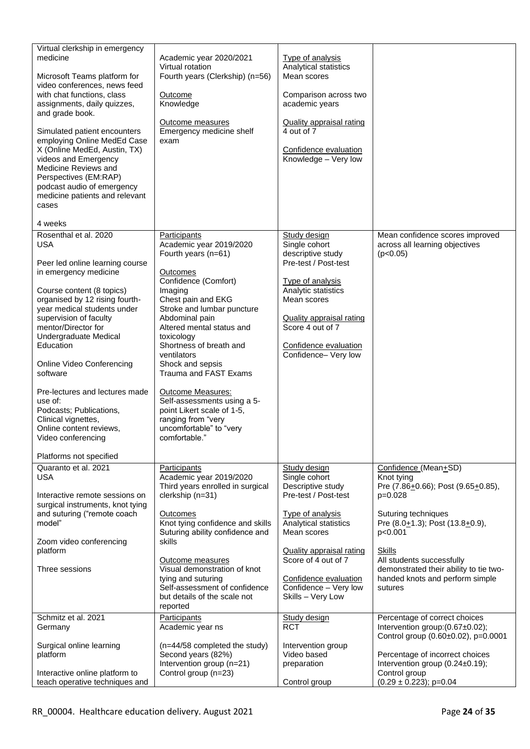| Virtual clerkship in emergency<br>medicine<br>Microsoft Teams platform for<br>video conferences, news feed<br>with chat functions, class<br>assignments, daily quizzes,<br>and grade book.<br>Simulated patient encounters<br>employing Online MedEd Case<br>X (Online MedEd, Austin, TX)<br>videos and Emergency<br>Medicine Reviews and<br>Perspectives (EM:RAP)<br>podcast audio of emergency<br>medicine patients and relevant<br>cases<br>4 weeks                                                   | Academic year 2020/2021<br>Virtual rotation<br>Fourth years (Clerkship) (n=56)<br>Outcome<br>Knowledge<br><b>Outcome measures</b><br>Emergency medicine shelf<br>exam                                                                                                                                                                                                                                                                                                                   | <b>Type of analysis</b><br>Analytical statistics<br>Mean scores<br>Comparison across two<br>academic years<br><b>Quality appraisal rating</b><br>4 out of 7<br>Confidence evaluation<br>Knowledge - Very low                                                            |                                                                                                                                                                                                                                                                                                  |
|----------------------------------------------------------------------------------------------------------------------------------------------------------------------------------------------------------------------------------------------------------------------------------------------------------------------------------------------------------------------------------------------------------------------------------------------------------------------------------------------------------|-----------------------------------------------------------------------------------------------------------------------------------------------------------------------------------------------------------------------------------------------------------------------------------------------------------------------------------------------------------------------------------------------------------------------------------------------------------------------------------------|-------------------------------------------------------------------------------------------------------------------------------------------------------------------------------------------------------------------------------------------------------------------------|--------------------------------------------------------------------------------------------------------------------------------------------------------------------------------------------------------------------------------------------------------------------------------------------------|
| Rosenthal et al. 2020<br><b>USA</b><br>Peer led online learning course<br>in emergency medicine<br>Course content (8 topics)<br>organised by 12 rising fourth-<br>year medical students under<br>supervision of faculty<br>mentor/Director for<br>Undergraduate Medical<br>Education<br>Online Video Conferencing<br>software<br>Pre-lectures and lectures made<br>use of:<br>Podcasts; Publications,<br>Clinical vignettes,<br>Online content reviews,<br>Video conferencing<br>Platforms not specified | Participants<br>Academic year 2019/2020<br>Fourth years (n=61)<br><b>Outcomes</b><br>Confidence (Comfort)<br>Imaging<br>Chest pain and EKG<br>Stroke and lumbar puncture<br>Abdominal pain<br>Altered mental status and<br>toxicology<br>Shortness of breath and<br>ventilators<br>Shock and sepsis<br>Trauma and FAST Exams<br><b>Outcome Measures:</b><br>Self-assessments using a 5-<br>point Likert scale of 1-5,<br>ranging from "very<br>uncomfortable" to "very<br>comfortable." | Study design<br>Single cohort<br>descriptive study<br>Pre-test / Post-test<br><b>Type of analysis</b><br>Analytic statistics<br>Mean scores<br><b>Quality appraisal rating</b><br>Score 4 out of 7<br>Confidence evaluation<br>Confidence- Very low                     | Mean confidence scores improved<br>across all learning objectives<br>(p<0.05)                                                                                                                                                                                                                    |
| Quaranto et al. 2021<br><b>USA</b><br>Interactive remote sessions on<br>surgical instruments, knot tying<br>and suturing ("remote coach<br>model"<br>Zoom video conferencing<br>platform<br>Three sessions                                                                                                                                                                                                                                                                                               | Participants<br>Academic year 2019/2020<br>Third years enrolled in surgical<br>clerkship (n=31)<br><b>Outcomes</b><br>Knot tying confidence and skills<br>Suturing ability confidence and<br>skills<br>Outcome measures<br>Visual demonstration of knot<br>tying and suturing<br>Self-assessment of confidence<br>but details of the scale not<br>reported                                                                                                                              | Study design<br>Single cohort<br>Descriptive study<br>Pre-test / Post-test<br>Type of analysis<br>Analytical statistics<br>Mean scores<br><b>Quality appraisal rating</b><br>Score of 4 out of 7<br>Confidence evaluation<br>Confidence - Very low<br>Skills - Very Low | Confidence (Mean+SD)<br>Knot tying<br>Pre (7.86+0.66); Post (9.65+0.85),<br>$p=0.028$<br>Suturing techniques<br>Pre (8.0+1.3); Post (13.8+0.9),<br>p<0.001<br><b>Skills</b><br>All students successfully<br>demonstrated their ability to tie two-<br>handed knots and perform simple<br>sutures |
| Schmitz et al. 2021<br>Germany<br>Surgical online learning<br>platform<br>Interactive online platform to<br>teach operative techniques and                                                                                                                                                                                                                                                                                                                                                               | Participants<br>Academic year ns<br>(n=44/58 completed the study)<br>Second years (82%)<br>Intervention group (n=21)<br>Control group (n=23)                                                                                                                                                                                                                                                                                                                                            | Study design<br><b>RCT</b><br>Intervention group<br>Video based<br>preparation<br>Control group                                                                                                                                                                         | Percentage of correct choices<br>Intervention group: (0.67±0.02);<br>Control group (0.60±0.02), p=0.0001<br>Percentage of incorrect choices<br>Intervention group (0.24±0.19);<br>Control group<br>$(0.29 \pm 0.223)$ ; p=0.04                                                                   |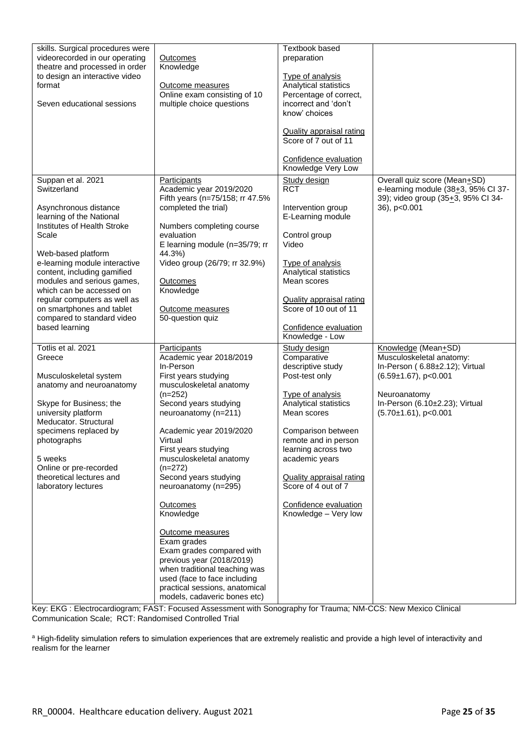| skills. Surgical procedures were<br>videorecorded in our operating<br>theatre and processed in order<br>to design an interactive video<br>format<br>Seven educational sessions                                                                                                                                                                                                              | Outcomes<br>Knowledge<br>Outcome measures<br>Online exam consisting of 10<br>multiple choice questions                                                                                                                                                                                                                                                                                                                                                                                                                                                                                       | <b>Textbook based</b><br>preparation<br><b>Type of analysis</b><br>Analytical statistics<br>Percentage of correct,<br>incorrect and 'don't<br>know' choices<br>Quality appraisal rating<br>Score of 7 out of 11<br>Confidence evaluation<br>Knowledge Very Low                                                                          |                                                                                                                                                                                                   |
|---------------------------------------------------------------------------------------------------------------------------------------------------------------------------------------------------------------------------------------------------------------------------------------------------------------------------------------------------------------------------------------------|----------------------------------------------------------------------------------------------------------------------------------------------------------------------------------------------------------------------------------------------------------------------------------------------------------------------------------------------------------------------------------------------------------------------------------------------------------------------------------------------------------------------------------------------------------------------------------------------|-----------------------------------------------------------------------------------------------------------------------------------------------------------------------------------------------------------------------------------------------------------------------------------------------------------------------------------------|---------------------------------------------------------------------------------------------------------------------------------------------------------------------------------------------------|
| Suppan et al. 2021<br>Switzerland<br>Asynchronous distance<br>learning of the National<br>Institutes of Health Stroke<br>Scale<br>Web-based platform<br>e-learning module interactive<br>content, including gamified<br>modules and serious games,<br>which can be accessed on<br>regular computers as well as<br>on smartphones and tablet<br>compared to standard video<br>based learning | <b>Participants</b><br>Academic year 2019/2020<br>Fifth years (n=75/158; rr 47.5%<br>completed the trial)<br>Numbers completing course<br>evaluation<br>E learning module (n=35/79; rr<br>44.3%)<br>Video group (26/79; rr 32.9%)<br><b>Outcomes</b><br>Knowledge<br>Outcome measures<br>50-question quiz                                                                                                                                                                                                                                                                                    | Study design<br><b>RCT</b><br>Intervention group<br>E-Learning module<br>Control group<br>Video<br><b>Type of analysis</b><br>Analytical statistics<br>Mean scores<br><b>Quality appraisal rating</b><br>Score of 10 out of 11<br>Confidence evaluation<br>Knowledge - Low                                                              | Overall quiz score (Mean+SD)<br>e-learning module $(38+3, 95\% \text{ Cl } 37-$<br>39); video group (35+3, 95% Cl 34-<br>36), p<0.001                                                             |
| Totlis et al. 2021<br>Greece<br>Musculoskeletal system<br>anatomy and neuroanatomy<br>Skype for Business; the<br>university platform<br>Meducator. Structural<br>specimens replaced by<br>photographs<br>5 weeks<br>Online or pre-recorded<br>theoretical lectures and<br>laboratory lectures                                                                                               | Participants<br>Academic year 2018/2019<br>In-Person<br>First years studying<br>musculoskeletal anatomy<br>$(n=252)$<br>Second years studying<br>neuroanatomy (n=211)<br>Academic year 2019/2020<br>Virtual<br>First years studying<br>musculoskeletal anatomy<br>$(n=272)$<br>Second years studying<br>neuroanatomy (n=295)<br><b>Outcomes</b><br>Knowledge<br>Outcome measures<br>Exam grades<br>Exam grades compared with<br>previous year (2018/2019)<br>when traditional teaching was<br>used (face to face including<br>practical sessions, anatomical<br>models, cadaveric bones etc) | Study design<br>Comparative<br>descriptive study<br>Post-test only<br><b>Type of analysis</b><br>Analytical statistics<br>Mean scores<br>Comparison between<br>remote and in person<br>learning across two<br>academic years<br><b>Quality appraisal rating</b><br>Score of 4 out of 7<br>Confidence evaluation<br>Knowledge - Very low | Knowledge (Mean+SD)<br>Musculoskeletal anatomy:<br>In-Person (6.88±2.12); Virtual<br>$(6.59 \pm 1.67)$ , p<0.001<br>Neuroanatomy<br>In-Person (6.10±2.23); Virtual<br>$(5.70 \pm 1.61)$ , p<0.001 |

Key: EKG : Electrocardiogram; FAST: Focused Assessment with Sonography for Trauma; NM-CCS: New Mexico Clinical Communication Scale; RCT: Randomised Controlled Trial

a High-fidelity simulation refers to simulation experiences that are extremely realistic and provide a high level of interactivity and realism for the learner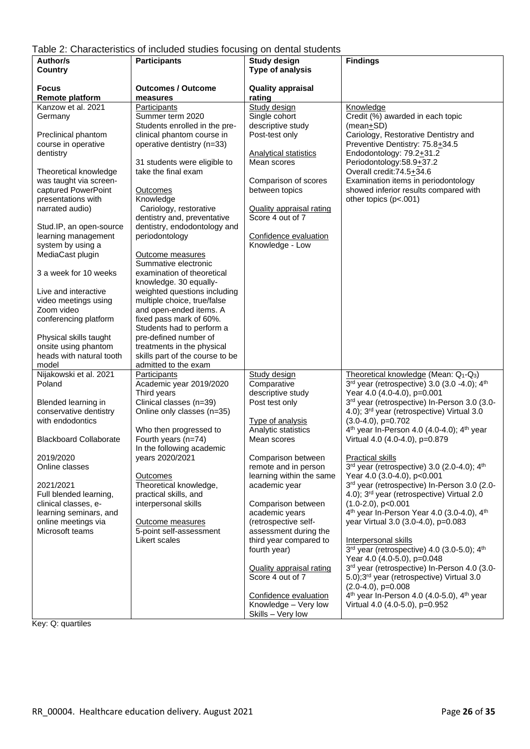<span id="page-25-0"></span>

| Author/s                      | <b>Participants</b>             | <b>Study design</b>             | <b>Findings</b>                                                    |
|-------------------------------|---------------------------------|---------------------------------|--------------------------------------------------------------------|
| Country                       |                                 | Type of analysis                |                                                                    |
|                               |                                 |                                 |                                                                    |
| <b>Focus</b>                  | <b>Outcomes / Outcome</b>       | <b>Quality appraisal</b>        |                                                                    |
| <b>Remote platform</b>        |                                 | rating                          |                                                                    |
| Kanzow et al. 2021            | measures                        |                                 |                                                                    |
|                               | Participants                    | Study design                    | Knowledge                                                          |
| Germany                       | Summer term 2020                | Single cohort                   | Credit (%) awarded in each topic                                   |
|                               | Students enrolled in the pre-   | descriptive study               | (mean+SD)                                                          |
| Preclinical phantom           | clinical phantom course in      | Post-test only                  | Cariology, Restorative Dentistry and                               |
| course in operative           | operative dentistry (n=33)      |                                 | Preventive Dentistry: 75.8+34.5                                    |
| dentistry                     |                                 | Analytical statistics           | Endodontology: $79.2 + 31.2$                                       |
|                               | 31 students were eligible to    | Mean scores                     | Periodontology:58.9+37.2                                           |
| Theoretical knowledge         | take the final exam             |                                 | Overall credit: 74.5+34.6                                          |
| was taught via screen-        |                                 | Comparison of scores            | Examination items in periodontology                                |
| captured PowerPoint           | Outcomes                        | between topics                  | showed inferior results compared with                              |
| presentations with            | Knowledge                       |                                 | other topics (p<.001)                                              |
| narrated audio)               | Cariology, restorative          | <b>Quality appraisal rating</b> |                                                                    |
|                               | dentistry and, preventative     | Score 4 out of 7                |                                                                    |
| Stud.IP, an open-source       | dentistry, endodontology and    |                                 |                                                                    |
| learning management           | periodontology                  | Confidence evaluation           |                                                                    |
| system by using a             |                                 | Knowledge - Low                 |                                                                    |
| MediaCast plugin              | <b>Outcome measures</b>         |                                 |                                                                    |
|                               | Summative electronic            |                                 |                                                                    |
| 3 a week for 10 weeks         | examination of theoretical      |                                 |                                                                    |
|                               | knowledge. 30 equally-          |                                 |                                                                    |
| Live and interactive          | weighted questions including    |                                 |                                                                    |
| video meetings using          | multiple choice, true/false     |                                 |                                                                    |
| Zoom video                    | and open-ended items. A         |                                 |                                                                    |
|                               |                                 |                                 |                                                                    |
| conferencing platform         | fixed pass mark of 60%.         |                                 |                                                                    |
|                               | Students had to perform a       |                                 |                                                                    |
| Physical skills taught        | pre-defined number of           |                                 |                                                                    |
| onsite using phantom          | treatments in the physical      |                                 |                                                                    |
| heads with natural tooth      | skills part of the course to be |                                 |                                                                    |
| model                         | admitted to the exam            |                                 |                                                                    |
| Nijakowski et al. 2021        | Participants                    | <b>Study design</b>             | Theoretical knowledge (Mean: Q1-Q3)                                |
| Poland                        | Academic year 2019/2020         | Comparative                     | 3rd year (retrospective) 3.0 (3.0 -4.0); 4th                       |
|                               | Third years                     | descriptive study               | Year 4.0 (4.0-4.0), p=0.001                                        |
| Blended learning in           | Clinical classes (n=39)         | Post test only                  | 3rd year (retrospective) In-Person 3.0 (3.0-                       |
| conservative dentistry        | Online only classes (n=35)      |                                 | 4.0); 3rd year (retrospective) Virtual 3.0                         |
| with endodontics              |                                 | <b>Type of analysis</b>         | $(3.0-4.0), p=0.702$                                               |
|                               | Who then progressed to          | Analytic statistics             | 4 <sup>th</sup> year In-Person 4.0 (4.0-4.0); 4 <sup>th</sup> year |
| <b>Blackboard Collaborate</b> | Fourth years (n=74)             | Mean scores                     | Virtual 4.0 (4.0-4.0), p=0.879                                     |
|                               | In the following academic       |                                 |                                                                    |
| 2019/2020                     | years 2020/2021                 | Comparison between              | <b>Practical skills</b>                                            |
| Online classes                |                                 | remote and in person            | 3rd year (retrospective) 3.0 (2.0-4.0); 4th                        |
|                               | Outcomes                        | learning within the same        | Year 4.0 (3.0-4.0), p<0.001                                        |
| 2021/2021                     | Theoretical knowledge,          | academic year                   | 3rd year (retrospective) In-Person 3.0 (2.0-                       |
| Full blended learning,        | practical skills, and           |                                 | 4.0); 3rd year (retrospective) Virtual 2.0                         |
| clinical classes, e-          | interpersonal skills            | Comparison between              | $(1.0-2.0)$ , p<0.001                                              |
| learning seminars, and        |                                 | academic years                  | 4 <sup>th</sup> year In-Person Year 4.0 (3.0-4.0), 4 <sup>th</sup> |
| online meetings via           | Outcome measures                | (retrospective self-            | year Virtual 3.0 (3.0-4.0), p=0.083                                |
| Microsoft teams               | 5-point self-assessment         | assessment during the           |                                                                    |
|                               | Likert scales                   | third year compared to          | Interpersonal skills                                               |
|                               |                                 | fourth year)                    | $3rd$ year (retrospective) 4.0 (3.0-5.0); 4 <sup>th</sup>          |
|                               |                                 |                                 | Year 4.0 (4.0-5.0), p=0.048                                        |
|                               |                                 |                                 | 3rd year (retrospective) In-Person 4.0 (3.0-                       |
|                               |                                 | <b>Quality appraisal rating</b> |                                                                    |
|                               |                                 | Score 4 out of 7                | 5.0);3 <sup>rd</sup> year (retrospective) Virtual 3.0              |
|                               |                                 |                                 | $(2.0-4.0), p=0.008$                                               |
|                               |                                 | Confidence evaluation           | 4 <sup>th</sup> year In-Person 4.0 (4.0-5.0), 4 <sup>th</sup> year |
|                               |                                 | Knowledge - Very low            | Virtual 4.0 (4.0-5.0), p=0.952                                     |
|                               |                                 | Skills - Very low               |                                                                    |

Key: Q: quartiles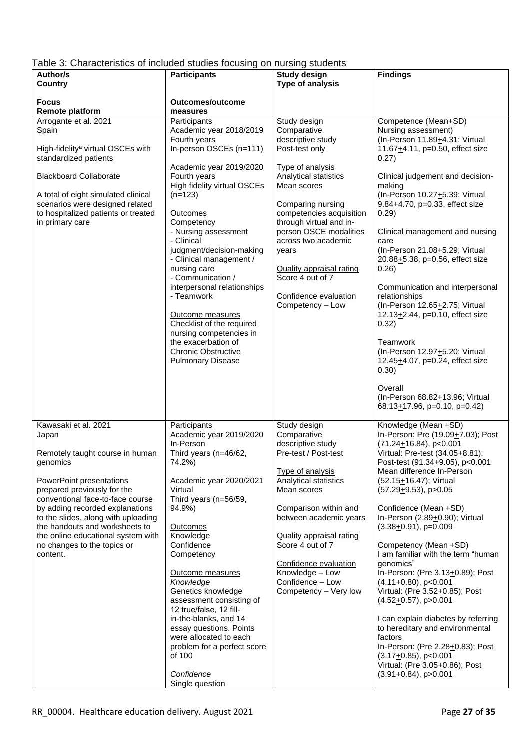<span id="page-26-0"></span>

| Table 3: Characteristics of included studies focusing on nursing students |  |  |  |
|---------------------------------------------------------------------------|--|--|--|
|                                                                           |  |  |  |

| of original construction of interaction clusters to capital of the charge created the<br>Author/s<br>Country                                                                                                                                                                                                                                                             | <b>Participants</b>                                                                                                                                                                                                                                                                                                                                                                                                                                                                                                                             | <b>Study design</b><br>Type of analysis                                                                                                                                                                                                                                                                                                                                         | <b>Findings</b>                                                                                                                                                                                                                                                                                                                                                                                                                                                                                                                                                                                                                                                                                                                                                        |
|--------------------------------------------------------------------------------------------------------------------------------------------------------------------------------------------------------------------------------------------------------------------------------------------------------------------------------------------------------------------------|-------------------------------------------------------------------------------------------------------------------------------------------------------------------------------------------------------------------------------------------------------------------------------------------------------------------------------------------------------------------------------------------------------------------------------------------------------------------------------------------------------------------------------------------------|---------------------------------------------------------------------------------------------------------------------------------------------------------------------------------------------------------------------------------------------------------------------------------------------------------------------------------------------------------------------------------|------------------------------------------------------------------------------------------------------------------------------------------------------------------------------------------------------------------------------------------------------------------------------------------------------------------------------------------------------------------------------------------------------------------------------------------------------------------------------------------------------------------------------------------------------------------------------------------------------------------------------------------------------------------------------------------------------------------------------------------------------------------------|
| <b>Focus</b><br>Remote platform                                                                                                                                                                                                                                                                                                                                          | Outcomes/outcome<br>measures                                                                                                                                                                                                                                                                                                                                                                                                                                                                                                                    |                                                                                                                                                                                                                                                                                                                                                                                 |                                                                                                                                                                                                                                                                                                                                                                                                                                                                                                                                                                                                                                                                                                                                                                        |
| Arrogante et al. 2021<br>Spain<br>High-fidelity <sup>a</sup> virtual OSCEs with<br>standardized patients<br><b>Blackboard Collaborate</b><br>A total of eight simulated clinical<br>scenarios were designed related<br>to hospitalized patients or treated<br>in primary care                                                                                            | Participants<br>Academic year 2018/2019<br>Fourth years<br>In-person OSCEs (n=111)<br>Academic year 2019/2020<br>Fourth years<br>High fidelity virtual OSCEs<br>$(n=123)$<br>Outcomes<br>Competency<br>- Nursing assessment<br>- Clinical<br>judgment/decision-making<br>- Clinical management /<br>nursing care<br>- Communication /<br>interpersonal relationships<br>- Teamwork<br>Outcome measures<br>Checklist of the required<br>nursing competencies in<br>the exacerbation of<br><b>Chronic Obstructive</b><br><b>Pulmonary Disease</b> | Study design<br>Comparative<br>descriptive study<br>Post-test only<br><b>Type of analysis</b><br>Analytical statistics<br>Mean scores<br>Comparing nursing<br>competencies acquisition<br>through virtual and in-<br>person OSCE modalities<br>across two academic<br>years<br><b>Quality appraisal rating</b><br>Score 4 out of 7<br>Confidence evaluation<br>Competency - Low | Competence (Mean+SD)<br>Nursing assessment)<br>(In-Person 11.89+4.31; Virtual<br>11.67+4.11, p=0.50, effect size<br>0.27)<br>Clinical judgement and decision-<br>making<br>(In-Person 10.27+5.39; Virtual<br>9.84+4.70, p=0.33, effect size<br>0.29)<br>Clinical management and nursing<br>care<br>(In-Person 21.08+5.29; Virtual<br>20.88+5.38, p=0.56, effect size<br>0.26)<br>Communication and interpersonal<br>relationships<br>(In-Person 12.65+2.75; Virtual<br>12.13+2.44, p=0.10, effect size<br>0.32)<br>Teamwork<br>(In-Person 12.97+5.20; Virtual<br>12.45+4.07, p=0.24, effect size<br>0.30)                                                                                                                                                              |
|                                                                                                                                                                                                                                                                                                                                                                          |                                                                                                                                                                                                                                                                                                                                                                                                                                                                                                                                                 |                                                                                                                                                                                                                                                                                                                                                                                 | Overall<br>(In-Person 68.82+13.96; Virtual<br>68.13 $\pm$ 17.96, p=0.10, p=0.42)                                                                                                                                                                                                                                                                                                                                                                                                                                                                                                                                                                                                                                                                                       |
| Kawasaki et al. 2021<br>Japan<br>Remotely taught course in human<br>genomics<br>PowerPoint presentations<br>prepared previously for the<br>conventional face-to-face course<br>by adding recorded explanations<br>to the slides, along with uploading<br>the handouts and worksheets to<br>the online educational system with<br>no changes to the topics or<br>content. | Participants<br>Academic year 2019/2020<br>In-Person<br>Third years (n=46/62,<br>74.2%)<br>Academic year 2020/2021<br>Virtual<br>Third years (n=56/59,<br>94.9%)<br><b>Outcomes</b><br>Knowledge<br>Confidence<br>Competency<br>Outcome measures<br>Knowledge<br>Genetics knowledge<br>assessment consisting of<br>12 true/false, 12 fill-<br>in-the-blanks, and 14<br>essay questions. Points<br>were allocated to each<br>problem for a perfect score<br>of 100<br>Confidence<br>Single question                                              | Study design<br>Comparative<br>descriptive study<br>Pre-test / Post-test<br>Type of analysis<br>Analytical statistics<br>Mean scores<br>Comparison within and<br>between academic years<br><b>Quality appraisal rating</b><br>Score 4 out of 7<br>Confidence evaluation<br>Knowledge - Low<br>Confidence - Low<br>Competency - Very low                                         | Knowledge (Mean +SD)<br>In-Person: Pre (19.09+7.03); Post<br>$(71.24 \pm 16.84), p < 0.001$<br>Virtual: Pre-test (34.05+8.81);<br>Post-test (91.34+9.05), p<0.001<br>Mean difference In-Person<br>(52.15+16.47); Virtual<br>$(57.29+9.53)$ , p>0.05<br>Confidence (Mean +SD)<br>In-Person (2.89+0.90); Virtual<br>$(3.38+0.91)$ , p=0.009<br>Competency (Mean +SD)<br>I am familiar with the term "human<br>genomics"<br>In-Person: (Pre 3.13+0.89); Post<br>$(4.11+0.80)$ , p<0.001<br>Virtual: (Pre 3.52+0.85); Post<br>$(4.52+0.57)$ , p>0.001<br>I can explain diabetes by referring<br>to hereditary and environmental<br>factors<br>In-Person: (Pre 2.28+0.83); Post<br>$(3.17+0.85)$ , p<0.001<br>Virtual: (Pre 3.05+0.86); Post<br>$(3.91 + 0.84)$ , p > 0.001 |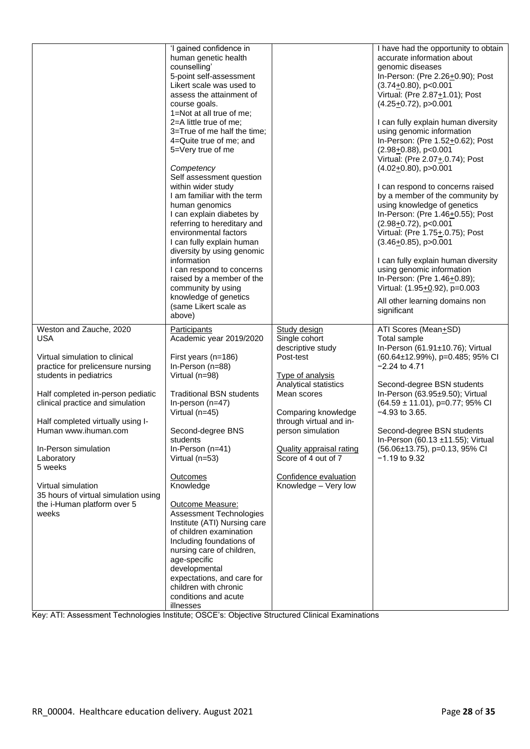|                                                                                                                                                                                                                                                                                                                                                                                                                                     | 'I gained confidence in<br>human genetic health<br>counselling'<br>5-point self-assessment<br>Likert scale was used to<br>assess the attainment of<br>course goals.<br>1=Not at all true of me;<br>2=A little true of me;<br>3=True of me half the time;<br>4=Quite true of me; and<br>5=Very true of me<br>Competency<br>Self assessment question<br>within wider study<br>I am familiar with the term<br>human genomics<br>I can explain diabetes by<br>referring to hereditary and<br>environmental factors<br>I can fully explain human<br>diversity by using genomic<br>information<br>I can respond to concerns<br>raised by a member of the<br>community by using<br>knowledge of genetics<br>(same Likert scale as<br>above) |                                                                                                                                                                                                                                                                                                                      | I have had the opportunity to obtain<br>accurate information about<br>genomic diseases<br>In-Person: (Pre 2.26+0.90); Post<br>$(3.74+0.80)$ , p<0.001<br>Virtual: (Pre 2.87+1.01); Post<br>$(4.25+0.72)$ , p>0.001<br>I can fully explain human diversity<br>using genomic information<br>In-Person: (Pre 1.52+0.62); Post<br>$(2.98+0.88)$ , p<0.001<br>Virtual: (Pre 2.07+.0.74); Post<br>$(4.02+0.80)$ , p $>0.001$<br>I can respond to concerns raised<br>by a member of the community by<br>using knowledge of genetics<br>In-Person: (Pre 1.46+0.55); Post<br>$(2.98 + 0.72)$ , p<0.001<br>Virtual: (Pre 1.75+.0.75); Post<br>$(3.46+0.85)$ , p > 0.001<br>I can fully explain human diversity<br>using genomic information<br>In-Person: (Pre 1.46+0.89);<br>Virtual: (1.95+0.92), p=0.003<br>All other learning domains non<br>significant |
|-------------------------------------------------------------------------------------------------------------------------------------------------------------------------------------------------------------------------------------------------------------------------------------------------------------------------------------------------------------------------------------------------------------------------------------|--------------------------------------------------------------------------------------------------------------------------------------------------------------------------------------------------------------------------------------------------------------------------------------------------------------------------------------------------------------------------------------------------------------------------------------------------------------------------------------------------------------------------------------------------------------------------------------------------------------------------------------------------------------------------------------------------------------------------------------|----------------------------------------------------------------------------------------------------------------------------------------------------------------------------------------------------------------------------------------------------------------------------------------------------------------------|----------------------------------------------------------------------------------------------------------------------------------------------------------------------------------------------------------------------------------------------------------------------------------------------------------------------------------------------------------------------------------------------------------------------------------------------------------------------------------------------------------------------------------------------------------------------------------------------------------------------------------------------------------------------------------------------------------------------------------------------------------------------------------------------------------------------------------------------------|
| Weston and Zauche, 2020<br><b>USA</b><br>Virtual simulation to clinical<br>practice for prelicensure nursing<br>students in pediatrics<br>Half completed in-person pediatic<br>clinical practice and simulation<br>Half completed virtually using I-<br>Human www.ihuman.com<br>In-Person simulation<br>Laboratory<br>5 weeks<br>Virtual simulation<br>35 hours of virtual simulation using<br>the i-Human platform over 5<br>weeks | Participants<br>Academic year 2019/2020<br>First years (n=186)<br>In-Person (n=88)<br>Virtual (n=98)<br><b>Traditional BSN students</b><br>In-person (n=47)<br>Virtual (n=45)<br>Second-degree BNS<br>students<br>In-Person $(n=41)$<br>Virtual (n=53)<br>Outcomes<br>Knowledge<br>Outcome Measure:<br><b>Assessment Technologies</b><br>Institute (ATI) Nursing care<br>of children examination<br>Including foundations of<br>nursing care of children,<br>age-specific<br>developmental<br>expectations, and care for                                                                                                                                                                                                             | Study design<br>Single cohort<br>descriptive study<br>Post-test<br><b>Type of analysis</b><br>Analytical statistics<br>Mean scores<br>Comparing knowledge<br>through virtual and in-<br>person simulation<br><b>Quality appraisal rating</b><br>Score of 4 out of 7<br>Confidence evaluation<br>Knowledge - Very low | ATI Scores (Mean+SD)<br>Total sample<br>In-Person (61.91±10.76); Virtual<br>$(60.64 \pm 12.99\%)$ , p=0.485; 95% CI<br>$-2.24$ to 4.71<br>Second-degree BSN students<br>In-Person (63.95±9.50); Virtual<br>(64.59 ± 11.01), p=0.77; 95% CI<br>$-4.93$ to 3.65.<br>Second-degree BSN students<br>In-Person (60.13 ±11.55); Virtual<br>(56.06±13.75), p=0.13, 95% CI<br>$-1.19$ to 9.32                                                                                                                                                                                                                                                                                                                                                                                                                                                              |
|                                                                                                                                                                                                                                                                                                                                                                                                                                     | children with chronic<br>conditions and acute<br>illnesses                                                                                                                                                                                                                                                                                                                                                                                                                                                                                                                                                                                                                                                                           |                                                                                                                                                                                                                                                                                                                      |                                                                                                                                                                                                                                                                                                                                                                                                                                                                                                                                                                                                                                                                                                                                                                                                                                                    |

Key: ATI: Assessment Technologies Institute; OSCE's: Objective Structured Clinical Examinations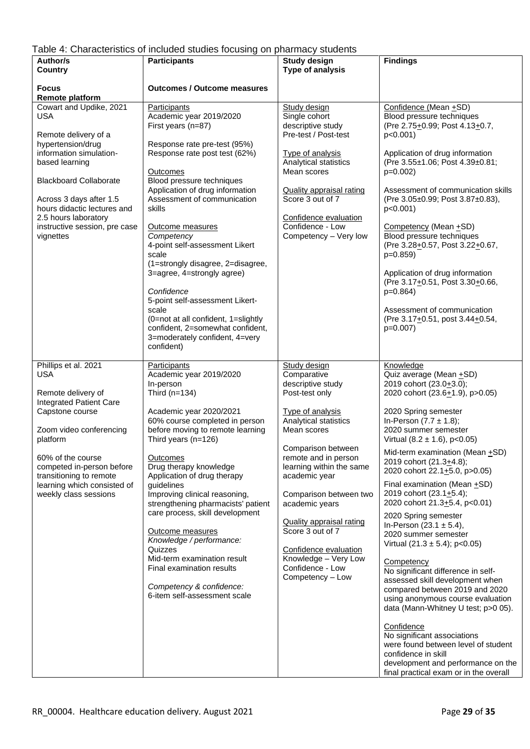# <span id="page-28-0"></span>Table 4: Characteristics of included studies focusing on pharmacy students

| Author/s                                                                                                                                                                                                                                                                                         | n. Ondradtonolloo of information cludios recubing on pharmacy cludomo<br><b>Participants</b>                                                                                                                                                                                                                                                                                                                                                                                                                                                                                           | <b>Study design</b>                                                                                                                                                                                                                                                                                                                                                                                                   | <b>Findings</b>                                                                                                                                                                                                                                                                                                                                                                                                                                                                                                                                                                                                                                                                                                                                                                                        |
|--------------------------------------------------------------------------------------------------------------------------------------------------------------------------------------------------------------------------------------------------------------------------------------------------|----------------------------------------------------------------------------------------------------------------------------------------------------------------------------------------------------------------------------------------------------------------------------------------------------------------------------------------------------------------------------------------------------------------------------------------------------------------------------------------------------------------------------------------------------------------------------------------|-----------------------------------------------------------------------------------------------------------------------------------------------------------------------------------------------------------------------------------------------------------------------------------------------------------------------------------------------------------------------------------------------------------------------|--------------------------------------------------------------------------------------------------------------------------------------------------------------------------------------------------------------------------------------------------------------------------------------------------------------------------------------------------------------------------------------------------------------------------------------------------------------------------------------------------------------------------------------------------------------------------------------------------------------------------------------------------------------------------------------------------------------------------------------------------------------------------------------------------------|
| Country                                                                                                                                                                                                                                                                                          |                                                                                                                                                                                                                                                                                                                                                                                                                                                                                                                                                                                        | Type of analysis                                                                                                                                                                                                                                                                                                                                                                                                      |                                                                                                                                                                                                                                                                                                                                                                                                                                                                                                                                                                                                                                                                                                                                                                                                        |
| <b>Focus</b><br><b>Remote platform</b>                                                                                                                                                                                                                                                           | <b>Outcomes / Outcome measures</b>                                                                                                                                                                                                                                                                                                                                                                                                                                                                                                                                                     |                                                                                                                                                                                                                                                                                                                                                                                                                       |                                                                                                                                                                                                                                                                                                                                                                                                                                                                                                                                                                                                                                                                                                                                                                                                        |
| Cowart and Updike, 2021<br><b>USA</b><br>Remote delivery of a<br>hypertension/drug<br>information simulation-<br>based learning<br><b>Blackboard Collaborate</b><br>Across 3 days after 1.5<br>hours didactic lectures and<br>2.5 hours laboratory<br>instructive session, pre case<br>vignettes | Participants<br>Academic year 2019/2020<br>First years (n=87)<br>Response rate pre-test (95%)<br>Response rate post test (62%)<br>Outcomes<br>Blood pressure techniques<br>Application of drug information<br>Assessment of communication<br>skills<br>Outcome measures<br>Competency<br>4-point self-assessment Likert<br>scale<br>(1=strongly disagree, 2=disagree,<br>3=agree, 4=strongly agree)<br>Confidence<br>5-point self-assessment Likert-<br>scale<br>(0=not at all confident, 1=slightly<br>confident, 2=somewhat confident,<br>3=moderately confident, 4=very             | Study design<br>Single cohort<br>descriptive study<br>Pre-test / Post-test<br><b>Type of analysis</b><br>Analytical statistics<br>Mean scores<br><b>Quality appraisal rating</b><br>Score 3 out of 7<br>Confidence evaluation<br>Confidence - Low<br>Competency - Very low                                                                                                                                            | Confidence (Mean +SD)<br>Blood pressure techniques<br>(Pre 2.75+0.99; Post 4.13+0.7,<br>$p<0.001$ )<br>Application of drug information<br>(Pre 3.55±1.06; Post 4.39±0.81;<br>$p=0.002$ )<br>Assessment of communication skills<br>(Pre 3.05±0.99; Post 3.87±0.83),<br>$p<0.001$ )<br>Competency (Mean +SD)<br>Blood pressure techniques<br>(Pre 3.28+0.57, Post 3.22+0.67,<br>$p=0.859$<br>Application of drug information<br>(Pre 3.17+0.51, Post 3.30+0.66,<br>$p=0.864$<br>Assessment of communication<br>(Pre 3.17+0.51, post 3.44+0.54,<br>$p=0.007$                                                                                                                                                                                                                                              |
|                                                                                                                                                                                                                                                                                                  | confident)                                                                                                                                                                                                                                                                                                                                                                                                                                                                                                                                                                             |                                                                                                                                                                                                                                                                                                                                                                                                                       |                                                                                                                                                                                                                                                                                                                                                                                                                                                                                                                                                                                                                                                                                                                                                                                                        |
| Phillips et al. 2021<br><b>USA</b><br>Remote delivery of<br><b>Integrated Patient Care</b><br>Capstone course<br>Zoom video conferencing<br>platform<br>60% of the course<br>competed in-person before<br>transitioning to remote<br>learning which consisted of<br>weekly class sessions        | Participants<br>Academic year 2019/2020<br>In-person<br>Third $(n=134)$<br>Academic year 2020/2021<br>60% course completed in person<br>before moving to remote learning<br>Third years (n=126)<br>Outcomes<br>Drug therapy knowledge<br>Application of drug therapy<br>guidelines<br>Improving clinical reasoning,<br>strengthening pharmacists' patient<br>care process, skill development<br><b>Outcome measures</b><br>Knowledge / performance:<br>Quizzes<br>Mid-term examination result<br>Final examination results<br>Competency & confidence:<br>6-item self-assessment scale | Study design<br>Comparative<br>descriptive study<br>Post-test only<br>Type of analysis<br>Analytical statistics<br>Mean scores<br>Comparison between<br>remote and in person<br>learning within the same<br>academic year<br>Comparison between two<br>academic years<br><b>Quality appraisal rating</b><br>Score 3 out of 7<br>Confidence evaluation<br>Knowledge - Very Low<br>Confidence - Low<br>Competency - Low | Knowledge<br>Quiz average (Mean +SD)<br>2019 cohort (23.0+3.0);<br>2020 cohort $(23.6+1.9)$ , p>0.05)<br>2020 Spring semester<br>In-Person $(7.7 \pm 1.8)$ ;<br>2020 summer semester<br>Virtual $(8.2 \pm 1.6)$ , p<0.05)<br>Mid-term examination (Mean +SD)<br>2019 cohort (21.3+4.8);<br>2020 cohort 22.1+5.0, p>0.05)<br>Final examination (Mean $\pm$ SD)<br>2019 cohort $(23.1 + 5.4)$ ;<br>2020 cohort 21.3+5.4, p<0.01)<br>2020 Spring semester<br>In-Person $(23.1 \pm 5.4)$ ,<br>2020 summer semester<br>Virtual $(21.3 \pm 5.4)$ ; p<0.05)<br>Competency<br>No significant difference in self-<br>assessed skill development when<br>compared between 2019 and 2020<br>using anonymous course evaluation<br>data (Mann-Whitney U test; p>0 05).<br>Confidence<br>No significant associations |
|                                                                                                                                                                                                                                                                                                  |                                                                                                                                                                                                                                                                                                                                                                                                                                                                                                                                                                                        |                                                                                                                                                                                                                                                                                                                                                                                                                       | were found between level of student<br>confidence in skill<br>development and performance on the<br>final practical exam or in the overall                                                                                                                                                                                                                                                                                                                                                                                                                                                                                                                                                                                                                                                             |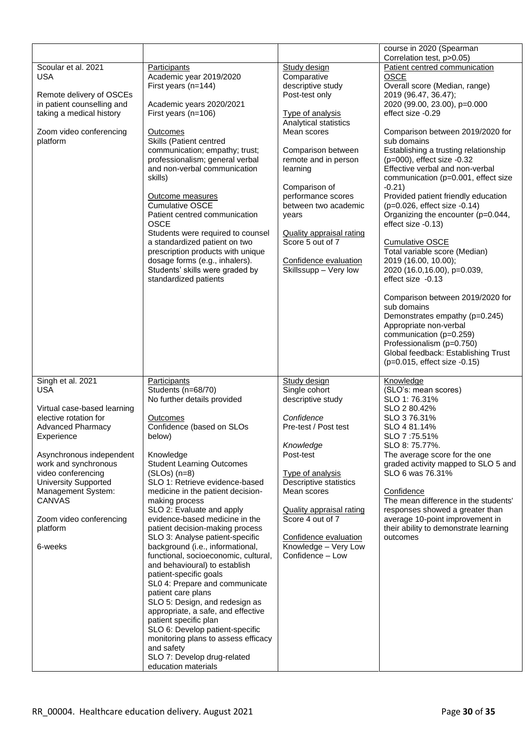|                                     |                                                          |                                       | course in 2020 (Spearman                                           |
|-------------------------------------|----------------------------------------------------------|---------------------------------------|--------------------------------------------------------------------|
|                                     |                                                          |                                       | Correlation test, p>0.05)                                          |
| Scoular et al. 2021                 | <b>Participants</b>                                      | Study design                          | Patient centred communication                                      |
| <b>USA</b>                          | Academic year 2019/2020<br>First years (n=144)           | Comparative<br>descriptive study      | <b>OSCE</b><br>Overall score (Median, range)                       |
| Remote delivery of OSCEs            |                                                          | Post-test only                        | 2019 (96.47, 36.47);                                               |
| in patient counselling and          | Academic years 2020/2021                                 |                                       | 2020 (99.00, 23.00), p=0.000                                       |
| taking a medical history            | First years (n=106)                                      | <b>Type of analysis</b>               | effect size -0.29                                                  |
|                                     |                                                          | Analytical statistics                 |                                                                    |
| Zoom video conferencing<br>platform | <b>Outcomes</b><br>Skills (Patient centred               | Mean scores                           | Comparison between 2019/2020 for<br>sub domains                    |
|                                     | communication; empathy; trust;                           | Comparison between                    | Establishing a trusting relationship                               |
|                                     | professionalism; general verbal                          | remote and in person                  | (p=000), effect size -0.32                                         |
|                                     | and non-verbal communication                             | learning                              | Effective verbal and non-verbal                                    |
|                                     | skills)                                                  |                                       | communication (p=0.001, effect size                                |
|                                     |                                                          | Comparison of                         | $-0.21$                                                            |
|                                     | Outcome measures                                         | performance scores                    | Provided patient friendly education                                |
|                                     | <b>Cumulative OSCE</b><br>Patient centred communication  | between two academic                  | (p=0.026, effect size -0.14)<br>Organizing the encounter (p=0.044, |
|                                     | <b>OSCE</b>                                              | years                                 | effect size -0.13)                                                 |
|                                     | Students were required to counsel                        | <b>Quality appraisal rating</b>       |                                                                    |
|                                     | a standardized patient on two                            | Score 5 out of 7                      | <b>Cumulative OSCE</b>                                             |
|                                     | prescription products with unique                        |                                       | Total variable score (Median)                                      |
|                                     | dosage forms (e.g., inhalers).                           | Confidence evaluation                 | 2019 (16.00, 10.00);                                               |
|                                     | Students' skills were graded by                          | Skillssupp - Very low                 | 2020 (16.0,16.00), p=0.039,                                        |
|                                     | standardized patients                                    |                                       | effect size -0.13                                                  |
|                                     |                                                          |                                       |                                                                    |
|                                     |                                                          |                                       | Comparison between 2019/2020 for<br>sub domains                    |
|                                     |                                                          |                                       | Demonstrates empathy (p=0.245)                                     |
|                                     |                                                          |                                       | Appropriate non-verbal                                             |
|                                     |                                                          |                                       | communication (p=0.259)                                            |
|                                     |                                                          |                                       | Professionalism (p=0.750)                                          |
|                                     |                                                          |                                       | Global feedback: Establishing Trust                                |
|                                     |                                                          |                                       | (p=0.015, effect size -0.15)                                       |
|                                     |                                                          |                                       |                                                                    |
|                                     |                                                          |                                       |                                                                    |
| Singh et al. 2021                   | <b>Participants</b>                                      | Study design                          | Knowledge                                                          |
| USA                                 | Students (n=68/70)                                       | Single cohort                         | (SLO's: mean scores)                                               |
| Virtual case-based learning         | No further details provided                              | descriptive study                     | SLO 1: 76.31%<br>SLO 2 80.42%                                      |
| elective rotation for               | Outcomes                                                 | Confidence                            | SLO 376.31%                                                        |
| <b>Advanced Pharmacy</b>            | Confidence (based on SLOs                                | Pre-test / Post test                  | SLO 4 81.14%                                                       |
| Experience                          | below)                                                   |                                       | SLO 7:75.51%                                                       |
|                                     |                                                          | Knowledge                             | SLO 8: 75.77%.                                                     |
| Asynchronous independent            | Knowledge                                                | Post-test                             | The average score for the one                                      |
| work and synchronous                | <b>Student Learning Outcomes</b>                         |                                       | graded activity mapped to SLO 5 and                                |
| video conferencing                  | $(SLOS)$ $(n=8)$                                         | <b>Type of analysis</b>               | SLO 6 was 76.31%                                                   |
| <b>University Supported</b>         | SLO 1: Retrieve evidence-based                           | Descriptive statistics<br>Mean scores |                                                                    |
| Management System:<br><b>CANVAS</b> | medicine in the patient decision-<br>making process      |                                       | Confidence<br>The mean difference in the students'                 |
|                                     | SLO 2: Evaluate and apply                                | <b>Quality appraisal rating</b>       | responses showed a greater than                                    |
| Zoom video conferencing             | evidence-based medicine in the                           | Score 4 out of 7                      | average 10-point improvement in                                    |
| platform                            | patient decision-making process                          |                                       | their ability to demonstrate learning                              |
|                                     | SLO 3: Analyse patient-specific                          | Confidence evaluation                 | outcomes                                                           |
| 6-weeks                             | background (i.e., informational,                         | Knowledge - Very Low                  |                                                                    |
|                                     | functional, socioeconomic, cultural,                     | Confidence - Low                      |                                                                    |
|                                     | and behavioural) to establish                            |                                       |                                                                    |
|                                     | patient-specific goals<br>SL0 4: Prepare and communicate |                                       |                                                                    |
|                                     | patient care plans                                       |                                       |                                                                    |
|                                     | SLO 5: Design, and redesign as                           |                                       |                                                                    |
|                                     | appropriate, a safe, and effective                       |                                       |                                                                    |
|                                     | patient specific plan                                    |                                       |                                                                    |
|                                     | SLO 6: Develop patient-specific                          |                                       |                                                                    |
|                                     | monitoring plans to assess efficacy                      |                                       |                                                                    |
|                                     | and safety                                               |                                       |                                                                    |
|                                     | SLO 7: Develop drug-related<br>education materials       |                                       |                                                                    |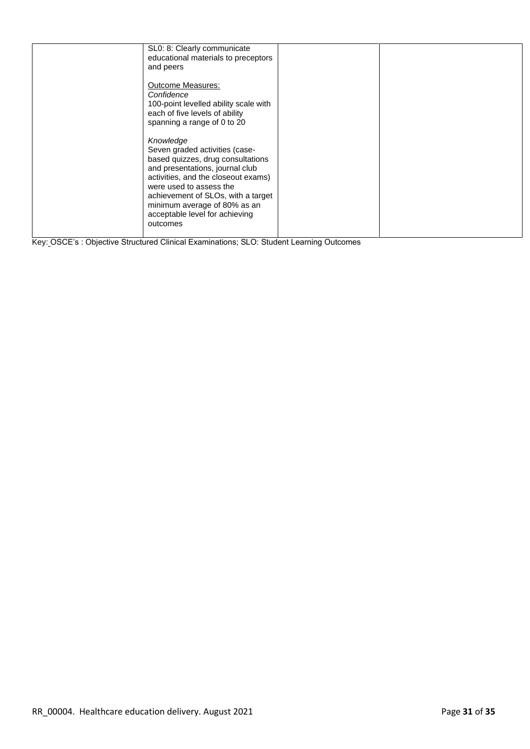|  | SL0: 8: Clearly communicate<br>educational materials to preceptors<br>and peers                                                                                                                                                                                                                           |  |
|--|-----------------------------------------------------------------------------------------------------------------------------------------------------------------------------------------------------------------------------------------------------------------------------------------------------------|--|
|  | <b>Outcome Measures:</b><br>Confidence<br>100-point levelled ability scale with<br>each of five levels of ability<br>spanning a range of 0 to 20                                                                                                                                                          |  |
|  | Knowledge<br>Seven graded activities (case-<br>based quizzes, drug consultations<br>and presentations, journal club<br>activities, and the closeout exams)<br>were used to assess the<br>achievement of SLOs, with a target<br>minimum average of 80% as an<br>acceptable level for achieving<br>outcomes |  |

Key: OSCE's : Objective Structured Clinical Examinations; SLO: Student Learning Outcomes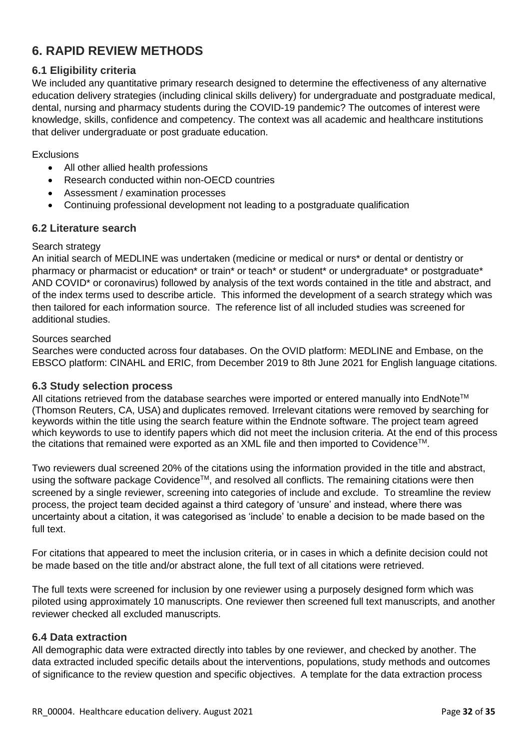# <span id="page-31-0"></span>**6. RAPID REVIEW METHODS**

# <span id="page-31-1"></span>**6.1 Eligibility criteria**

We included any quantitative primary research designed to determine the effectiveness of any alternative education delivery strategies (including clinical skills delivery) for undergraduate and postgraduate medical, dental, nursing and pharmacy students during the COVID-19 pandemic? The outcomes of interest were knowledge, skills, confidence and competency. The context was all academic and healthcare institutions that deliver undergraduate or post graduate education.

**Exclusions** 

- All other allied health professions
- Research conducted within non-OECD countries
- Assessment / examination processes
- Continuing professional development not leading to a postgraduate qualification

### <span id="page-31-2"></span>**6.2 Literature search**

### Search strategy

An initial search of MEDLINE was undertaken (medicine or medical or nurs\* or dental or dentistry or pharmacy or pharmacist or education<sup>\*</sup> or train<sup>\*</sup> or teach<sup>\*</sup> or student<sup>\*</sup> or undergraduate<sup>\*</sup> or postgraduate<sup>\*</sup> AND COVID\* or coronavirus) followed by analysis of the text words contained in the title and abstract, and of the index terms used to describe article. This informed the development of a search strategy which was then tailored for each information source. The reference list of all included studies was screened for additional studies.

### Sources searched

Searches were conducted across four databases. On the OVID platform: MEDLINE and Embase, on the EBSCO platform: CINAHL and ERIC, from December 2019 to 8th June 2021 for English language citations.

### <span id="page-31-3"></span>**6.3 Study selection process**

All citations retrieved from the database searches were imported or entered manually into EndNote™ (Thomson Reuters, CA, USA) and duplicates removed. Irrelevant citations were removed by searching for keywords within the title using the search feature within the Endnote software. The project team agreed which keywords to use to identify papers which did not meet the inclusion criteria. At the end of this process the citations that remained were exported as an XML file and then imported to Covidence™.

Two reviewers dual screened 20% of the citations using the information provided in the title and abstract, using the software package Covidence™, and resolved all conflicts. The remaining citations were then screened by a single reviewer, screening into categories of include and exclude. To streamline the review process, the project team decided against a third category of 'unsure' and instead, where there was uncertainty about a citation, it was categorised as 'include' to enable a decision to be made based on the full text.

For citations that appeared to meet the inclusion criteria, or in cases in which a definite decision could not be made based on the title and/or abstract alone, the full text of all citations were retrieved.

The full texts were screened for inclusion by one reviewer using a purposely designed form which was piloted using approximately 10 manuscripts. One reviewer then screened full text manuscripts, and another reviewer checked all excluded manuscripts.

### <span id="page-31-4"></span>**6.4 Data extraction**

All demographic data were extracted directly into tables by one reviewer, and checked by another. The data extracted included specific details about the interventions, populations, study methods and outcomes of significance to the review question and specific objectives. A template for the data extraction process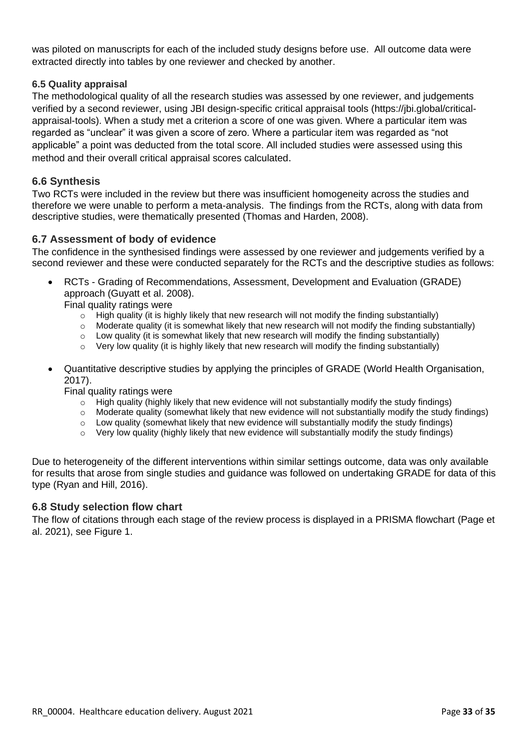was piloted on manuscripts for each of the included study designs before use. All outcome data were extracted directly into tables by one reviewer and checked by another.

### <span id="page-32-0"></span>**6.5 Quality appraisal**

The methodological quality of all the research studies was assessed by one reviewer, and judgements verified by a second reviewer, using JBI design-specific critical appraisal tools (https://jbi.global/criticalappraisal-tools). When a study met a criterion a score of one was given. Where a particular item was regarded as "unclear" it was given a score of zero. Where a particular item was regarded as "not applicable" a point was deducted from the total score. All included studies were assessed using this method and their overall critical appraisal scores calculated.

### <span id="page-32-1"></span>**6.6 Synthesis**

Two RCTs were included in the review but there was insufficient homogeneity across the studies and therefore we were unable to perform a meta-analysis. The findings from the RCTs, along with data from descriptive studies, were thematically presented (Thomas and Harden, 2008).

### <span id="page-32-2"></span>**6.7 Assessment of body of evidence**

The confidence in the synthesised findings were assessed by one reviewer and judgements verified by a second reviewer and these were conducted separately for the RCTs and the descriptive studies as follows:

• RCTs - Grading of Recommendations, Assessment, Development and Evaluation (GRADE) approach (Guyatt et al. 2008).

Final quality ratings were

- o High quality (it is highly likely that new research will not modify the finding substantially)
- o Moderate quality (it is somewhat likely that new research will not modify the finding substantially)
- $\circ$  Low quality (it is somewhat likely that new research will modify the finding substantially)
- $\circ$  Very low quality (it is highly likely that new research will modify the finding substantially)
- Quantitative descriptive studies by applying the principles of GRADE (World Health Organisation, 2017).

Final quality ratings were

- $\circ$  High quality (highly likely that new evidence will not substantially modify the study findings)
- o Moderate quality (somewhat likely that new evidence will not substantially modify the study findings)
- $\circ$  Low quality (somewhat likely that new evidence will substantially modify the study findings)
- o Very low quality (highly likely that new evidence will substantially modify the study findings)

Due to heterogeneity of the different interventions within similar settings outcome, data was only available for results that arose from single studies and guidance was followed on undertaking GRADE for data of this type (Ryan and Hill, 2016).

### <span id="page-32-3"></span>**6.8 Study selection flow chart**

The flow of citations through each stage of the review process is displayed in a PRISMA flowchart (Page et al. 2021), see Figure 1.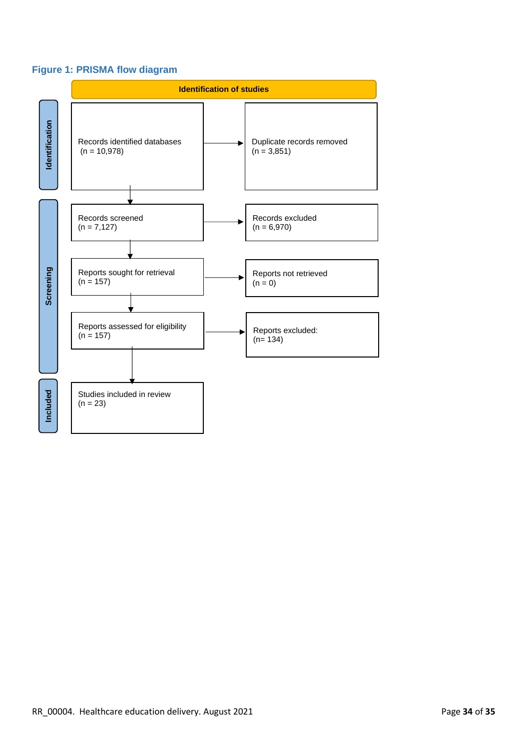# **Figure 1: PRISMA flow diagram**